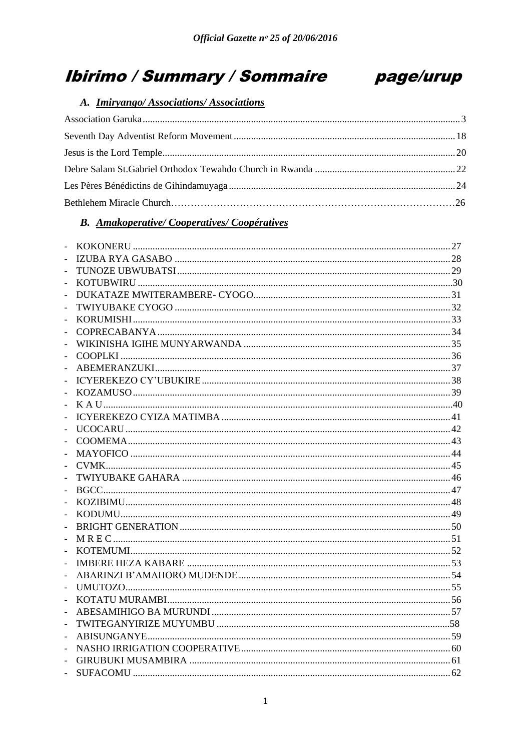# **Ibirimo / Summary / Sommaire**



## A. Imiryango/Associations/Associations

## **B.** Amakoperative/Cooperatives/Coopératives

| $\overline{a}$ |  |
|----------------|--|
| $\frac{1}{2}$  |  |
| $\frac{1}{2}$  |  |
| $\overline{a}$ |  |
| $\overline{a}$ |  |
| $\frac{1}{2}$  |  |
| $\frac{1}{2}$  |  |
| $\frac{1}{2}$  |  |
| $\frac{1}{2}$  |  |
| $\overline{a}$ |  |
| $\overline{a}$ |  |
| $\overline{a}$ |  |
| $\frac{1}{2}$  |  |
| $\overline{a}$ |  |
| $\overline{a}$ |  |
| $\overline{a}$ |  |
| $\overline{a}$ |  |
| $\frac{1}{2}$  |  |
| $\frac{1}{2}$  |  |
| $\overline{a}$ |  |
| $\overline{a}$ |  |
| $\overline{a}$ |  |
| $\overline{a}$ |  |
| $\frac{1}{2}$  |  |
| $\frac{1}{2}$  |  |
| $\overline{a}$ |  |
| $\frac{1}{2}$  |  |
| $\blacksquare$ |  |
| $\frac{1}{2}$  |  |
| $\overline{a}$ |  |
| $\frac{1}{2}$  |  |
| $\overline{a}$ |  |
| $\frac{1}{2}$  |  |
|                |  |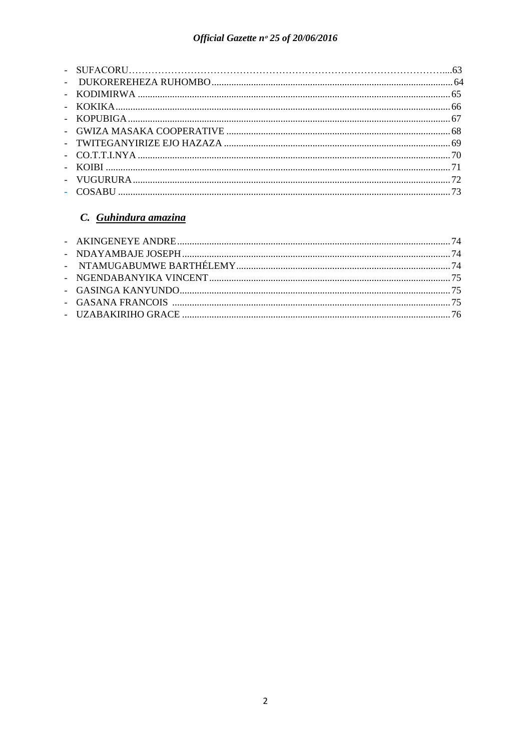## C. Guhindura amazina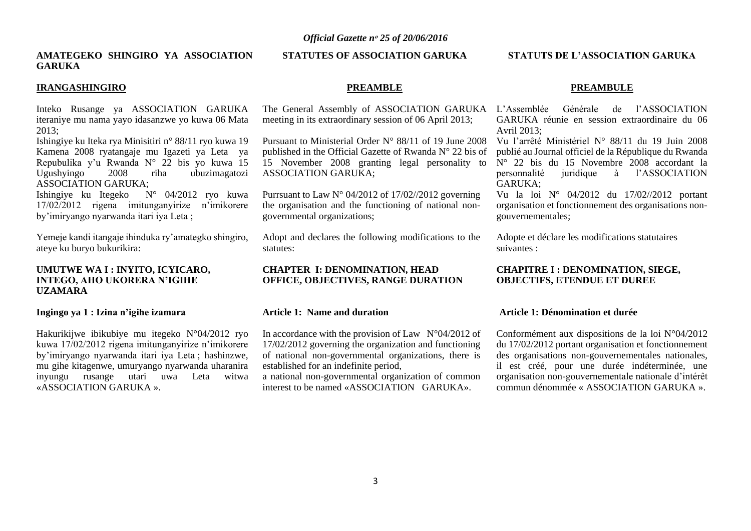#### **AMATEGEKO SHINGIRO YA ASSOCIATION GARUKA**

#### **IRANGASHINGIRO**

Inteko Rusange ya ASSOCIATION GARUKA iteraniye mu nama yayo idasanzwe yo kuwa 06 Mata  $2013$ 

Ishingiye ku Iteka rya Minisitiri n° 88/11 ryo kuwa 19 Kamena 2008 ryatangaje mu Igazeti ya Leta ya Repubulika y'u Rwanda N° 22 bis yo kuwa 15<br>Ugushyingo 2008 riha ubuzimagatozi 2008 riha ubuzimagatozi ASSOCIATION GARUKA;<br>Ishingiye ku Itegeko N

 $N^{\circ}$  04/2012 ryo kuwa 17/02/2012 rigena imitunganyirize n'imikorere by'imiryango nyarwanda itari iya Leta ;

Yemeje kandi itangaje ihinduka ry'amategko shingiro, ateye ku buryo bukurikira:

#### <span id="page-2-0"></span>**UMUTWE WA I : INYITO, ICYICARO, INTEGO, AHO UKORERA N'IGIHE UZAMARA**

#### **Ingingo ya 1 : Izina n'igihe izamara**

Hakurikijwe ibikubiye mu itegeko N°04/2012 ryo kuwa 17/02/2012 rigena imitunganyirize n'imikorere by'imiryango nyarwanda itari iya Leta ; hashinzwe, mu gihe kitagenwe, umuryango nyarwanda uharanira inyungu rusange utari uwa Leta witwa «ASSOCIATION GARUKA ».

#### **STATUTES OF ASSOCIATION GARUKA**

#### **PREAMBLE**

meeting in its extraordinary session of 06 April 2013;

Pursuant to Ministerial Order N° 88/11 of 19 June 2008 published in the Official Gazette of Rwanda N° 22 bis of 15 November 2008 granting legal personality to ASSOCIATION GARUKA;

Purrsuant to Law N° 04/2012 of 17/02//2012 governing the organisation and the functioning of national nongovernmental organizations;

Adopt and declares the following modifications to the statutes:

#### **CHAPTER I: DENOMINATION, HEAD OFFICE, OBJECTIVES, RANGE DURATION**

#### **Article 1: Name and duration**

In accordance with the provision of Law  $N^{\circ}04/2012$  of 17/02/2012 governing the organization and functioning of national non-governmental organizations, there is established for an indefinite period,

a national non-governmental organization of common interest to be named «ASSOCIATION GARUKA».

#### **STATUTS DE L'ASSOCIATION GARUKA**

#### **PREAMBULE**

The General Assembly of ASSOCIATION GARUKA L'Assemblée Générale de l'ASSOCIATION GARUKA réunie en session extraordinaire du 06 Avril 2013;

> Vu l'arrêté Ministériel N° 88/11 du 19 Juin 2008 publié au Journal officiel de la République du Rwanda  $N^{\circ}$  22 bis du 15 Novembre 2008 accordant la personnalité juridique à l'ASSOCIATION GARUKA;

> Vu la loi N° 04/2012 du 17/02//2012 portant organisation et fonctionnement des organisations nongouvernementales;

Adopte et déclare les modifications statutaires suivantes :

#### **CHAPITRE I : DENOMINATION, SIEGE, OBJECTIFS, ETENDUE ET DUREE**

#### **Article 1: Dénomination et durée**

Conformément aux dispositions de la loi N°04/2012 du 17/02/2012 portant organisation et fonctionnement des organisations non-gouvernementales nationales, il est créé, pour une durée indéterminée, une organisation non-gouvernementale nationale d'intérêt commun dénommée « ASSOCIATION GARUKA ».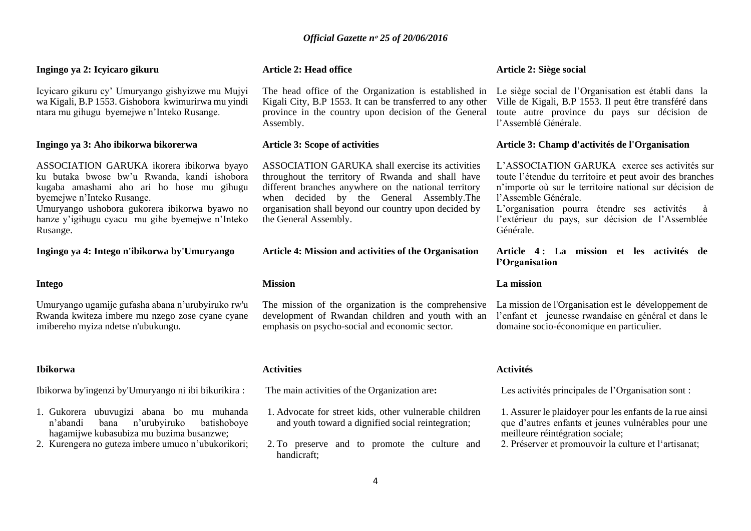## **Ingingo ya 2: Icyicaro gikuru**

Icyicaro gikuru cy' Umuryango gishyizwe mu Mujyi wa Kigali, B.P 1553. Gishobora kwimurirwa mu yindi ntara mu gihugu byemejwe n'Inteko Rusange.

#### **Ingingo ya 3: Aho ibikorwa bikorerwa**

ASSOCIATION GARUKA ikorera ibikorwa byayo ku butaka bwose bw'u Rwanda, kandi ishobora kugaba amashami aho ari ho hose mu gihugu byemejwe n'Inteko Rusange.

Umuryango ushobora gukorera ibikorwa byawo no hanze y'igihugu cyacu mu gihe byemejwe n'Inteko Rusange.

**Ingingo ya 4: Intego n'ibikorwa by'Umuryango**

#### **Intego**

Umuryango ugamije gufasha abana n'urubyiruko rw'u Rwanda kwiteza imbere mu nzego zose cyane cyane imibereho myiza ndetse n'ubukungu.

#### **Ibikorwa**

Ibikorwa by'ingenzi by'Umuryango ni ibi bikurikira :

- 1. Gukorera ubuvugizi abana bo mu muhanda n'abandi bana n'urubyiruko batishoboye hagamijwe kubasubiza mu buzima busanzwe;
- 2. Kurengera no guteza imbere umuco n'ubukorikori;

#### **Article 2: Head office**

The head office of the Organization is established in Kigali City, B.P 1553. It can be transferred to any other province in the country upon decision of the General Assembly.

#### **Article 3: Scope of activities**

ASSOCIATION GARUKA shall exercise its activities throughout the territory of Rwanda and shall have different branches anywhere on the national territory when decided by the General Assembly.The organisation shall beyond our country upon decided by the General Assembly.

**Article 4: Mission and activities of the Organisation**

#### **Mission**

The mission of the organization is the comprehensive La mission de l'Organisation est le développement de development of Rwandan children and youth with an emphasis on psycho-social and economic sector.

#### **Activities**

The main activities of the Organization are**:**

- 1. Advocate for street kids, other vulnerable children and youth toward a dignified social reintegration;
- 2. To preserve and to promote the culture and handicraft;

#### **Article 2: Siège social**

Le siège social de l'Organisation est établi dans la Ville de Kigali, B.P 1553. Il peut être transféré dans toute autre province du pays sur décision de l'Assemblé Générale.

#### **Article 3: Champ d'activités de l'Organisation**

L'ASSOCIATION GARUKA exerce ses activités sur toute l'étendue du territoire et peut avoir des branches n'importe où sur le territoire national sur décision de l'Assemble Générale.

L'organisation pourra étendre ses activités à l'extérieur du pays, sur décision de l'Assemblée Générale.

**Article 4 : La mission et les activités de l'Organisation** 

#### **La mission**

l'enfant et jeunesse rwandaise en général et dans le domaine socio-économique en particulier.

#### **Activités**

Les activités principales de l'Organisation sont :

1. Assurer le plaidoyer pour les enfants de la rue ainsi que d'autres enfants et jeunes vulnérables pour une meilleure réintégration sociale;

2. Préserver et promouvoir la culture et l'artisanat;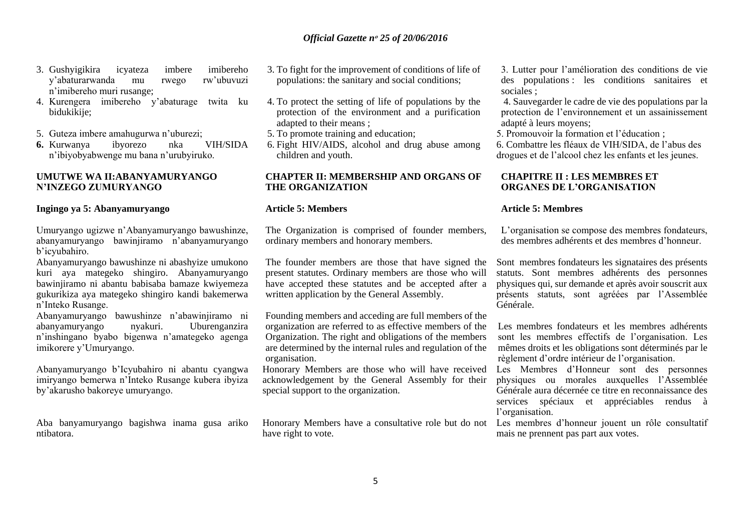- 3. Gushyigikira icyateza imbere imibereho y'abaturarwanda mu rwego rw'ubuvuzi n'imibereho muri rusange;
- 4. Kurengera imibereho y'abaturage twita ku bidukikije;
- 5. Guteza imbere amahugurwa n'uburezi;
- **6.** Kurwanya ibyorezo nka VIH/SIDA n'ibiyobyabwenge mu bana n'urubyiruko.

#### **UMUTWE WA II:ABANYAMURYANGO N'INZEGO ZUMURYANGO**

#### **Ingingo ya 5: Abanyamuryango**

Umuryango ugizwe n'Abanyamuryango bawushinze, abanyamuryango bawinjiramo n'abanyamuryango b'icyubahiro.

Abanyamuryango bawushinze ni abashyize umukono kuri aya mategeko shingiro. Abanyamuryango bawinjiramo ni abantu babisaba bamaze kwiyemeza gukurikiza aya mategeko shingiro kandi bakemerwa n'Inteko Rusange.

Abanyamuryango bawushinze n'abawinjiramo ni abanyamuryango nyakuri. Uburenganzira n'inshingano byabo bigenwa n'amategeko agenga imikorere y'Umuryango.

Abanyamuryango b'Icyubahiro ni abantu cyangwa imiryango bemerwa n'Inteko Rusange kubera ibyiza by'akarusho bakoreye umuryango.

Aba banyamuryango bagishwa inama gusa ariko ntibatora.

- 3. To fight for the improvement of conditions of life of populations: the sanitary and social conditions;
- 4. To protect the setting of life of populations by the protection of the environment and a purification adapted to their means ;
- 5. To promote training and education;
- 6. Fight HIV/AIDS, alcohol and drug abuse among children and youth.

#### **CHAPTER II: MEMBERSHIP AND ORGANS OF THE ORGANIZATION**

#### **Article 5: Members**

The Organization is comprised of founder members, ordinary members and honorary members.

The founder members are those that have signed the present statutes. Ordinary members are those who will have accepted these statutes and be accepted after a written application by the General Assembly.

Founding members and acceding are full members of the organization are referred to as effective members of the Organization. The right and obligations of the members are determined by the internal rules and regulation of the organisation.

Honorary Members are those who will have received acknowledgement by the General Assembly for their special support to the organization.

Honorary Members have a consultative role but do not Les membres d'honneur jouent un rôle consultatif have right to vote.

3. Lutter pour l'amélioration des conditions de vie des populations : les conditions sanitaires et sociales ;

4. Sauvegarder le cadre de vie des populations par la protection de l'environnement et un assainissement adapté à leurs moyens;

5. Promouvoir la formation et l'éducation ;

6. Combattre les fléaux de VIH/SIDA, de l'abus des drogues et de l'alcool chez les enfants et les jeunes.

#### **CHAPITRE II : LES MEMBRES ET ORGANES DE L'ORGANISATION**

#### **Article 5: Membres**

L'organisation se compose des membres fondateurs, des membres adhérents et des membres d'honneur.

Sont membres fondateurs les signataires des présents statuts. Sont membres adhérents des personnes physiques qui, sur demande et après avoir souscrit aux présents statuts, sont agréées par l'Assemblée Générale.

Les membres fondateurs et les membres adhérents sont les membres effectifs de l'organisation. Les mêmes droits et les obligations sont déterminés par le règlement d'ordre intérieur de l'organisation.

Les Membres d'Honneur sont des personnes physiques ou morales auxquelles l'Assemblée Générale aura décernée ce titre en reconnaissance des services spéciaux et appréciables rendus à l'organisation.

mais ne prennent pas part aux votes.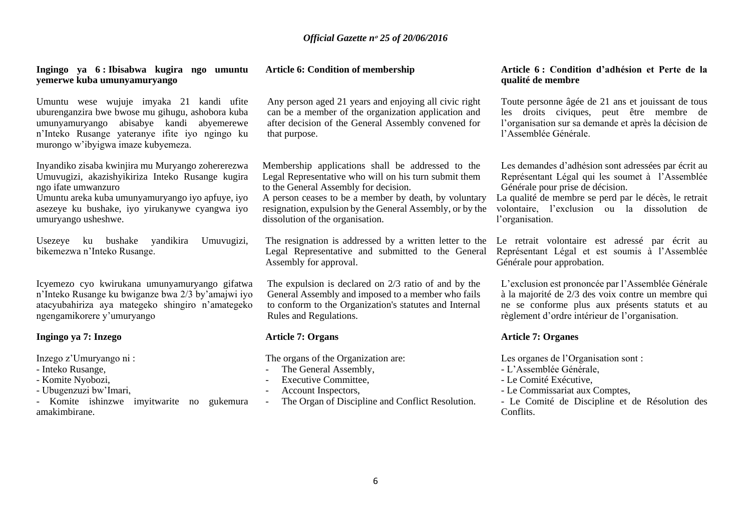#### **Ingingo ya 6 : Ibisabwa kugira ngo umuntu yemerwe kuba umunyamuryango**

Umuntu wese wujuje imyaka 21 kandi ufite uburenganzira bwe bwose mu gihugu, ashobora kuba umunyamuryango abisabye kandi abyemerewe n'Inteko Rusange yateranye ifite iyo ngingo ku murongo w'ibyigwa imaze kubyemeza.

Inyandiko zisaba kwinjira mu Muryango zohererezwa Umuvugizi, akazishyikiriza Inteko Rusange kugira ngo ifate umwanzuro

Umuntu areka kuba umunyamuryango iyo apfuye, iyo asezeye ku bushake, iyo yirukanywe cyangwa iyo umuryango usheshwe.

Usezeye ku bushake yandikira Umuvugizi, bikemezwa n'Inteko Rusange.

Icyemezo cyo kwirukana umunyamuryango gifatwa n'Inteko Rusange ku bwiganze bwa 2/3 by'amajwi iyo atacyubahiriza aya mategeko shingiro n'amategeko ngengamikorere y'umuryango

#### **Ingingo ya 7: Inzego**

Inzego z'Umuryango ni :

- Inteko Rusange,
- Komite Nyobozi,
- Ubugenzuzi bw'Imari,

- Komite ishinzwe imyitwarite no gukemura amakimbirane.

#### **Article 6: Condition of membership**

Any person aged 21 years and enjoying all civic right can be a member of the organization application and after decision of the General Assembly convened for that purpose.

Membership applications shall be addressed to the Legal Representative who will on his turn submit them to the General Assembly for decision.

A person ceases to be a member by death, by voluntary resignation, expulsion by the General Assembly, or by the dissolution of the organisation.

The resignation is addressed by a written letter to the Legal Representative and submitted to the General Assembly for approval.

The expulsion is declared on 2/3 ratio of and by the General Assembly and imposed to a member who fails to conform to the Organization's statutes and Internal Rules and Regulations.

## **Article 7: Organs**

The organs of the Organization are:

- The General Assembly,
- Executive Committee,
- Account Inspectors,
- The Organ of Discipline and Conflict Resolution.

#### **Article 6 : Condition d'adhésion et Perte de la qualité de membre**

Toute personne âgée de 21 ans et jouissant de tous les droits civiques, peut être membre de l'organisation sur sa demande et après la décision de l'Assemblée Générale.

Les demandes d'adhésion sont adressées par écrit au Représentant Légal qui les soumet à l'Assemblée Générale pour prise de décision.

La qualité de membre se perd par le décès, le retrait volontaire, l'exclusion ou la dissolution de l'organisation.

Le retrait volontaire est adressé par écrit au Représentant Légal et est soumis à l'Assemblée Générale pour approbation.

L'exclusion est prononcée par l'Assemblée Générale à la majorité de 2/3 des voix contre un membre qui ne se conforme plus aux présents statuts et au règlement d'ordre intérieur de l'organisation.

#### **Article 7: Organes**

Les organes de l'Organisation sont :

- L'Assemblée Générale,
- Le Comité Exécutive,
- Le Commissariat aux Comptes,

- Le Comité de Discipline et de Résolution des Conflits.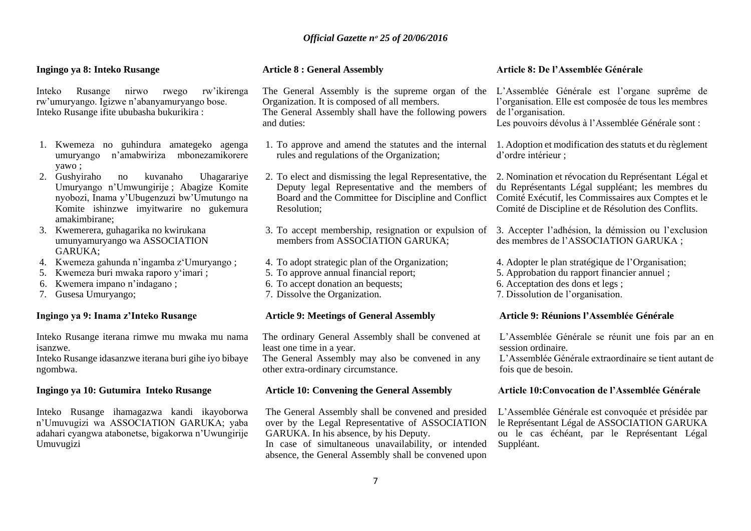#### **Ingingo ya 8: Inteko Rusange**

Inteko Rusange nirwo rwego rw'ikirenga rw'umuryango. Igizwe n'abanyamuryango bose. Inteko Rusange ifite ububasha bukurikira :

- 1. Kwemeza no guhindura amategeko agenga umuryango n'amabwiriza mbonezamikorere yawo ;
- 2. Gushyiraho no kuvanaho Uhagarariye Umuryango n'Umwungirije ; Abagize Komite nyobozi, Inama y'Ubugenzuzi bw'Umutungo na Komite ishinzwe imyitwarire no gukemura amakimbirane;
- 3. Kwemerera, guhagarika no kwirukana umunyamuryango wa ASSOCIATION GARUKA;
- 4. Kwemeza gahunda n'ingamba z'Umuryango ;
- 5. Kwemeza buri mwaka raporo y'imari ;
- 6. Kwemera impano n'indagano ;
- 7. Gusesa Umuryango;

#### **Ingingo ya 9: Inama z'Inteko Rusange**

Inteko Rusange iterana rimwe mu mwaka mu nama isanzwe.

Inteko Rusange idasanzwe iterana buri gihe iyo bibaye ngombwa.

#### **Ingingo ya 10: Gutumira Inteko Rusange**

Inteko Rusange ihamagazwa kandi ikayoborwa n'Umuvugizi wa ASSOCIATION GARUKA; yaba adahari cyangwa atabonetse, bigakorwa n'Uwungirije Umuvugizi

#### **Article 8 : General Assembly**

The General Assembly is the supreme organ of the L'Assemblée Générale est l'organe suprême de Organization. It is composed of all members. The General Assembly shall have the following powers and duties:

- 1. To approve and amend the statutes and the internal rules and regulations of the Organization;
- 2. To elect and dismissing the legal Representative, the 2. Nomination et révocation du Représentant Légal et Deputy legal Representative and the members of Resolution;
- 3. To accept membership, resignation or expulsion of members from ASSOCIATION GARUKA;
- 4. To adopt strategic plan of the Organization;
- 5. To approve annual financial report;
- 6. To accept donation an bequests;
- 7. Dissolve the Organization.

#### **Article 9: Meetings of General Assembly**

The ordinary General Assembly shall be convened at least one time in a year.

The General Assembly may also be convened in any other extra-ordinary circumstance.

### **Article 10: Convening the General Assembly**

The General Assembly shall be convened and presided over by the Legal Representative of ASSOCIATION GARUKA. In his absence, by his Deputy. In case of simultaneous unavailability, or intended absence, the General Assembly shall be convened upon

#### **Article 8: De l'Assemblée Générale**

l'organisation. Elle est composée de tous les membres de l'organisation.

Les pouvoirs dévolus à l'Assemblée Générale sont :

1. Adoption et modification des statuts et du règlement d'ordre intérieur ;

Board and the Committee for Discipline and Conflict Comité Exécutif, les Commissaires aux Comptes et le du Représentants Légal suppléant; les membres du Comité de Discipline et de Résolution des Conflits.

> 3. Accepter l'adhésion, la démission ou l'exclusion des membres de l'ASSOCIATION GARUKA ;

4. Adopter le plan stratégique de l'Organisation;

- 5. Approbation du rapport financier annuel ;
- 6. Acceptation des dons et legs ;
- 7. Dissolution de l'organisation.

#### **Article 9: Réunions l'Assemblée Générale**

L'Assemblée Générale se réunit une fois par an en session ordinaire.

L'Assemblée Générale extraordinaire se tient autant de fois que de besoin.

#### **Article 10:Convocation de l'Assemblée Générale**

L'Assemblée Générale est convoquée et présidée par le Représentant Légal de ASSOCIATION GARUKA ou le cas échéant, par le Représentant Légal Suppléant.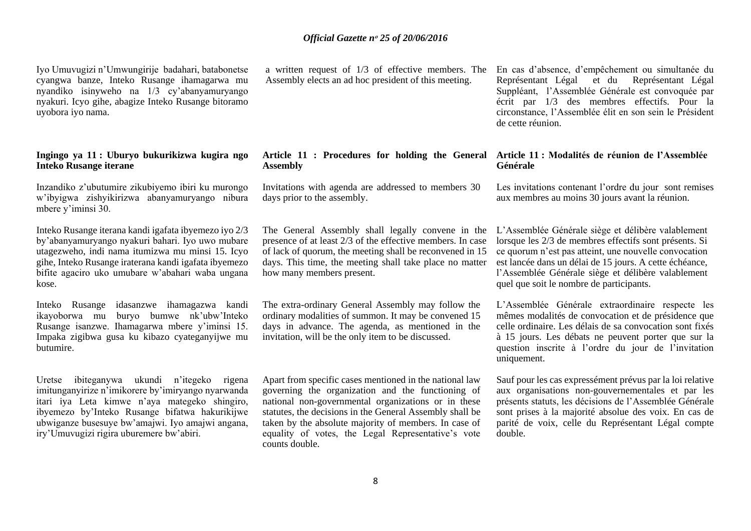Iyo Umuvugizi n'Umwungirije badahari, batabonetse cyangwa banze, Inteko Rusange ihamagarwa mu nyandiko isinyweho na 1/3 cy'abanyamuryango nyakuri. Icyo gihe, abagize Inteko Rusange bitoramo uyobora iyo nama.

#### **Ingingo ya 11 : Uburyo bukurikizwa kugira ngo Inteko Rusange iterane**

Inzandiko z'ubutumire zikubiyemo ibiri ku murongo w'ibyigwa zishyikirizwa abanyamuryango nibura mbere y'iminsi 30.

Inteko Rusange iterana kandi igafata ibyemezo iyo 2/3 by'abanyamuryango nyakuri bahari. Iyo uwo mubare utagezweho, indi nama itumizwa mu minsi 15. Icyo gihe, Inteko Rusange iraterana kandi igafata ibyemezo bifite agaciro uko umubare w'abahari waba ungana kose.

Inteko Rusange idasanzwe ihamagazwa kandi ikayoborwa mu buryo bumwe nk'ubw'Inteko Rusange isanzwe. Ihamagarwa mbere y'iminsi 15. Impaka zigibwa gusa ku kibazo cyateganyijwe mu butumire.

Uretse ibiteganywa ukundi n'itegeko rigena imitunganyirize n'imikorere by'imiryango nyarwanda itari iya Leta kimwe n'aya mategeko shingiro, ibyemezo by'Inteko Rusange bifatwa hakurikijwe ubwiganze busesuye bw'amajwi. Iyo amajwi angana, iry'Umuvugizi rigira uburemere bw'abiri.

a written request of 1/3 of effective members. The Assembly elects an ad hoc president of this meeting.

# **Assembly**

Invitations with agenda are addressed to members 30 days prior to the assembly.

The General Assembly shall legally convene in the presence of at least 2/3 of the effective members. In case of lack of quorum, the meeting shall be reconvened in 15 days. This time, the meeting shall take place no matter how many members present.

The extra-ordinary General Assembly may follow the ordinary modalities of summon. It may be convened 15 days in advance. The agenda, as mentioned in the invitation, will be the only item to be discussed.

Apart from specific cases mentioned in the national law governing the organization and the functioning of national non-governmental organizations or in these statutes, the decisions in the General Assembly shall be taken by the absolute majority of members. In case of equality of votes, the Legal Representative's vote counts double.

En cas d'absence, d'empêchement ou simultanée du Représentant Légal et du Représentant Légal Suppléant, l'Assemblée Générale est convoquée par écrit par 1/3 des membres effectifs. Pour la circonstance, l'Assemblée élit en son sein le Président de cette réunion.

#### **Article 11 : Procedures for holding the General Article 11 : Modalités de réunion de l'Assemblée Générale**

Les invitations contenant l'ordre du jour sont remises aux membres au moins 30 jours avant la réunion.

L'Assemblée Générale siège et délibère valablement lorsque les 2/3 de membres effectifs sont présents. Si ce quorum n'est pas atteint, une nouvelle convocation est lancée dans un délai de 15 jours. A cette échéance, l'Assemblée Générale siège et délibère valablement quel que soit le nombre de participants.

L'Assemblée Générale extraordinaire respecte les mêmes modalités de convocation et de présidence que celle ordinaire. Les délais de sa convocation sont fixés à 15 jours. Les débats ne peuvent porter que sur la question inscrite à l'ordre du jour de l'invitation uniquement.

Sauf pour les cas expressément prévus par la loi relative aux organisations non-gouvernementales et par les présents statuts, les décisions de l'Assemblée Générale sont prises à la majorité absolue des voix. En cas de parité de voix, celle du Représentant Légal compte double.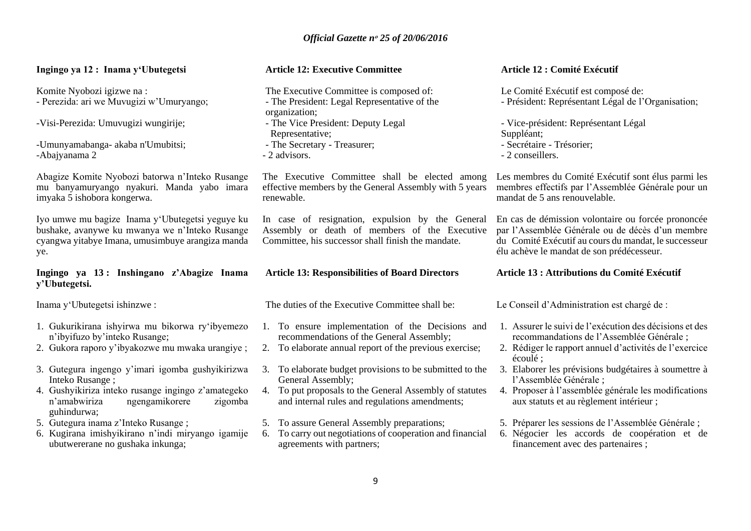## **Ingingo ya 12 : Inama y'Ubutegetsi**

Komite Nyobozi igizwe na : - Perezida: ari we Muvugizi w'Umuryango;

-Visi-Perezida: Umuvugizi wungirije;

-Umunyamabanga- akaba n'Umubitsi; -Abajyanama 2

Abagize Komite Nyobozi batorwa n'Inteko Rusange mu banyamuryango nyakuri. Manda yabo imara imyaka 5 ishobora kongerwa.

Iyo umwe mu bagize Inama y'Ubutegetsi yeguye ku bushake, avanywe ku mwanya we n'Inteko Rusange cyangwa yitabye Imana, umusimbuye arangiza manda ye.

## **Ingingo ya 13 : Inshingano z'Abagize Inama y'Ubutegetsi.**

Inama y'Ubutegetsi ishinzwe :

- 1. Gukurikirana ishyirwa mu bikorwa ry'ibyemezo n'ibyifuzo by'inteko Rusange;
- 2. Gukora raporo y'ibyakozwe mu mwaka urangiye ;
- 3. Gutegura ingengo y'imari igomba gushyikirizwa Inteko Rusange ;
- 4. Gushyikiriza inteko rusange ingingo z'amategeko n'amabwiriza ngengamikorere zigomba guhindurwa;
- 5. Gutegura inama z'Inteko Rusange ;
- 6. Kugirana imishyikirano n'indi miryango igamije ubutwererane no gushaka inkunga;

#### **Article 12: Executive Committee**

The Executive Committee is composed of: - The President: Legal Representative of the organization; - The Vice President: Deputy Legal Representative; - The Secretary - Treasurer; - 2 advisors.

The Executive Committee shall be elected among effective members by the General Assembly with 5 years renewable.

In case of resignation, expulsion by the General Assembly or death of members of the Executive Committee, his successor shall finish the mandate.

#### **Article 13: Responsibilities of Board Directors**

The duties of the Executive Committee shall be:

- 1. To ensure implementation of the Decisions and recommendations of the General Assembly;
- 2. To elaborate annual report of the previous exercise;
- 3. To elaborate budget provisions to be submitted to the General Assembly;
- 4. To put proposals to the General Assembly of statutes and internal rules and regulations amendments;
- 5. To assure General Assembly preparations;
- 6. To carry out negotiations of cooperation and financial agreements with partners;

#### **Article 12 : Comité Exécutif**

Le Comité Exécutif est composé de: - Président: Représentant Légal de l'Organisation;

- Vice-président: Représentant Légal Suppléant;

- Secrétaire Trésorier;
- 2 conseillers.

Les membres du Comité Exécutif sont élus parmi les membres effectifs par l'Assemblée Générale pour un mandat de 5 ans renouvelable.

En cas de démission volontaire ou forcée prononcée par l'Assemblée Générale ou de décès d'un membre du Comité Exécutif au cours du mandat, le successeur élu achève le mandat de son prédécesseur.

#### **Article 13 : Attributions du Comité Exécutif**

Le Conseil d'Administration est chargé de :

- 1. Assurer le suivi de l'exécution des décisions et des recommandations de l'Assemblée Générale ;
- 2. Rédiger le rapport annuel d'activités de l'exercice écoulé ;
- 3. Elaborer les prévisions budgétaires à soumettre à l'Assemblée Générale ;
- 4. Proposer à l'assemblée générale les modifications aux statuts et au règlement intérieur ;
- 5. Préparer les sessions de l'Assemblée Générale ;
- 6. Négocier les accords de coopération et de financement avec des partenaires ;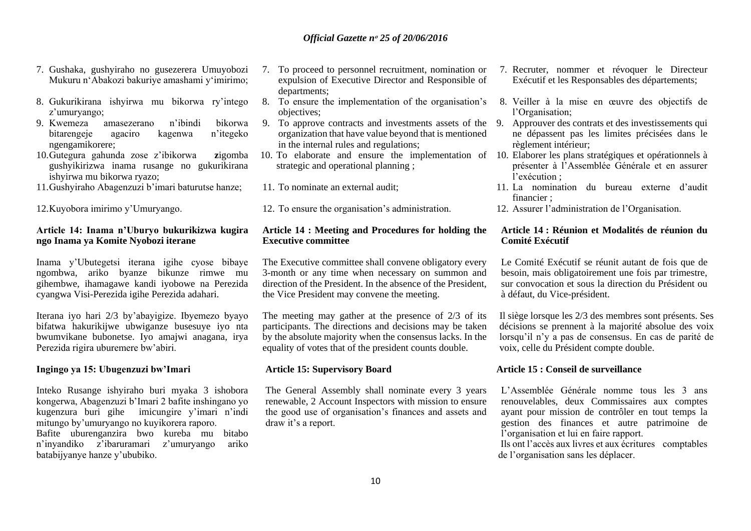- 7. Gushaka, gushyiraho no gusezerera Umuyobozi Mukuru n'Abakozi bakuriye amashami y'imirimo;
- 8. Gukurikirana ishyirwa mu bikorwa ry'intego z'umuryango;
- 9. Kwemeza amasezerano n'ibindi bikorwa bitarengeje agaciro kagenwa ngengamikorere;
- 10.Gutegura gahunda zose z'ibikorwa **z**igomba gushyikirizwa inama rusange no gukurikirana ishyirwa mu bikorwa ryazo;
- 11.Gushyiraho Abagenzuzi b'imari baturutse hanze;

12.Kuyobora imirimo y'Umuryango.

#### **Article 14: Inama n'Uburyo bukurikizwa kugira ngo Inama ya Komite Nyobozi iterane**

Inama y'Ubutegetsi iterana igihe cyose bibaye ngombwa, ariko byanze bikunze rimwe mu gihembwe, ihamagawe kandi iyobowe na Perezida cyangwa Visi-Perezida igihe Perezida adahari.

Iterana iyo hari 2/3 by'abayigize. Ibyemezo byayo bifatwa hakurikijwe ubwiganze busesuye iyo nta bwumvikane bubonetse. Iyo amajwi anagana, irya Perezida rigira uburemere bw'abiri.

#### **Ingingo ya 15: Ubugenzuzi bw'Imari**

Inteko Rusange ishyiraho buri myaka 3 ishobora kongerwa, Abagenzuzi b'Imari 2 bafite inshingano yo kugenzura buri gihe imicungire y'imari n'indi mitungo by'umuryango no kuyikorera raporo. Bafite uburenganzira bwo kureba mu bitabo n'inyandiko z'ibaruramari z'umuryango ariko batabijyanye hanze y'ububiko.

- 7. To proceed to personnel recruitment, nomination or expulsion of Executive Director and Responsible of departments;
- 8. To ensure the implementation of the organisation's objectives;
- 9. To approve contracts and investments assets of the 9. Approuver des contrats et des investissements qui organization that have value beyond that is mentioned in the internal rules and regulations;
- strategic and operational planning ;
- 11. To nominate an external audit;
- 12. To ensure the organisation's administration.

#### **Article 14 : Meeting and Procedures for holding the Executive committee**

The Executive committee shall convene obligatory every 3-month or any time when necessary on summon and direction of the President. In the absence of the President the Vice President may convene the meeting.

The meeting may gather at the presence of 2/3 of its participants. The directions and decisions may be taken by the absolute majority when the consensus lacks. In the equality of votes that of the president counts double.

#### **Article 15: Supervisory Board**

The General Assembly shall nominate every 3 years renewable, 2 Account Inspectors with mission to ensure the good use of organisation's finances and assets and draw it's a report.

- 7. Recruter, nommer et révoquer le Directeur Exécutif et les Responsables des départements;
- 8. Veiller à la mise en œuvre des objectifs de l'Organisation;
- ne dépassent pas les limites précisées dans le règlement intérieur;
- 10. To elaborate and ensure the implementation of 10. Elaborer les plans stratégiques et opérationnels à présenter à l'Assemblée Générale et en assurer l'exécution ;
	- 11. La nomination du bureau externe d'audit financier ;
	- 12. Assurer l'administration de l'Organisation.

#### **Article 14 : Réunion et Modalités de réunion du Comité Exécutif**

Le Comité Exécutif se réunit autant de fois que de besoin, mais obligatoirement une fois par trimestre, sur convocation et sous la direction du Président ou à défaut, du Vice-président.

Il siège lorsque les 2/3 des membres sont présents. Ses décisions se prennent à la majorité absolue des voix lorsqu'il n'y a pas de consensus. En cas de parité de voix, celle du Président compte double.

#### **Article 15 : Conseil de surveillance**

L'Assemblée Générale nomme tous les 3 ans renouvelables, deux Commissaires aux comptes ayant pour mission de contrôler en tout temps la gestion des finances et autre patrimoine de l'organisation et lui en faire rapport.

Ils ont l'accès aux livres et aux écritures comptables de l'organisation sans les déplacer.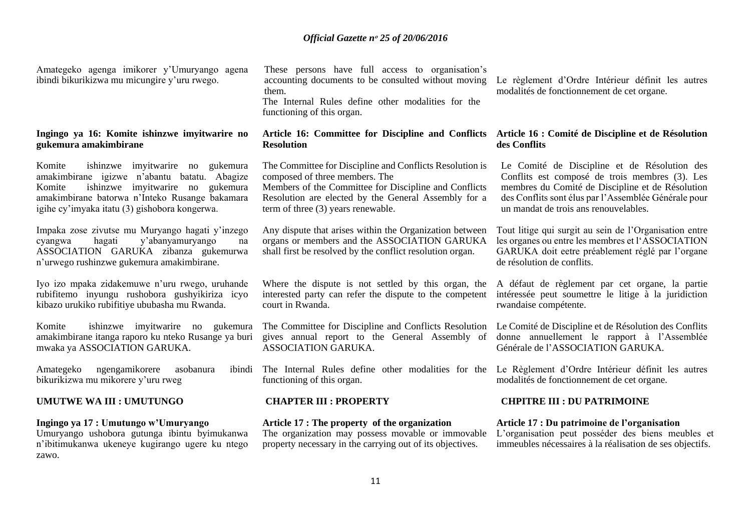Amategeko agenga imikorer y'Umuryango agena ibindi bikurikizwa mu micungire y'uru rwego.

#### **Ingingo ya 16: Komite ishinzwe imyitwarire no gukemura amakimbirane**

Komite ishinzwe imyitwarire no gukemura amakimbirane igizwe n'abantu batatu. Abagize Komite ishinzwe imyitwarire no gukemura amakimbirane batorwa n'Inteko Rusange bakamara igihe cy'imyaka itatu (3) gishobora kongerwa.

Impaka zose zivutse mu Muryango hagati y'inzego cyangwa hagati y'abanyamuryango na ASSOCIATION GARUKA zibanza gukemurwa n'urwego rushinzwe gukemura amakimbirane.

Iyo izo mpaka zidakemuwe n'uru rwego, uruhande rubifitemo inyungu rushobora gushyikiriza icyo kibazo urukiko rubifitiye ububasha mu Rwanda.

Komite ishinzwe imyitwarire no gukemura amakimbirane itanga raporo ku nteko Rusange ya buri mwaka ya ASSOCIATION GARUKA.

Amategeko ngengamikorere asobanura bikurikizwa mu mikorere y'uru rweg

#### **UMUTWE WA III : UMUTUNGO CHAPTER III : PROPERTY CHPITRE III : DU PATRIMOINE**

#### **Ingingo ya 17 : Umutungo w'Umuryango**

Umuryango ushobora gutunga ibintu byimukanwa n'ibitimukanwa ukeneye kugirango ugere ku ntego zawo.

These persons have full access to organisation's accounting documents to be consulted without moving them. The Internal Rules define other modalities for the

functioning of this organ.

# **Resolution**

The Committee for Discipline and Conflicts Resolution is composed of three members. The

Members of the Committee for Discipline and Conflicts Resolution are elected by the General Assembly for a term of three (3) years renewable.

Any dispute that arises within the Organization between organs or members and the ASSOCIATION GARUKA shall first be resolved by the conflict resolution organ.

Where the dispute is not settled by this organ, the A défaut de règlement par cet organe, la partie interested party can refer the dispute to the competent court in Rwanda.

The Committee for Discipline and Conflicts Resolution gives annual report to the General Assembly of ASSOCIATION GARUKA.

The Internal Rules define other modalities for the Le Règlement d'Ordre Intérieur définit les autres functioning of this organ.

#### **Article 17 : The property of the organization**

The organization may possess movable or immovable property necessary in the carrying out of its objectives.

Le règlement d'Ordre Intérieur définit les autres modalités de fonctionnement de cet organe.

#### **Article 16: Committee for Discipline and Conflicts Article 16 : Comité de Discipline et de Résolution des Conflits**

Le Comité de Discipline et de Résolution des Conflits est composé de trois membres (3). Les membres du Comité de Discipline et de Résolution des Conflits sont élus par l'Assemblée Générale pour un mandat de trois ans renouvelables.

Tout litige qui surgit au sein de l'Organisation entre les organes ou entre les membres et l'ASSOCIATION GARUKA doit eetre préablement réglé par l'organe de résolution de conflits.

intéressée peut soumettre le litige à la juridiction rwandaise compétente.

Le Comité de Discipline et de Résolution des Conflits donne annuellement le rapport à l'Assemblée Générale de l'ASSOCIATION GARUKA.

modalités de fonctionnement de cet organe.

**Article 17 : Du patrimoine de l'organisation**

L'organisation peut posséder des biens meubles et immeubles nécessaires à la réalisation de ses objectifs.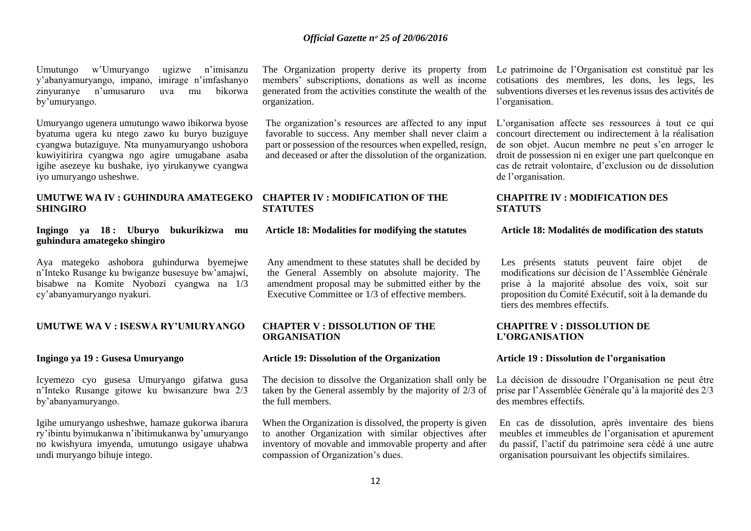Umutungo w'Umuryango ugizwe n'imisanzu y'abanyamuryango, impano, zinyuranye n'umusaruro uva mu bikorwa by'umuryango.

Umuryango ugenera umutungo wawo ibikorwa byose byatuma ugera ku ntego zawo ku buryo buziguye cyangwa butaziguye. Nta munyamuryango ushobora kuwiyitirira cyangwa ngo agire umugabane asaba igihe asezeye ku bushake, iyo yirukanywe cyangwa iyo umuryango usheshwe.

#### **UMUTWE WA IV : GUHINDURA AMATEGEKO CHAPTER IV : MODIFICATION OF THE SHINGIRO**

#### **Ingingo ya 18 : Uburyo bukurikizwa mu guhindura amategeko shingiro**

Aya mategeko ashobora guhindurwa byemejwe n'Inteko Rusange ku bwiganze busesuye bw'amajwi, bisabwe na Komite Nyobozi cyangwa na 1/3 cy'abanyamuryango nyakuri.

#### **UMUTWE WA V : ISESWA RY'UMURYANGO CHAPTER V : DISSOLUTION OF THE**

#### **Ingingo ya 19 : Gusesa Umuryango**

Icyemezo cyo gusesa Umuryango gifatwa gusa n'Inteko Rusange gitowe ku bwisanzure bwa 2/3 by'abanyamuryango.

Igihe umuryango usheshwe, hamaze gukorwa ibarura ry'ibintu byimukanwa n'ibitimukanwa by'umuryango no kwishyura imyenda, umutungo usigaye uhabwa undi muryango bihuje intego.

members' subscriptions, donations as well as income generated from the activities constitute the wealth of the organization.

The organization's resources are affected to any input L'organisation affecte ses ressources à tout ce qui favorable to success. Any member shall never claim a part or possession of the resources when expelled, resign, and deceased or after the dissolution of the organization.

# **STATUTES**

#### **Article 18: Modalities for modifying the statutes**

Any amendment to these statutes shall be decided by the General Assembly on absolute majority. The amendment proposal may be submitted either by the Executive Committee or 1/3 of effective members.

# **ORGANISATION**

#### **Article 19: Dissolution of the Organization**

The decision to dissolve the Organization shall only be taken by the General assembly by the majority of 2/3 of the full members.

When the Organization is dissolved, the property is given to another Organization with similar objectives after inventory of movable and immovable property and after compassion of Organization's dues.

The Organization property derive its property from Le patrimoine de l'Organisation est constitué par les cotisations des membres, les dons, les legs, les subventions diverses et les revenus issus des activités de l'organisation.

> concourt directement ou indirectement à la réalisation de son objet. Aucun membre ne peut s'en arroger le droit de possession ni en exiger une part quelconque en cas de retrait volontaire, d'exclusion ou de dissolution de l'organisation.

#### **CHAPITRE IV : MODIFICATION DES STATUTS**

#### **Article 18: Modalités de modification des statuts**

Les présents statuts peuvent faire objet de modifications sur décision de l'Assemblée Générale prise à la majorité absolue des voix, soit sur proposition du Comité Exécutif, soit à la demande du tiers des membres effectifs.

#### **CHAPITRE V : DISSOLUTION DE L'ORGANISATION**

#### **Article 19 : Dissolution de l'organisation**

La décision de dissoudre l'Organisation ne peut être prise par l'Assemblée Générale qu'à la majorité des 2/3 des membres effectifs.

En cas de dissolution, après inventaire des biens meubles et immeubles de l'organisation et apurement du passif, l'actif du patrimoine sera cédé à une autre organisation poursuivant les objectifs similaires.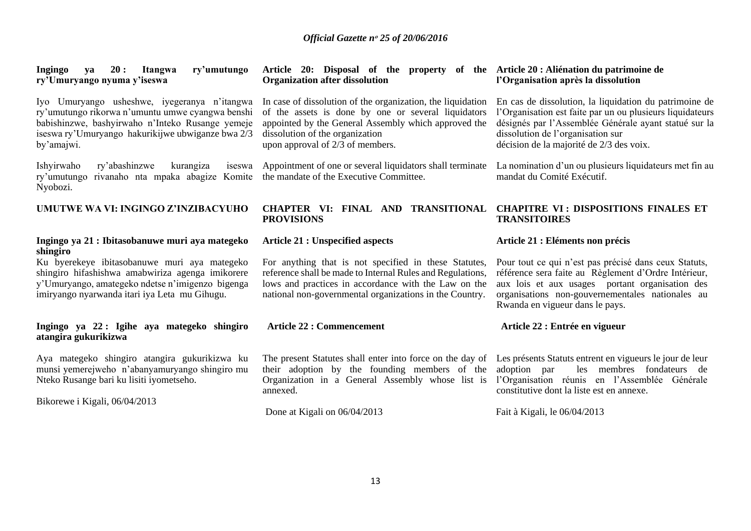| ry'umutungo<br><b>Ingingo</b><br>20:<br>Itangwa<br>va<br>ry'Umuryango nyuma y'iseswa                                                                                                                                    | Article 20: Disposal of the property of the Article 20 : Aliénation du patrimoine de<br><b>Organization after dissolution</b>                                                                                                                     | l'Organisation après la dissolution                                                                                                                                                                                                                           |
|-------------------------------------------------------------------------------------------------------------------------------------------------------------------------------------------------------------------------|---------------------------------------------------------------------------------------------------------------------------------------------------------------------------------------------------------------------------------------------------|---------------------------------------------------------------------------------------------------------------------------------------------------------------------------------------------------------------------------------------------------------------|
| Iyo Umuryango usheshwe, iyegeranya n'itangwa<br>ry'umutungo rikorwa n'umuntu umwe cyangwa benshi<br>babishinzwe, bashyirwaho n'Inteko Rusange yemeje<br>iseswa ry'Umuryango hakurikijwe ubwiganze bwa 2/3<br>by'amajwi. | In case of dissolution of the organization, the liquidation<br>of the assets is done by one or several liquidators<br>appointed by the General Assembly which approved the<br>dissolution of the organization<br>upon approval of 2/3 of members. | En cas de dissolution, la liquidation du patrimoine de<br>l'Organisation est faite par un ou plusieurs liquidateurs<br>désignés par l'Assemblée Générale ayant statué sur la<br>dissolution de l'organisation sur<br>décision de la majorité de 2/3 des voix. |
| Ishyirwaho<br>ry'abashinzwe<br>kurangiza<br>iseswa<br>rivanaho nta mpaka abagize Komite<br>ry'umutungo<br>Nyobozi.                                                                                                      | Appointment of one or several liquidators shall terminate<br>the mandate of the Executive Committee.                                                                                                                                              | La nomination d'un ou plusieurs liquidateurs met fin au<br>mandat du Comité Exécutif.                                                                                                                                                                         |
| UMUTWE WA VI: INGINGO Z'INZIBACYUHO                                                                                                                                                                                     | CHAPTER VI: FINAL AND TRANSITIONAL<br><b>PROVISIONS</b>                                                                                                                                                                                           | <b>CHAPITRE VI: DISPOSITIONS FINALES ET</b><br><b>TRANSITOIRES</b>                                                                                                                                                                                            |
| Ingingo ya 21 : Ibitasobanuwe muri aya mategeko<br>shingiro                                                                                                                                                             | <b>Article 21 : Unspecified aspects</b>                                                                                                                                                                                                           | Article 21 : Eléments non précis                                                                                                                                                                                                                              |
| Ku byerekeye ibitasobanuwe muri aya mategeko<br>shingiro hifashishwa amabwiriza agenga imikorere<br>y'Umuryango, amategeko ndetse n'imigenzo bigenga<br>imiryango nyarwanda itari iya Leta mu Gihugu.                   | For anything that is not specified in these Statutes,<br>reference shall be made to Internal Rules and Regulations,<br>lows and practices in accordance with the Law on the<br>national non-governmental organizations in the Country.            | Pour tout ce qui n'est pas précisé dans ceux Statuts,<br>référence sera faite au Règlement d'Ordre Intérieur,<br>aux lois et aux usages portant organisation des<br>organisations non-gouvernementales nationales au<br>Rwanda en vigueur dans le pays.       |
| Ingingo ya 22: Igihe aya mategeko shingiro<br>atangira gukurikizwa                                                                                                                                                      | <b>Article 22 : Commencement</b>                                                                                                                                                                                                                  | Article 22 : Entrée en vigueur                                                                                                                                                                                                                                |
| Aya mategeko shingiro atangira gukurikizwa ku<br>munsi yemerejweho n'abanyamuryango shingiro mu                                                                                                                         | The present Statutes shall enter into force on the day of Les présents Statuts entrent en vigueurs le jour de leur<br>their adoption by the founding members of the adoption par                                                                  | les membres fondateurs de                                                                                                                                                                                                                                     |

Bikorewe i Kigali, 06/04/2013

Nteko Rusange bari ku lisiti iyometseho.

# Done at Kigali on 06/04/2013

annexed.

Fait à Kigali, le 06/04/2013

constitutive dont la liste est en annexe.

l'Organisation réunis en l'Assemblée Générale

Organization in a General Assembly whose list is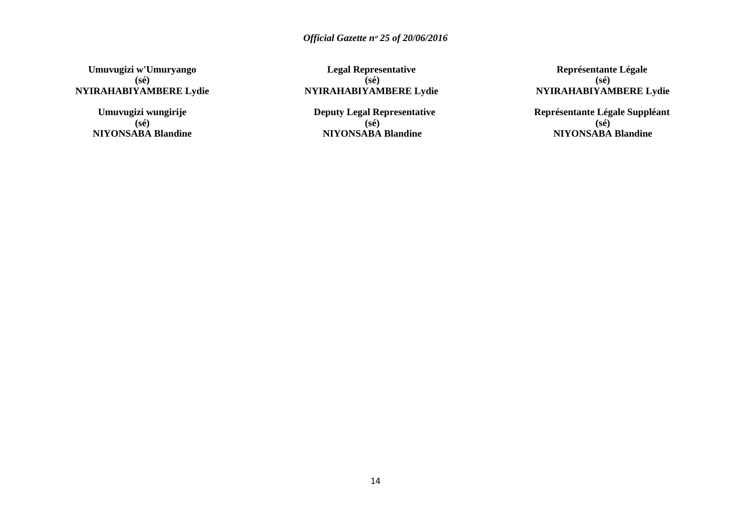**Umuvugizi w'Umuryango (sé) NYIRAHABIYAMBERE Lydie**

> **Umuvugizi wungirije (sé) NIYONSABA Blandine**

**Legal Representative (sé) NYIRAHABIYAMBERE Lydie**

**Deputy Legal Representative (sé) NIYONSABA Blandine**

**Représentante Légale (sé) NYIRAHABIYAMBERE Lydie**

**Représentante Légale Suppléant (sé) NIYONSABA Blandine**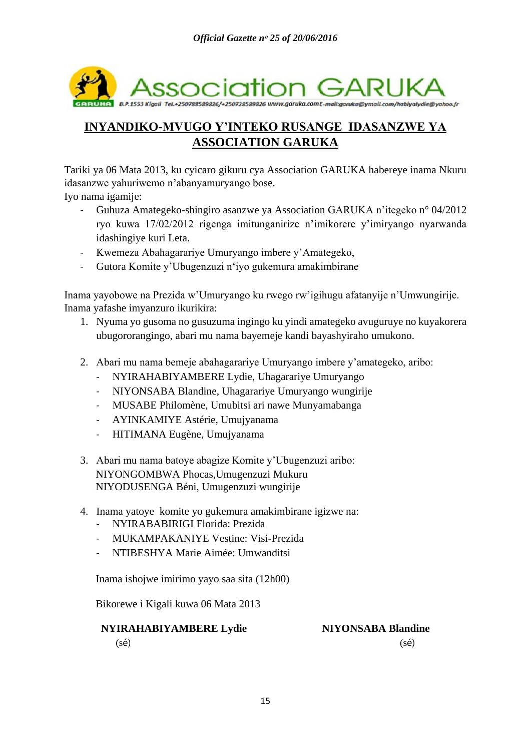

# **INYANDIKO-MVUGO Y'INTEKO RUSANGE IDASANZWE YA ASSOCIATION GARUKA**

Tariki ya 06 Mata 2013, ku cyicaro gikuru cya Association GARUKA habereye inama Nkuru idasanzwe yahuriwemo n'abanyamuryango bose.

Iyo nama igamije:

- Guhuza Amategeko-shingiro asanzwe ya Association GARUKA n'itegeko n° 04/2012 ryo kuwa 17/02/2012 rigenga imitunganirize n'imikorere y'imiryango nyarwanda idashingiye kuri Leta.
- Kwemeza Abahagarariye Umuryango imbere y'Amategeko,
- Gutora Komite y'Ubugenzuzi n'iyo gukemura amakimbirane

Inama yayobowe na Prezida w'Umuryango ku rwego rw'igihugu afatanyije n'Umwungirije. Inama yafashe imyanzuro ikurikira:

- 1. Nyuma yo gusoma no gusuzuma ingingo ku yindi amategeko avuguruye no kuyakorera ubugororangingo, abari mu nama bayemeje kandi bayashyiraho umukono.
- 2. Abari mu nama bemeje abahagarariye Umuryango imbere y'amategeko, aribo:
	- NYIRAHABIYAMBERE Lydie, Uhagarariye Umuryango
	- NIYONSABA Blandine, Uhagarariye Umuryango wungirije
	- MUSABE Philomène, Umubitsi ari nawe Munyamabanga
	- AYINKAMIYE Astérie, Umujyanama
	- HITIMANA Eugène, Umujyanama
- 3. Abari mu nama batoye abagize Komite y'Ubugenzuzi aribo: NIYONGOMBWA Phocas,Umugenzuzi Mukuru NIYODUSENGA Béni, Umugenzuzi wungirije
- 4. Inama yatoye komite yo gukemura amakimbirane igizwe na:
	- NYIRABABIRIGI Florida: Prezida
	- MUKAMPAKANIYE Vestine: Visi-Prezida
	- NTIBESHYA Marie Aimée: Umwanditsi

Inama ishojwe imirimo yayo saa sita (12h00)

Bikorewe i Kigali kuwa 06 Mata 2013

## **NYIRAHABIYAMBERE Lydie NIYONSABA Blandine**

 $(s\acute{e})$  (sé)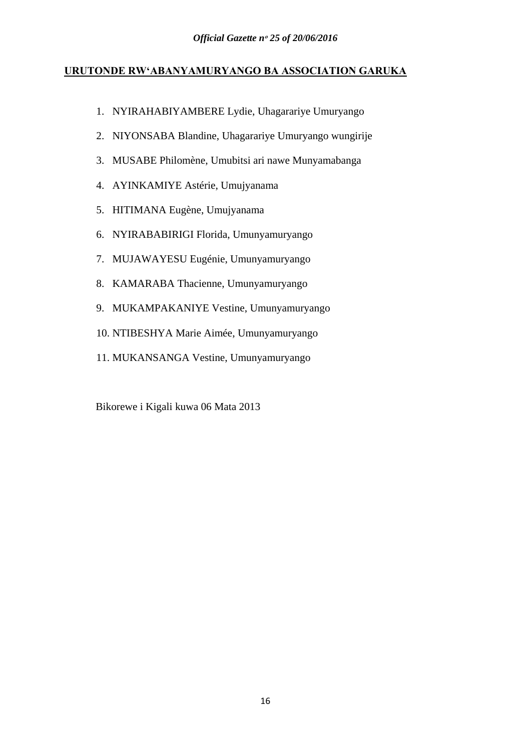## **URUTONDE RW'ABANYAMURYANGO BA ASSOCIATION GARUKA**

- 1. NYIRAHABIYAMBERE Lydie, Uhagarariye Umuryango
- 2. NIYONSABA Blandine, Uhagarariye Umuryango wungirije
- 3. MUSABE Philomène, Umubitsi ari nawe Munyamabanga
- 4. AYINKAMIYE Astérie, Umujyanama
- 5. HITIMANA Eugène, Umujyanama
- 6. NYIRABABIRIGI Florida, Umunyamuryango
- 7. MUJAWAYESU Eugénie, Umunyamuryango
- 8. KAMARABA Thacienne, Umunyamuryango
- 9. MUKAMPAKANIYE Vestine, Umunyamuryango
- 10. NTIBESHYA Marie Aimée, Umunyamuryango
- 11. MUKANSANGA Vestine, Umunyamuryango

Bikorewe i Kigali kuwa 06 Mata 2013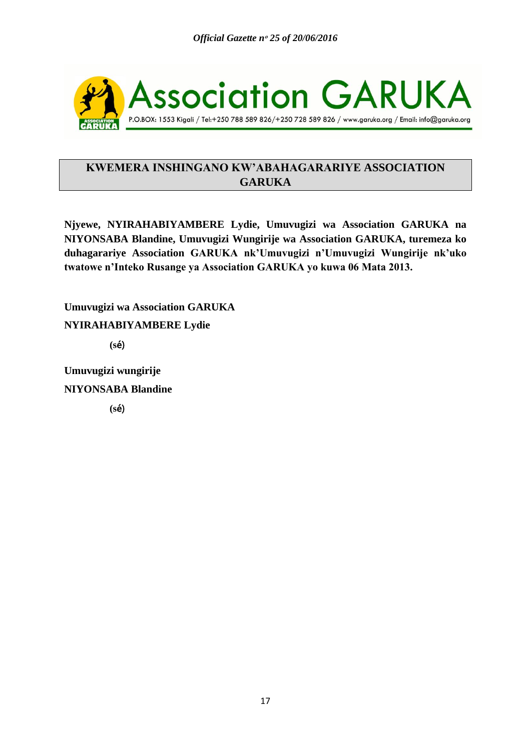

## **KWEMERA INSHINGANO KW'ABAHAGARARIYE ASSOCIATION GARUKA**

**Njyewe, NYIRAHABIYAMBERE Lydie, Umuvugizi wa Association GARUKA na NIYONSABA Blandine, Umuvugizi Wungirije wa Association GARUKA, turemeza ko duhagarariye Association GARUKA nk'Umuvugizi n'Umuvugizi Wungirije nk'uko twatowe n'Inteko Rusange ya Association GARUKA yo kuwa 06 Mata 2013.**

**Umuvugizi wa Association GARUKA NYIRAHABIYAMBERE Lydie (s**é)

**Umuvugizi wungirije NIYONSABA Blandine**

 **(s**é)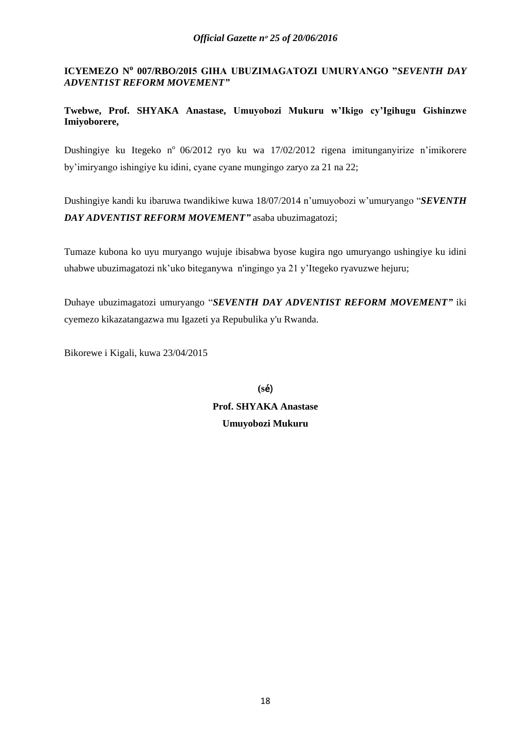<span id="page-17-0"></span>**ICYEMEZO N<sup>o</sup> 007/RBO/20I5 GIHA UBUZIMAGATOZI UMURYANGO "***SEVENTH DAY ADVENT1ST REFORM MOVEMENT"*

**Twebwe, Prof. SHYAKA Anastase, Umuyobozi Mukuru w'Ikigo cy'Igihugu Gishinzwe Imiyoborere,** 

Dushingiye ku Itegeko nº 06/2012 ryo ku wa 17/02/2012 rigena imitunganyirize n'imikorere by'imiryango ishingiye ku idini, cyane cyane mungingo zaryo za 21 na 22;

Dushingiye kandi ku ibaruwa twandikiwe kuwa 18/07/2014 n'umuyobozi w'umuryango "*SEVENTH DAY ADVENTIST REFORM MOVEMENT"* asaba ubuzimagatozi;

Tumaze kubona ko uyu muryango wujuje ibisabwa byose kugira ngo umuryango ushingiye ku idini uhabwe ubuzimagatozi nk'uko biteganywa n'ingingo ya 21 y'Itegeko ryavuzwe hejuru;

Duhaye ubuzimagatozi umuryango "*SEVENTH DAY ADVENTIST REFORM MOVEMENT"* iki cyemezo kikazatangazwa mu Igazeti ya Repubulika y'u Rwanda.

Bikorewe i Kigali, kuwa 23/04/2015

**(s**é) **Prof. SHYAKA Anastase Umuyobozi Mukuru**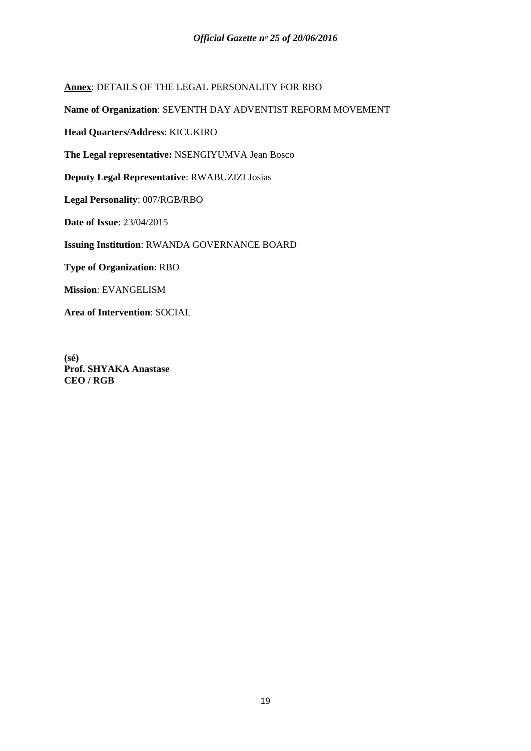**Annex**: DETAILS OF THE LEGAL PERSONALITY FOR RBO

**Name of Organization**: SEVENTH DAY ADVENTIST REFORM MOVEMENT

**Head Quarters/Address**: KICUKIRO

**The Legal representative:** NSENGIYUMVA Jean Bosco

**Deputy Legal Representative**: RWABUZIZI Josias

**Legal Personality**: 007/RGB/RBO

**Date of Issue**: 23/04/2015

**Issuing Institution**: RWANDA GOVERNANCE BOARD

**Type of Organization**: RBO

**Mission**: EVANGELISM

**Area of Intervention**: SOCIAL

**(sé) Prof. SHYAKA Anastase CEO / RGB**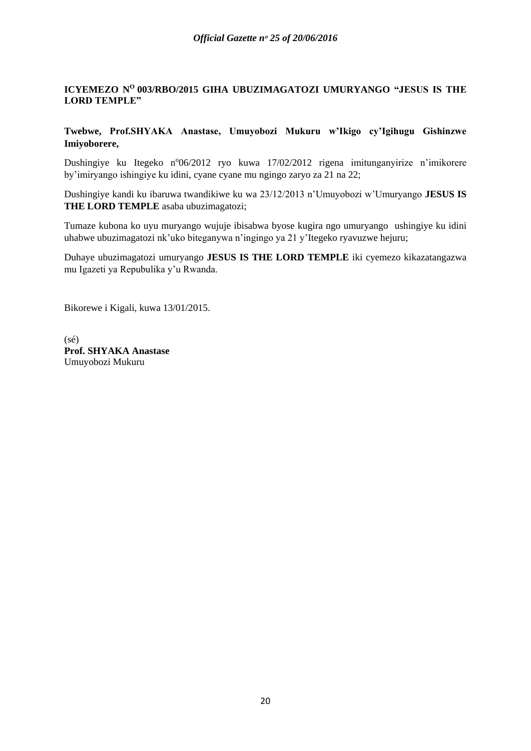## <span id="page-19-0"></span>**ICYEMEZO N<sup>O</sup>003/RBO/2015 GIHA UBUZIMAGATOZI UMURYANGO "JESUS IS THE LORD TEMPLE"**

**Twebwe, Prof.SHYAKA Anastase, Umuyobozi Mukuru w'Ikigo cy'Igihugu Gishinzwe Imiyoborere,**

Dushingiye ku Itegeko n°06/2012 ryo kuwa 17/02/2012 rigena imitunganyirize n'imikorere by'imiryango ishingiye ku idini, cyane cyane mu ngingo zaryo za 21 na 22;

Dushingiye kandi ku ibaruwa twandikiwe ku wa 23/12/2013 n'Umuyobozi w'Umuryango **JESUS IS THE LORD TEMPLE** asaba ubuzimagatozi;

Tumaze kubona ko uyu muryango wujuje ibisabwa byose kugira ngo umuryango ushingiye ku idini uhabwe ubuzimagatozi nk'uko biteganywa n'ingingo ya 21 y'Itegeko ryavuzwe hejuru;

Duhaye ubuzimagatozi umuryango **JESUS IS THE LORD TEMPLE** iki cyemezo kikazatangazwa mu Igazeti ya Repubulika y'u Rwanda.

Bikorewe i Kigali, kuwa 13/01/2015.

(sé) **Prof. SHYAKA Anastase** Umuyobozi Mukuru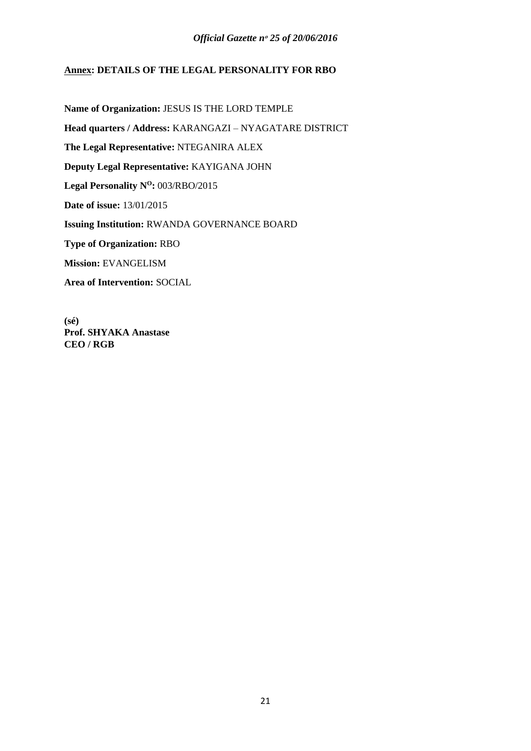## **Annex: DETAILS OF THE LEGAL PERSONALITY FOR RBO**

**Name of Organization:** JESUS IS THE LORD TEMPLE **Head quarters / Address:** KARANGAZI – NYAGATARE DISTRICT **The Legal Representative:** NTEGANIRA ALEX **Deputy Legal Representative:** KAYIGANA JOHN Legal Personality  $N^0$ : 003/RBO/2015 **Date of issue:** 13/01/2015 **Issuing Institution:** RWANDA GOVERNANCE BOARD **Type of Organization:** RBO **Mission:** EVANGELISM **Area of Intervention:** SOCIAL

**(sé) Prof. SHYAKA Anastase CEO / RGB**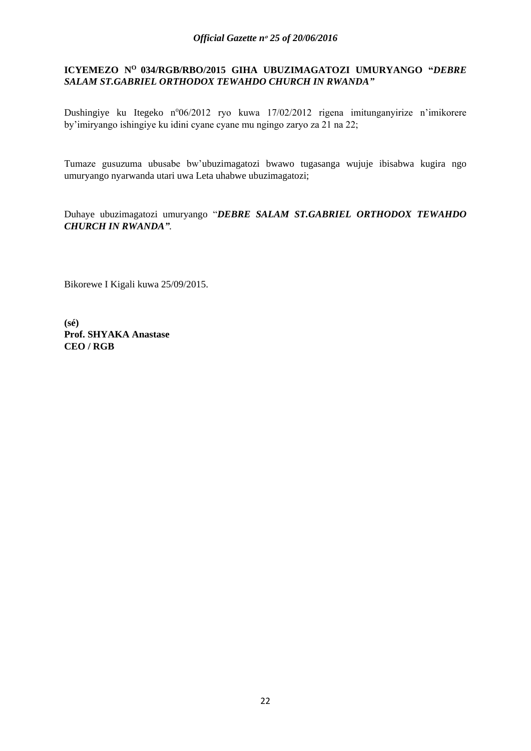## <span id="page-21-0"></span>**ICYEMEZO N<sup>O</sup>034/RGB/RBO/2015 GIHA UBUZIMAGATOZI UMURYANGO "***DEBRE SALAM ST.GABRIEL ORTHODOX TEWAHDO CHURCH IN RWANDA"*

Dushingiye ku Itegeko n°06/2012 ryo kuwa 17/02/2012 rigena imitunganyirize n'imikorere by'imiryango ishingiye ku idini cyane cyane mu ngingo zaryo za 21 na 22;

Tumaze gusuzuma ubusabe bw'ubuzimagatozi bwawo tugasanga wujuje ibisabwa kugira ngo umuryango nyarwanda utari uwa Leta uhabwe ubuzimagatozi;

Duhaye ubuzimagatozi umuryango "*DEBRE SALAM ST.GABRIEL ORTHODOX TEWAHDO CHURCH IN RWANDA".*

Bikorewe I Kigali kuwa 25/09/2015.

**(sé) Prof. SHYAKA Anastase CEO / RGB**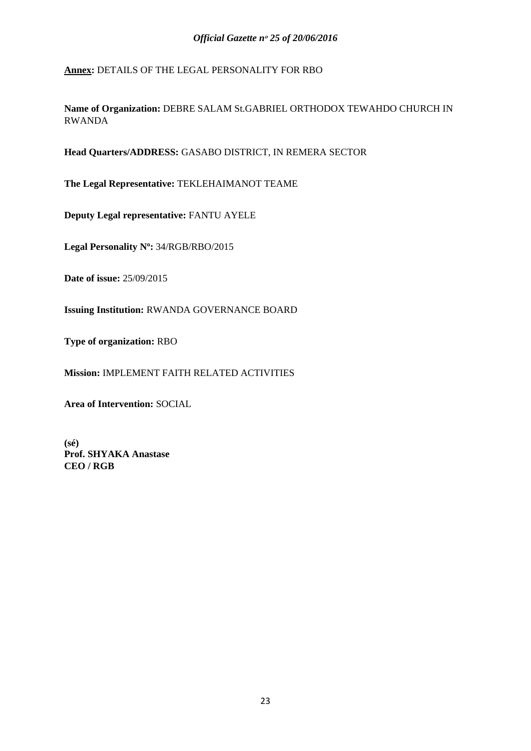**Annex:** DETAILS OF THE LEGAL PERSONALITY FOR RBO

**Name of Organization:** DEBRE SALAM St.GABRIEL ORTHODOX TEWAHDO CHURCH IN RWANDA

**Head Quarters/ADDRESS:** GASABO DISTRICT, IN REMERA SECTOR

**The Legal Representative:** TEKLEHAIMANOT TEAME

**Deputy Legal representative:** FANTU AYELE

**Legal Personality N<sup>o</sup> :** 34/RGB/RBO/2015

**Date of issue:** 25/09/2015

**Issuing Institution:** RWANDA GOVERNANCE BOARD

**Type of organization:** RBO

**Mission:** IMPLEMENT FAITH RELATED ACTIVITIES

**Area of Intervention:** SOCIAL

**(sé) Prof. SHYAKA Anastase CEO / RGB**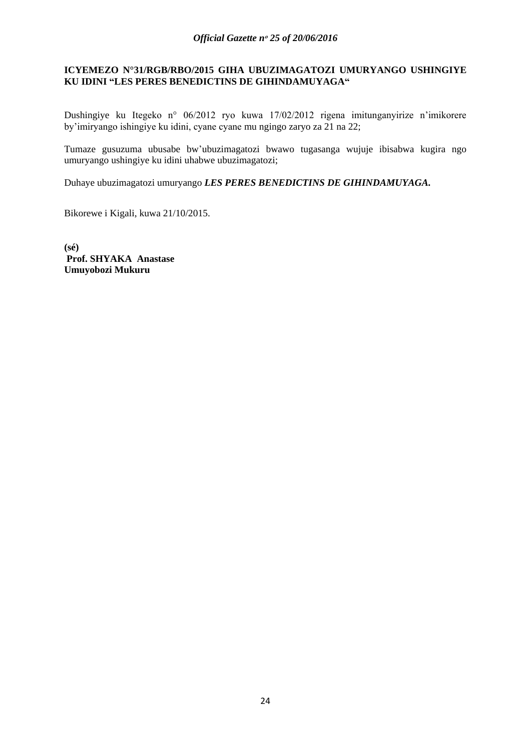## <span id="page-23-0"></span>**ICYEMEZO N°31/RGB/RBO/2015 GIHA UBUZIMAGATOZI UMURYANGO USHINGIYE KU IDINI "LES PERES BENEDICTINS DE GIHINDAMUYAGA"**

Dushingiye ku Itegeko n° 06/2012 ryo kuwa 17/02/2012 rigena imitunganyirize n'imikorere by'imiryango ishingiye ku idini, cyane cyane mu ngingo zaryo za 21 na 22;

Tumaze gusuzuma ubusabe bw'ubuzimagatozi bwawo tugasanga wujuje ibisabwa kugira ngo umuryango ushingiye ku idini uhabwe ubuzimagatozi;

Duhaye ubuzimagatozi umuryango *LES PERES BENEDICTINS DE GIHINDAMUYAGA.*

Bikorewe i Kigali, kuwa 21/10/2015.

**(sé) Prof. SHYAKA Anastase Umuyobozi Mukuru**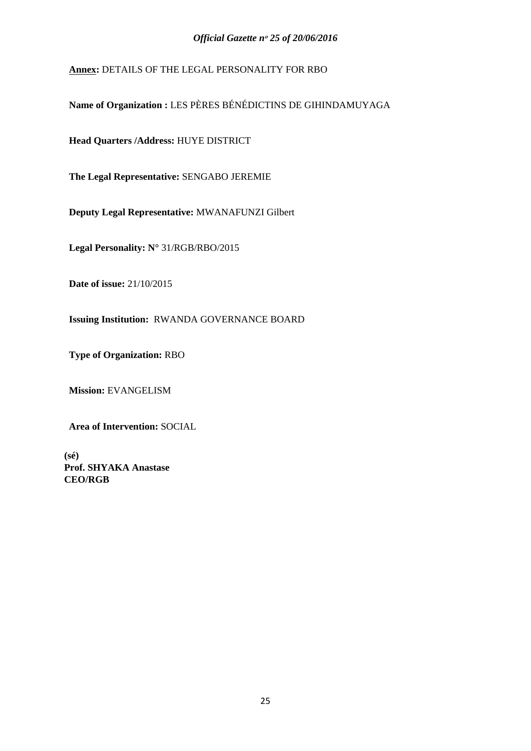**Annex:** DETAILS OF THE LEGAL PERSONALITY FOR RBO

**Name of Organization :** LES PÈRES BÉNÉDICTINS DE GIHINDAMUYAGA

**Head Quarters /Address:** HUYE DISTRICT

**The Legal Representative:** SENGABO JEREMIE

**Deputy Legal Representative:** MWANAFUNZI Gilbert

**Legal Personality: N°** 31/RGB/RBO/2015

**Date of issue:** 21/10/2015

**Issuing Institution:** RWANDA GOVERNANCE BOARD

**Type of Organization:** RBO

**Mission:** EVANGELISM

**Area of Intervention:** SOCIAL

**(sé) Prof. SHYAKA Anastase CEO/RGB**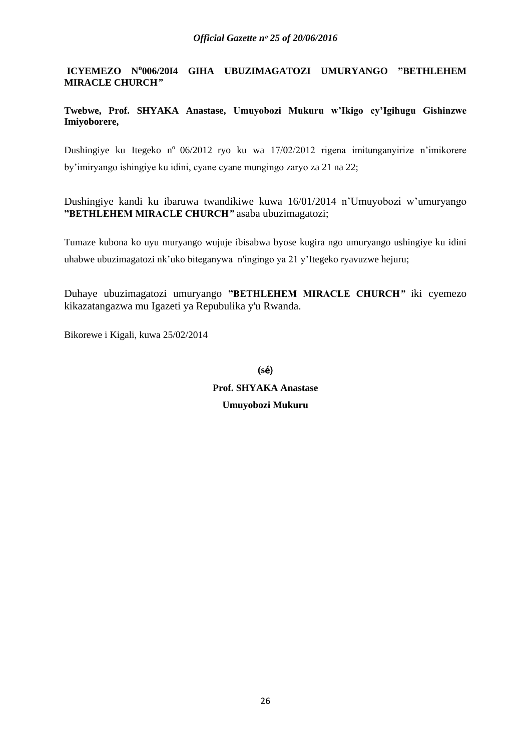**ICYEMEZO No006/20I4 GIHA UBUZIMAGATOZI UMURYANGO "BETHLEHEM MIRACLE CHURCH***"*

**Twebwe, Prof. SHYAKA Anastase, Umuyobozi Mukuru w'Ikigo cy'Igihugu Gishinzwe Imiyoborere,** 

Dushingiye ku Itegeko nº 06/2012 ryo ku wa 17/02/2012 rigena imitunganyirize n'imikorere by'imiryango ishingiye ku idini, cyane cyane mungingo zaryo za 21 na 22;

Dushingiye kandi ku ibaruwa twandikiwe kuwa 16/01/2014 n'Umuyobozi w'umuryango **"BETHLEHEM MIRACLE CHURCH***"* asaba ubuzimagatozi;

Tumaze kubona ko uyu muryango wujuje ibisabwa byose kugira ngo umuryango ushingiye ku idini uhabwe ubuzimagatozi nk'uko biteganywa n'ingingo ya 21 y'Itegeko ryavuzwe hejuru;

Duhaye ubuzimagatozi umuryango **"BETHLEHEM MIRACLE CHURCH***"* iki cyemezo kikazatangazwa mu Igazeti ya Repubulika y'u Rwanda.

Bikorewe i Kigali, kuwa 25/02/2014

**(s**é) **Prof. SHYAKA Anastase Umuyobozi Mukuru**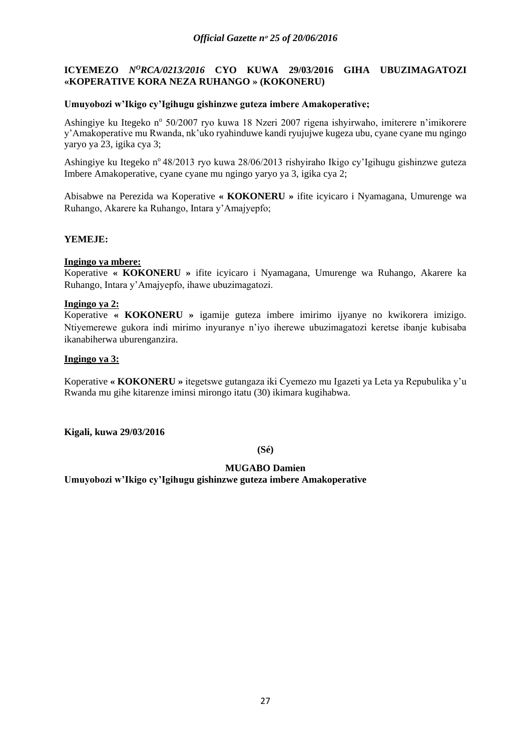## <span id="page-26-0"></span>**ICYEMEZO** *N<sup>O</sup>RCA/0213/2016* CYO KUWA 29/03/2016 GIHA UBUZIMAGATOZI **«KOPERATIVE KORA NEZA RUHANGO » (KOKONERU)**

## **Umuyobozi w'Ikigo cy'Igihugu gishinzwe guteza imbere Amakoperative;**

Ashingiye ku Itegeko nº 50/2007 ryo kuwa 18 Nzeri 2007 rigena ishyirwaho, imiterere n'imikorere y'Amakoperative mu Rwanda, nk'uko ryahinduwe kandi ryujujwe kugeza ubu, cyane cyane mu ngingo yaryo ya 23, igika cya 3;

Ashingiye ku Itegeko n° 48/2013 ryo kuwa 28/06/2013 rishyiraho Ikigo cy'Igihugu gishinzwe guteza Imbere Amakoperative, cyane cyane mu ngingo yaryo ya 3, igika cya 2;

Abisabwe na Perezida wa Koperative **« KOKONERU »** ifite icyicaro i Nyamagana, Umurenge wa Ruhango, Akarere ka Ruhango, Intara y'Amajyepfo;

## **YEMEJE:**

## **Ingingo ya mbere:**

Koperative **« KOKONERU »** ifite icyicaro i Nyamagana, Umurenge wa Ruhango, Akarere ka Ruhango, Intara y'Amajyepfo, ihawe ubuzimagatozi.

## **Ingingo ya 2:**

Koperative **« KOKONERU »** igamije guteza imbere imirimo ijyanye no kwikorera imizigo. Ntiyemerewe gukora indi mirimo inyuranye n'iyo iherewe ubuzimagatozi keretse ibanje kubisaba ikanabiherwa uburenganzira.

## **Ingingo ya 3:**

Koperative **« KOKONERU »** itegetswe gutangaza iki Cyemezo mu Igazeti ya Leta ya Repubulika y'u Rwanda mu gihe kitarenze iminsi mirongo itatu (30) ikimara kugihabwa.

**Kigali, kuwa 29/03/2016**

## **(Sé)**

## **MUGABO Damien**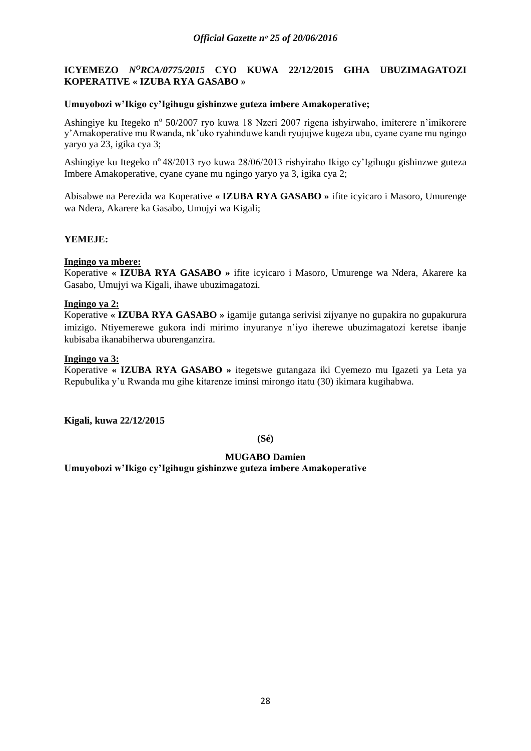## <span id="page-27-0"></span>**ICYEMEZO** *NºRCA/0775/2015* CYO KUWA 22/12/2015 GIHA UBUZIMAGATOZI **KOPERATIVE « IZUBA RYA GASABO »**

## **Umuyobozi w'Ikigo cy'Igihugu gishinzwe guteza imbere Amakoperative;**

Ashingiye ku Itegeko nº 50/2007 ryo kuwa 18 Nzeri 2007 rigena ishyirwaho, imiterere n'imikorere y'Amakoperative mu Rwanda, nk'uko ryahinduwe kandi ryujujwe kugeza ubu, cyane cyane mu ngingo yaryo ya 23, igika cya 3;

Ashingiye ku Itegeko n° 48/2013 ryo kuwa 28/06/2013 rishyiraho Ikigo cy'Igihugu gishinzwe guteza Imbere Amakoperative, cyane cyane mu ngingo yaryo ya 3, igika cya 2;

Abisabwe na Perezida wa Koperative **« IZUBA RYA GASABO »** ifite icyicaro i Masoro, Umurenge wa Ndera, Akarere ka Gasabo, Umujyi wa Kigali;

## **YEMEJE:**

## **Ingingo ya mbere:**

Koperative **« IZUBA RYA GASABO »** ifite icyicaro i Masoro, Umurenge wa Ndera, Akarere ka Gasabo, Umujyi wa Kigali, ihawe ubuzimagatozi.

## **Ingingo ya 2:**

Koperative **« IZUBA RYA GASABO »** igamije gutanga serivisi zijyanye no gupakira no gupakurura imizigo. Ntiyemerewe gukora indi mirimo inyuranye n'iyo iherewe ubuzimagatozi keretse ibanje kubisaba ikanabiherwa uburenganzira.

### **Ingingo ya 3:**

Koperative **« IZUBA RYA GASABO »** itegetswe gutangaza iki Cyemezo mu Igazeti ya Leta ya Repubulika y'u Rwanda mu gihe kitarenze iminsi mirongo itatu (30) ikimara kugihabwa.

**Kigali, kuwa 22/12/2015**

## **(Sé)**

## **MUGABO Damien**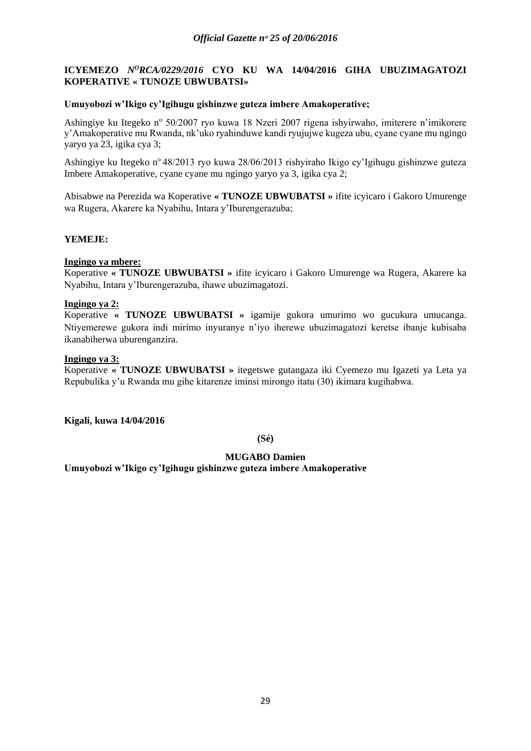## <span id="page-28-0"></span>**ICYEMEZO** *N<sup>O</sup>RCA/0229/2016* CYO KU WA 14/04/2016 GIHA UBUZIMAGATOZI **KOPERATIVE « TUNOZE UBWUBATSI»**

## **Umuyobozi w'Ikigo cy'Igihugu gishinzwe guteza imbere Amakoperative;**

Ashingiye ku Itegeko nº 50/2007 ryo kuwa 18 Nzeri 2007 rigena ishyirwaho, imiterere n'imikorere y'Amakoperative mu Rwanda, nk'uko ryahinduwe kandi ryujujwe kugeza ubu, cyane cyane mu ngingo yaryo ya 23, igika cya 3;

Ashingiye ku Itegeko n° 48/2013 ryo kuwa 28/06/2013 rishyiraho Ikigo cy'Igihugu gishinzwe guteza Imbere Amakoperative, cyane cyane mu ngingo yaryo ya 3, igika cya 2;

Abisabwe na Perezida wa Koperative **« TUNOZE UBWUBATSI »** ifite icyicaro i Gakoro Umurenge wa Rugera, Akarere ka Nyabihu, Intara y'Iburengerazuba;

## **YEMEJE:**

## **Ingingo ya mbere:**

Koperative **« TUNOZE UBWUBATSI »** ifite icyicaro i Gakoro Umurenge wa Rugera, Akarere ka Nyabihu, Intara y'Iburengerazuba, ihawe ubuzimagatozi.

## **Ingingo ya 2:**

Koperative **« TUNOZE UBWUBATSI »** igamije gukora umurimo wo gucukura umucanga. Ntiyemerewe gukora indi mirimo inyuranye n'iyo iherewe ubuzimagatozi keretse ibanje kubisaba ikanabiherwa uburenganzira.

## **Ingingo ya 3:**

Koperative **« TUNOZE UBWUBATSI »** itegetswe gutangaza iki Cyemezo mu Igazeti ya Leta ya Repubulika y'u Rwanda mu gihe kitarenze iminsi mirongo itatu (30) ikimara kugihabwa.

**Kigali, kuwa 14/04/2016**

**(Sé)**

## **MUGABO Damien**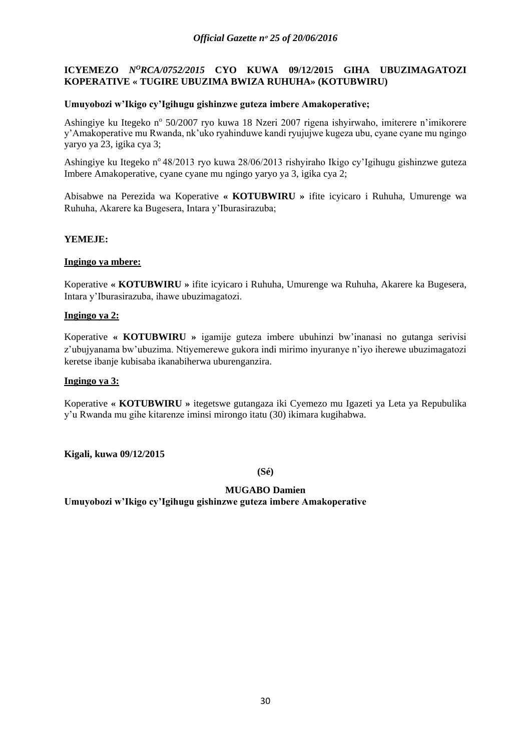## <span id="page-29-0"></span>**ICYEMEZO** *NºRCA/0752/2015* CYO KUWA 09/12/2015 GIHA UBUZIMAGATOZI **KOPERATIVE « TUGIRE UBUZIMA BWIZA RUHUHA» (KOTUBWIRU)**

## **Umuyobozi w'Ikigo cy'Igihugu gishinzwe guteza imbere Amakoperative;**

Ashingiye ku Itegeko nº 50/2007 ryo kuwa 18 Nzeri 2007 rigena ishyirwaho, imiterere n'imikorere y'Amakoperative mu Rwanda, nk'uko ryahinduwe kandi ryujujwe kugeza ubu, cyane cyane mu ngingo yaryo ya 23, igika cya 3;

Ashingiye ku Itegeko n° 48/2013 ryo kuwa 28/06/2013 rishyiraho Ikigo cy'Igihugu gishinzwe guteza Imbere Amakoperative, cyane cyane mu ngingo yaryo ya 3, igika cya 2;

Abisabwe na Perezida wa Koperative **« KOTUBWIRU »** ifite icyicaro i Ruhuha, Umurenge wa Ruhuha, Akarere ka Bugesera, Intara y'Iburasirazuba;

## **YEMEJE:**

## **Ingingo ya mbere:**

Koperative **« KOTUBWIRU »** ifite icyicaro i Ruhuha, Umurenge wa Ruhuha, Akarere ka Bugesera, Intara y'Iburasirazuba, ihawe ubuzimagatozi.

## **Ingingo ya 2:**

Koperative **« KOTUBWIRU »** igamije guteza imbere ubuhinzi bw'inanasi no gutanga serivisi z'ubujyanama bw'ubuzima. Ntiyemerewe gukora indi mirimo inyuranye n'iyo iherewe ubuzimagatozi keretse ibanje kubisaba ikanabiherwa uburenganzira.

## **Ingingo ya 3:**

Koperative **« KOTUBWIRU »** itegetswe gutangaza iki Cyemezo mu Igazeti ya Leta ya Repubulika y'u Rwanda mu gihe kitarenze iminsi mirongo itatu (30) ikimara kugihabwa.

**Kigali, kuwa 09/12/2015**

**(Sé)**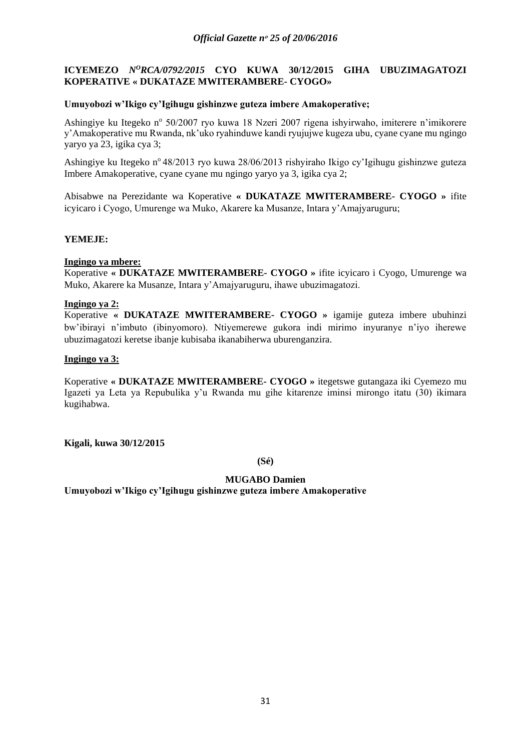## <span id="page-30-0"></span>**ICYEMEZO** *N<sup>O</sup>RCA/0792/2015* CYO KUWA 30/12/2015 GIHA UBUZIMAGATOZI **KOPERATIVE « DUKATAZE MWITERAMBERE- CYOGO»**

## **Umuyobozi w'Ikigo cy'Igihugu gishinzwe guteza imbere Amakoperative;**

Ashingiye ku Itegeko nº 50/2007 ryo kuwa 18 Nzeri 2007 rigena ishyirwaho, imiterere n'imikorere y'Amakoperative mu Rwanda, nk'uko ryahinduwe kandi ryujujwe kugeza ubu, cyane cyane mu ngingo yaryo ya 23, igika cya 3;

Ashingiye ku Itegeko n° 48/2013 ryo kuwa 28/06/2013 rishyiraho Ikigo cy'Igihugu gishinzwe guteza Imbere Amakoperative, cyane cyane mu ngingo yaryo ya 3, igika cya 2;

Abisabwe na Perezidante wa Koperative **« DUKATAZE MWITERAMBERE- CYOGO »** ifite icyicaro i Cyogo, Umurenge wa Muko, Akarere ka Musanze, Intara y'Amajyaruguru;

## **YEMEJE:**

## **Ingingo ya mbere:**

Koperative **« DUKATAZE MWITERAMBERE- CYOGO »** ifite icyicaro i Cyogo, Umurenge wa Muko, Akarere ka Musanze, Intara y'Amajyaruguru, ihawe ubuzimagatozi.

## **Ingingo ya 2:**

Koperative **« DUKATAZE MWITERAMBERE- CYOGO »** igamije guteza imbere ubuhinzi bw'ibirayi n'imbuto (ibinyomoro). Ntiyemerewe gukora indi mirimo inyuranye n'iyo iherewe ubuzimagatozi keretse ibanje kubisaba ikanabiherwa uburenganzira.

## **Ingingo ya 3:**

Koperative **« DUKATAZE MWITERAMBERE- CYOGO »** itegetswe gutangaza iki Cyemezo mu Igazeti ya Leta ya Repubulika y'u Rwanda mu gihe kitarenze iminsi mirongo itatu (30) ikimara kugihabwa.

**Kigali, kuwa 30/12/2015**

**(Sé)**

## **MUGABO Damien**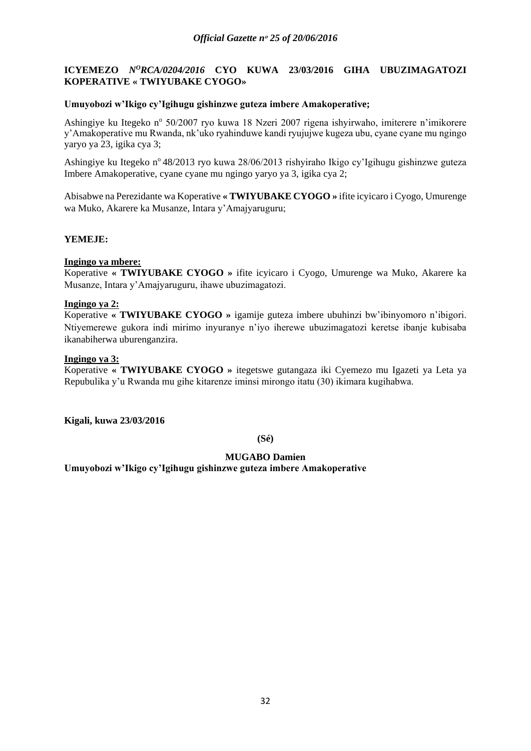## <span id="page-31-0"></span>**ICYEMEZO** *N<sup>O</sup>RCA/0204/2016* CYO KUWA 23/03/2016 GIHA UBUZIMAGATOZI **KOPERATIVE « TWIYUBAKE CYOGO»**

#### **Umuyobozi w'Ikigo cy'Igihugu gishinzwe guteza imbere Amakoperative;**

Ashingiye ku Itegeko nº 50/2007 ryo kuwa 18 Nzeri 2007 rigena ishyirwaho, imiterere n'imikorere y'Amakoperative mu Rwanda, nk'uko ryahinduwe kandi ryujujwe kugeza ubu, cyane cyane mu ngingo yaryo ya 23, igika cya 3;

Ashingiye ku Itegeko n° 48/2013 ryo kuwa 28/06/2013 rishyiraho Ikigo cy'Igihugu gishinzwe guteza Imbere Amakoperative, cyane cyane mu ngingo yaryo ya 3, igika cya 2;

Abisabwe na Perezidante wa Koperative **« TWIYUBAKE CYOGO »** ifite icyicaro i Cyogo, Umurenge wa Muko, Akarere ka Musanze, Intara y'Amajyaruguru;

### **YEMEJE:**

#### **Ingingo ya mbere:**

Koperative **« TWIYUBAKE CYOGO »** ifite icyicaro i Cyogo, Umurenge wa Muko, Akarere ka Musanze, Intara y'Amajyaruguru, ihawe ubuzimagatozi.

#### **Ingingo ya 2:**

Koperative **« TWIYUBAKE CYOGO »** igamije guteza imbere ubuhinzi bw'ibinyomoro n'ibigori. Ntiyemerewe gukora indi mirimo inyuranye n'iyo iherewe ubuzimagatozi keretse ibanje kubisaba ikanabiherwa uburenganzira.

#### **Ingingo ya 3:**

Koperative **« TWIYUBAKE CYOGO »** itegetswe gutangaza iki Cyemezo mu Igazeti ya Leta ya Repubulika y'u Rwanda mu gihe kitarenze iminsi mirongo itatu (30) ikimara kugihabwa.

**Kigali, kuwa 23/03/2016**

**(Sé)**

### **MUGABO Damien**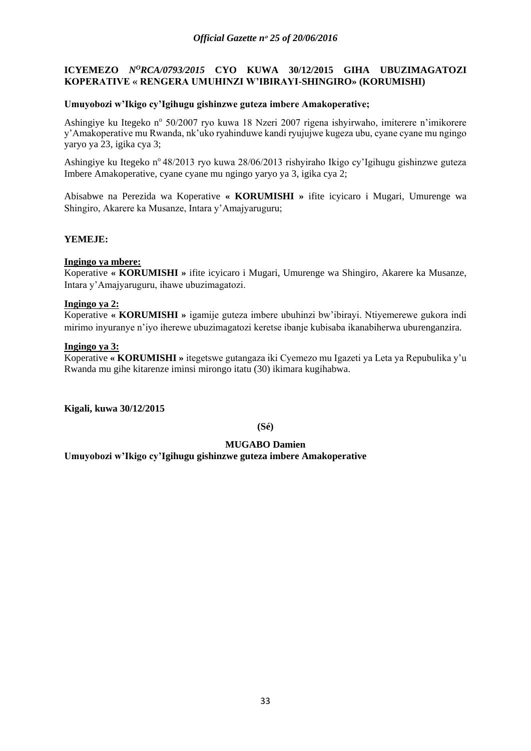## <span id="page-32-0"></span>**ICYEMEZO** *N<sup>O</sup>RCA/0793/2015* CYO KUWA 30/12/2015 GIHA UBUZIMAGATOZI **KOPERATIVE « RENGERA UMUHINZI W'IBIRAYI-SHINGIRO» (KORUMISHI)**

## **Umuyobozi w'Ikigo cy'Igihugu gishinzwe guteza imbere Amakoperative;**

Ashingiye ku Itegeko nº 50/2007 ryo kuwa 18 Nzeri 2007 rigena ishyirwaho, imiterere n'imikorere y'Amakoperative mu Rwanda, nk'uko ryahinduwe kandi ryujujwe kugeza ubu, cyane cyane mu ngingo yaryo ya 23, igika cya 3;

Ashingiye ku Itegeko n° 48/2013 ryo kuwa 28/06/2013 rishyiraho Ikigo cy'Igihugu gishinzwe guteza Imbere Amakoperative, cyane cyane mu ngingo yaryo ya 3, igika cya 2;

Abisabwe na Perezida wa Koperative **« KORUMISHI »** ifite icyicaro i Mugari, Umurenge wa Shingiro, Akarere ka Musanze, Intara y'Amajyaruguru;

## **YEMEJE:**

## **Ingingo ya mbere:**

Koperative **« KORUMISHI »** ifite icyicaro i Mugari, Umurenge wa Shingiro, Akarere ka Musanze, Intara y'Amajyaruguru, ihawe ubuzimagatozi.

## **Ingingo ya 2:**

Koperative **« KORUMISHI »** igamije guteza imbere ubuhinzi bw'ibirayi. Ntiyemerewe gukora indi mirimo inyuranye n'iyo iherewe ubuzimagatozi keretse ibanje kubisaba ikanabiherwa uburenganzira.

### **Ingingo ya 3:**

Koperative **« KORUMISHI »** itegetswe gutangaza iki Cyemezo mu Igazeti ya Leta ya Repubulika y'u Rwanda mu gihe kitarenze iminsi mirongo itatu (30) ikimara kugihabwa.

**Kigali, kuwa 30/12/2015**

**(Sé)**

## **MUGABO Damien**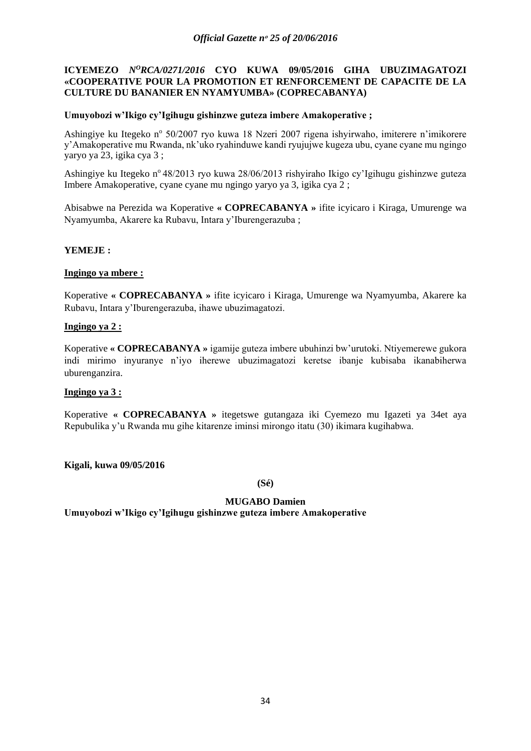## <span id="page-33-0"></span>**ICYEMEZO** *N<sup>O</sup>RCA/0271/2016* CYO KUWA 09/05/2016 GIHA UBUZIMAGATOZI **«COOPERATIVE POUR LA PROMOTION ET RENFORCEMENT DE CAPACITE DE LA CULTURE DU BANANIER EN NYAMYUMBA» (COPRECABANYA)**

### **Umuyobozi w'Ikigo cy'Igihugu gishinzwe guteza imbere Amakoperative ;**

Ashingiye ku Itegeko nº 50/2007 ryo kuwa 18 Nzeri 2007 rigena ishyirwaho, imiterere n'imikorere y'Amakoperative mu Rwanda, nk'uko ryahinduwe kandi ryujujwe kugeza ubu, cyane cyane mu ngingo yaryo ya 23, igika cya 3 ;

Ashingiye ku Itegeko n° 48/2013 ryo kuwa 28/06/2013 rishyiraho Ikigo cy'Igihugu gishinzwe guteza Imbere Amakoperative, cyane cyane mu ngingo yaryo ya 3, igika cya 2 ;

Abisabwe na Perezida wa Koperative **« COPRECABANYA »** ifite icyicaro i Kiraga, Umurenge wa Nyamyumba, Akarere ka Rubavu, Intara y'Iburengerazuba ;

## **YEMEJE :**

### **Ingingo ya mbere :**

Koperative **« COPRECABANYA »** ifite icyicaro i Kiraga, Umurenge wa Nyamyumba, Akarere ka Rubavu, Intara y'Iburengerazuba, ihawe ubuzimagatozi.

## **Ingingo ya 2 :**

Koperative **« COPRECABANYA »** igamije guteza imbere ubuhinzi bw'urutoki. Ntiyemerewe gukora indi mirimo inyuranye n'iyo iherewe ubuzimagatozi keretse ibanje kubisaba ikanabiherwa uburenganzira.

### **Ingingo ya 3 :**

Koperative **« COPRECABANYA »** itegetswe gutangaza iki Cyemezo mu Igazeti ya 34et aya Repubulika y'u Rwanda mu gihe kitarenze iminsi mirongo itatu (30) ikimara kugihabwa.

### **Kigali, kuwa 09/05/2016**

**(Sé)**

## **MUGABO Damien**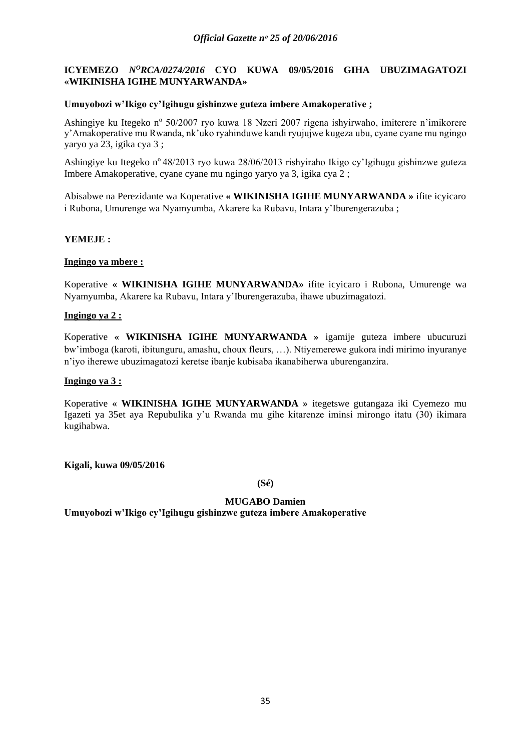## <span id="page-34-0"></span>**ICYEMEZO** *N<sup>O</sup>RCA/0274/2016* CYO KUWA 09/05/2016 GIHA UBUZIMAGATOZI **«WIKINISHA IGIHE MUNYARWANDA»**

## **Umuyobozi w'Ikigo cy'Igihugu gishinzwe guteza imbere Amakoperative ;**

Ashingiye ku Itegeko nº 50/2007 ryo kuwa 18 Nzeri 2007 rigena ishyirwaho, imiterere n'imikorere y'Amakoperative mu Rwanda, nk'uko ryahinduwe kandi ryujujwe kugeza ubu, cyane cyane mu ngingo yaryo ya 23, igika cya 3 ;

Ashingiye ku Itegeko n° 48/2013 ryo kuwa 28/06/2013 rishyiraho Ikigo cy'Igihugu gishinzwe guteza Imbere Amakoperative, cyane cyane mu ngingo yaryo ya 3, igika cya 2 ;

Abisabwe na Perezidante wa Koperative **« WIKINISHA IGIHE MUNYARWANDA »** ifite icyicaro i Rubona, Umurenge wa Nyamyumba, Akarere ka Rubavu, Intara y'Iburengerazuba ;

## **YEMEJE :**

## **Ingingo ya mbere :**

Koperative **« WIKINISHA IGIHE MUNYARWANDA»** ifite icyicaro i Rubona, Umurenge wa Nyamyumba, Akarere ka Rubavu, Intara y'Iburengerazuba, ihawe ubuzimagatozi.

## **Ingingo ya 2 :**

Koperative **« WIKINISHA IGIHE MUNYARWANDA »** igamije guteza imbere ubucuruzi bw'imboga (karoti, ibitunguru, amashu, choux fleurs, …). Ntiyemerewe gukora indi mirimo inyuranye n'iyo iherewe ubuzimagatozi keretse ibanje kubisaba ikanabiherwa uburenganzira.

### **Ingingo ya 3 :**

Koperative **« WIKINISHA IGIHE MUNYARWANDA »** itegetswe gutangaza iki Cyemezo mu Igazeti ya 35et aya Repubulika y'u Rwanda mu gihe kitarenze iminsi mirongo itatu (30) ikimara kugihabwa.

**Kigali, kuwa 09/05/2016**

**(Sé)**

## **MUGABO Damien**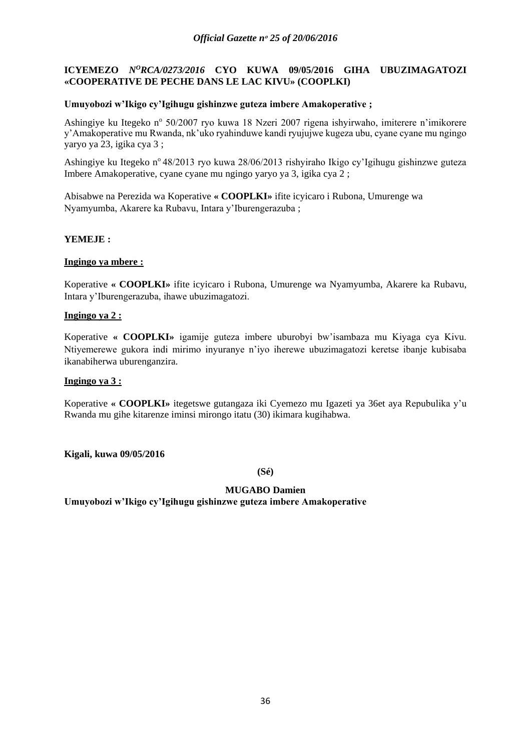## <span id="page-35-0"></span>**ICYEMEZO** *N<sup>O</sup>RCA/0273/2016* CYO KUWA 09/05/2016 GIHA UBUZIMAGATOZI **«COOPERATIVE DE PECHE DANS LE LAC KIVU» (COOPLKI)**

## **Umuyobozi w'Ikigo cy'Igihugu gishinzwe guteza imbere Amakoperative ;**

Ashingiye ku Itegeko nº 50/2007 ryo kuwa 18 Nzeri 2007 rigena ishyirwaho, imiterere n'imikorere y'Amakoperative mu Rwanda, nk'uko ryahinduwe kandi ryujujwe kugeza ubu, cyane cyane mu ngingo yaryo ya 23, igika cya 3 ;

Ashingiye ku Itegeko n° 48/2013 ryo kuwa 28/06/2013 rishyiraho Ikigo cy'Igihugu gishinzwe guteza Imbere Amakoperative, cyane cyane mu ngingo yaryo ya 3, igika cya 2 ;

Abisabwe na Perezida wa Koperative **« COOPLKI»** ifite icyicaro i Rubona, Umurenge wa Nyamyumba, Akarere ka Rubavu, Intara y'Iburengerazuba ;

## **YEMEJE :**

## **Ingingo ya mbere :**

Koperative **« COOPLKI»** ifite icyicaro i Rubona, Umurenge wa Nyamyumba, Akarere ka Rubavu, Intara y'Iburengerazuba, ihawe ubuzimagatozi.

## **Ingingo ya 2 :**

Koperative **« COOPLKI»** igamije guteza imbere uburobyi bw'isambaza mu Kiyaga cya Kivu. Ntiyemerewe gukora indi mirimo inyuranye n'iyo iherewe ubuzimagatozi keretse ibanje kubisaba ikanabiherwa uburenganzira.

## **Ingingo ya 3 :**

Koperative **« COOPLKI»** itegetswe gutangaza iki Cyemezo mu Igazeti ya 36et aya Repubulika y'u Rwanda mu gihe kitarenze iminsi mirongo itatu (30) ikimara kugihabwa.

**Kigali, kuwa 09/05/2016**

**(Sé)**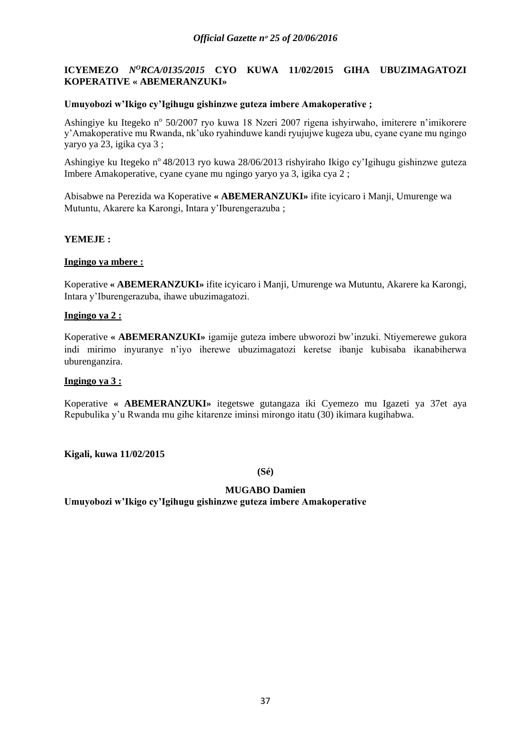# **ICYEMEZO** *NºRCA/0135/2015* CYO KUWA 11/02/2015 GIHA UBUZIMAGATOZI **KOPERATIVE « ABEMERANZUKI»**

## **Umuyobozi w'Ikigo cy'Igihugu gishinzwe guteza imbere Amakoperative ;**

Ashingiye ku Itegeko nº 50/2007 ryo kuwa 18 Nzeri 2007 rigena ishyirwaho, imiterere n'imikorere y'Amakoperative mu Rwanda, nk'uko ryahinduwe kandi ryujujwe kugeza ubu, cyane cyane mu ngingo yaryo ya 23, igika cya 3 ;

Ashingiye ku Itegeko n° 48/2013 ryo kuwa 28/06/2013 rishyiraho Ikigo cy'Igihugu gishinzwe guteza Imbere Amakoperative, cyane cyane mu ngingo yaryo ya 3, igika cya 2 ;

Abisabwe na Perezida wa Koperative **« ABEMERANZUKI»** ifite icyicaro i Manji, Umurenge wa Mutuntu, Akarere ka Karongi, Intara y'Iburengerazuba ;

## **YEMEJE :**

# **Ingingo ya mbere :**

Koperative **« ABEMERANZUKI»** ifite icyicaro i Manji, Umurenge wa Mutuntu, Akarere ka Karongi, Intara y'Iburengerazuba, ihawe ubuzimagatozi.

## **Ingingo ya 2 :**

Koperative **« ABEMERANZUKI»** igamije guteza imbere ubworozi bw'inzuki. Ntiyemerewe gukora indi mirimo inyuranye n'iyo iherewe ubuzimagatozi keretse ibanje kubisaba ikanabiherwa uburenganzira.

### **Ingingo ya 3 :**

Koperative **« ABEMERANZUKI»** itegetswe gutangaza iki Cyemezo mu Igazeti ya 37et aya Repubulika y'u Rwanda mu gihe kitarenze iminsi mirongo itatu (30) ikimara kugihabwa.

**Kigali, kuwa 11/02/2015**

**(Sé)**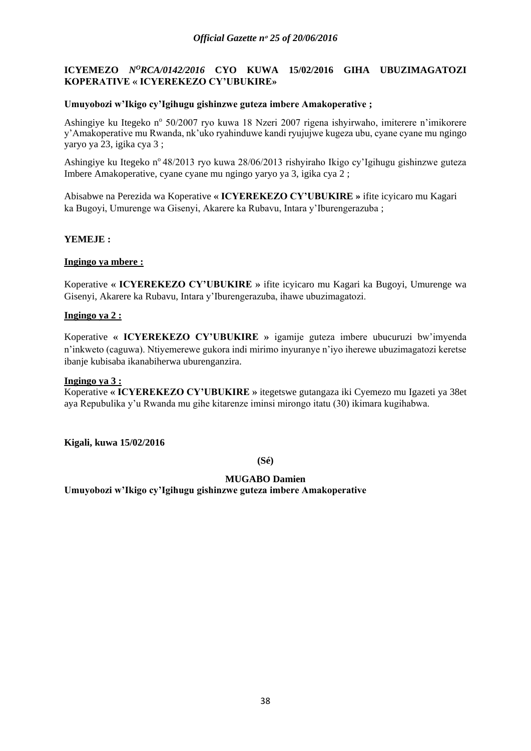# **ICYEMEZO** *N<sup>O</sup>RCA/0142/2016* CYO KUWA 15/02/2016 GIHA UBUZIMAGATOZI **KOPERATIVE « ICYEREKEZO CY'UBUKIRE»**

## **Umuyobozi w'Ikigo cy'Igihugu gishinzwe guteza imbere Amakoperative ;**

Ashingiye ku Itegeko nº 50/2007 ryo kuwa 18 Nzeri 2007 rigena ishyirwaho, imiterere n'imikorere y'Amakoperative mu Rwanda, nk'uko ryahinduwe kandi ryujujwe kugeza ubu, cyane cyane mu ngingo yaryo ya 23, igika cya 3 ;

Ashingiye ku Itegeko n° 48/2013 ryo kuwa 28/06/2013 rishyiraho Ikigo cy'Igihugu gishinzwe guteza Imbere Amakoperative, cyane cyane mu ngingo yaryo ya 3, igika cya 2 ;

Abisabwe na Perezida wa Koperative **« ICYEREKEZO CY'UBUKIRE »** ifite icyicaro mu Kagari ka Bugoyi, Umurenge wa Gisenyi, Akarere ka Rubavu, Intara y'Iburengerazuba ;

## **YEMEJE :**

## **Ingingo ya mbere :**

Koperative **« ICYEREKEZO CY'UBUKIRE »** ifite icyicaro mu Kagari ka Bugoyi, Umurenge wa Gisenyi, Akarere ka Rubavu, Intara y'Iburengerazuba, ihawe ubuzimagatozi.

## **Ingingo ya 2 :**

Koperative **« ICYEREKEZO CY'UBUKIRE »** igamije guteza imbere ubucuruzi bw'imyenda n'inkweto (caguwa). Ntiyemerewe gukora indi mirimo inyuranye n'iyo iherewe ubuzimagatozi keretse ibanje kubisaba ikanabiherwa uburenganzira.

### **Ingingo ya 3 :**

Koperative **« ICYEREKEZO CY'UBUKIRE »** itegetswe gutangaza iki Cyemezo mu Igazeti ya 38et aya Repubulika y'u Rwanda mu gihe kitarenze iminsi mirongo itatu (30) ikimara kugihabwa.

**Kigali, kuwa 15/02/2016**

**(Sé)**

# **MUGABO Damien**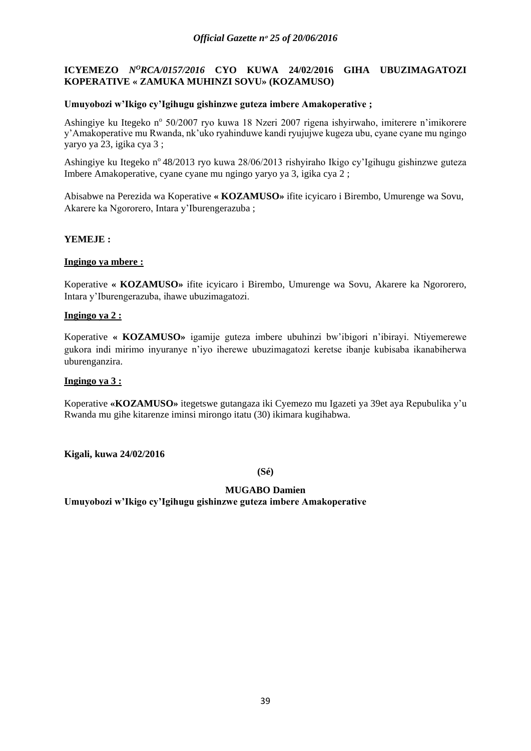# **ICYEMEZO** *N<sup>O</sup>RCA/0157/2016* CYO KUWA 24/02/2016 GIHA UBUZIMAGATOZI **KOPERATIVE « ZAMUKA MUHINZI SOVU» (KOZAMUSO)**

## **Umuyobozi w'Ikigo cy'Igihugu gishinzwe guteza imbere Amakoperative ;**

Ashingiye ku Itegeko nº 50/2007 ryo kuwa 18 Nzeri 2007 rigena ishyirwaho, imiterere n'imikorere y'Amakoperative mu Rwanda, nk'uko ryahinduwe kandi ryujujwe kugeza ubu, cyane cyane mu ngingo yaryo ya 23, igika cya 3 ;

Ashingiye ku Itegeko n° 48/2013 ryo kuwa 28/06/2013 rishyiraho Ikigo cy'Igihugu gishinzwe guteza Imbere Amakoperative, cyane cyane mu ngingo yaryo ya 3, igika cya 2 ;

Abisabwe na Perezida wa Koperative **« KOZAMUSO»** ifite icyicaro i Birembo, Umurenge wa Sovu, Akarere ka Ngororero, Intara y'Iburengerazuba ;

## **YEMEJE :**

# **Ingingo ya mbere :**

Koperative **« KOZAMUSO»** ifite icyicaro i Birembo, Umurenge wa Sovu, Akarere ka Ngororero, Intara y'Iburengerazuba, ihawe ubuzimagatozi.

## **Ingingo ya 2 :**

Koperative **« KOZAMUSO»** igamije guteza imbere ubuhinzi bw'ibigori n'ibirayi. Ntiyemerewe gukora indi mirimo inyuranye n'iyo iherewe ubuzimagatozi keretse ibanje kubisaba ikanabiherwa uburenganzira.

### **Ingingo ya 3 :**

Koperative **«KOZAMUSO»** itegetswe gutangaza iki Cyemezo mu Igazeti ya 39et aya Repubulika y'u Rwanda mu gihe kitarenze iminsi mirongo itatu (30) ikimara kugihabwa.

**Kigali, kuwa 24/02/2016**

**(Sé)**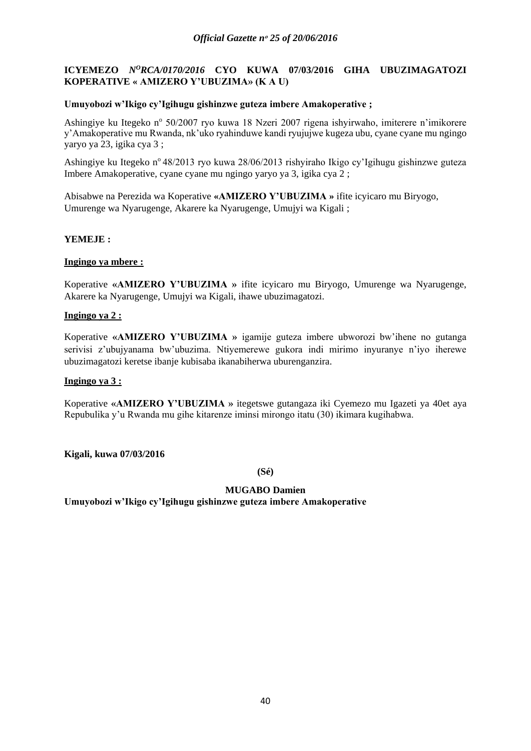# **ICYEMEZO** *N<sup>O</sup>RCA/0170/2016* CYO KUWA 07/03/2016 GIHA UBUZIMAGATOZI **KOPERATIVE « AMIZERO Y'UBUZIMA» (K A U)**

## **Umuyobozi w'Ikigo cy'Igihugu gishinzwe guteza imbere Amakoperative ;**

Ashingiye ku Itegeko nº 50/2007 ryo kuwa 18 Nzeri 2007 rigena ishyirwaho, imiterere n'imikorere y'Amakoperative mu Rwanda, nk'uko ryahinduwe kandi ryujujwe kugeza ubu, cyane cyane mu ngingo yaryo ya 23, igika cya 3 ;

Ashingiye ku Itegeko n° 48/2013 ryo kuwa 28/06/2013 rishyiraho Ikigo cy'Igihugu gishinzwe guteza Imbere Amakoperative, cyane cyane mu ngingo yaryo ya 3, igika cya 2 ;

Abisabwe na Perezida wa Koperative **«AMIZERO Y'UBUZIMA »** ifite icyicaro mu Biryogo, Umurenge wa Nyarugenge, Akarere ka Nyarugenge, Umujyi wa Kigali ;

## **YEMEJE :**

## **Ingingo ya mbere :**

Koperative **«AMIZERO Y'UBUZIMA »** ifite icyicaro mu Biryogo, Umurenge wa Nyarugenge, Akarere ka Nyarugenge, Umujyi wa Kigali, ihawe ubuzimagatozi.

## **Ingingo ya 2 :**

Koperative **«AMIZERO Y'UBUZIMA »** igamije guteza imbere ubworozi bw'ihene no gutanga serivisi z'ubujyanama bw'ubuzima. Ntiyemerewe gukora indi mirimo inyuranye n'iyo iherewe ubuzimagatozi keretse ibanje kubisaba ikanabiherwa uburenganzira.

### **Ingingo ya 3 :**

Koperative **«AMIZERO Y'UBUZIMA »** itegetswe gutangaza iki Cyemezo mu Igazeti ya 40et aya Repubulika y'u Rwanda mu gihe kitarenze iminsi mirongo itatu (30) ikimara kugihabwa.

**Kigali, kuwa 07/03/2016**

**(Sé)**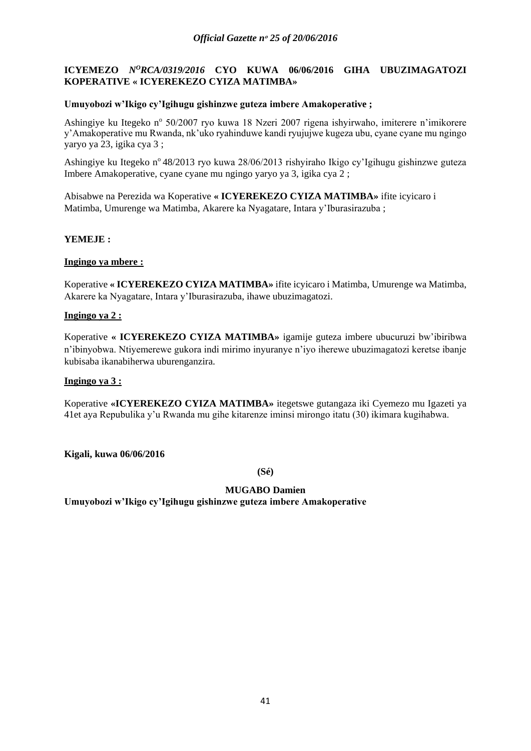# **ICYEMEZO** *N<sup>O</sup>RCA/0319/2016* CYO KUWA 06/06/2016 GIHA UBUZIMAGATOZI **KOPERATIVE « ICYEREKEZO CYIZA MATIMBA»**

## **Umuyobozi w'Ikigo cy'Igihugu gishinzwe guteza imbere Amakoperative ;**

Ashingiye ku Itegeko nº 50/2007 ryo kuwa 18 Nzeri 2007 rigena ishyirwaho, imiterere n'imikorere y'Amakoperative mu Rwanda, nk'uko ryahinduwe kandi ryujujwe kugeza ubu, cyane cyane mu ngingo yaryo ya 23, igika cya 3 ;

Ashingiye ku Itegeko n° 48/2013 ryo kuwa 28/06/2013 rishyiraho Ikigo cy'Igihugu gishinzwe guteza Imbere Amakoperative, cyane cyane mu ngingo yaryo ya 3, igika cya 2 ;

Abisabwe na Perezida wa Koperative **« ICYEREKEZO CYIZA MATIMBA»** ifite icyicaro i Matimba, Umurenge wa Matimba, Akarere ka Nyagatare, Intara y'Iburasirazuba ;

## **YEMEJE :**

## **Ingingo ya mbere :**

Koperative **« ICYEREKEZO CYIZA MATIMBA»** ifite icyicaro i Matimba, Umurenge wa Matimba, Akarere ka Nyagatare, Intara y'Iburasirazuba, ihawe ubuzimagatozi.

## **Ingingo ya 2 :**

Koperative **« ICYEREKEZO CYIZA MATIMBA»** igamije guteza imbere ubucuruzi bw'ibiribwa n'ibinyobwa. Ntiyemerewe gukora indi mirimo inyuranye n'iyo iherewe ubuzimagatozi keretse ibanje kubisaba ikanabiherwa uburenganzira.

### **Ingingo ya 3 :**

Koperative **«ICYEREKEZO CYIZA MATIMBA»** itegetswe gutangaza iki Cyemezo mu Igazeti ya 41et aya Repubulika y'u Rwanda mu gihe kitarenze iminsi mirongo itatu (30) ikimara kugihabwa.

**Kigali, kuwa 06/06/2016**

**(Sé)**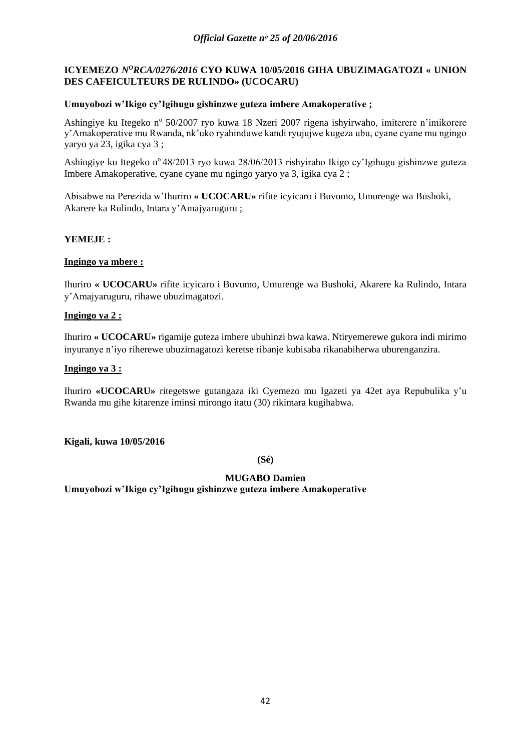# **ICYEMEZO** *NºRCA/0276/2016* CYO KUWA 10/05/2016 GIHA UBUZIMAGATOZI « UNION **DES CAFEICULTEURS DE RULINDO» (UCOCARU)**

## **Umuyobozi w'Ikigo cy'Igihugu gishinzwe guteza imbere Amakoperative ;**

Ashingiye ku Itegeko nº 50/2007 ryo kuwa 18 Nzeri 2007 rigena ishyirwaho, imiterere n'imikorere y'Amakoperative mu Rwanda, nk'uko ryahinduwe kandi ryujujwe kugeza ubu, cyane cyane mu ngingo yaryo ya 23, igika cya 3 ;

Ashingiye ku Itegeko n° 48/2013 ryo kuwa 28/06/2013 rishyiraho Ikigo cy'Igihugu gishinzwe guteza Imbere Amakoperative, cyane cyane mu ngingo yaryo ya 3, igika cya 2 ;

Abisabwe na Perezida w'Ihuriro **« UCOCARU»** rifite icyicaro i Buvumo, Umurenge wa Bushoki, Akarere ka Rulindo, Intara y'Amajyaruguru ;

## **YEMEJE :**

# **Ingingo ya mbere :**

Ihuriro **« UCOCARU»** rifite icyicaro i Buvumo, Umurenge wa Bushoki, Akarere ka Rulindo, Intara y'Amajyaruguru, rihawe ubuzimagatozi.

## **Ingingo ya 2 :**

Ihuriro **« UCOCARU»** rigamije guteza imbere ubuhinzi bwa kawa. Ntiryemerewe gukora indi mirimo inyuranye n'iyo riherewe ubuzimagatozi keretse ribanje kubisaba rikanabiherwa uburenganzira.

## **Ingingo ya 3 :**

Ihuriro **«UCOCARU»** ritegetswe gutangaza iki Cyemezo mu Igazeti ya 42et aya Repubulika y'u Rwanda mu gihe kitarenze iminsi mirongo itatu (30) rikimara kugihabwa.

**Kigali, kuwa 10/05/2016**

**(Sé)**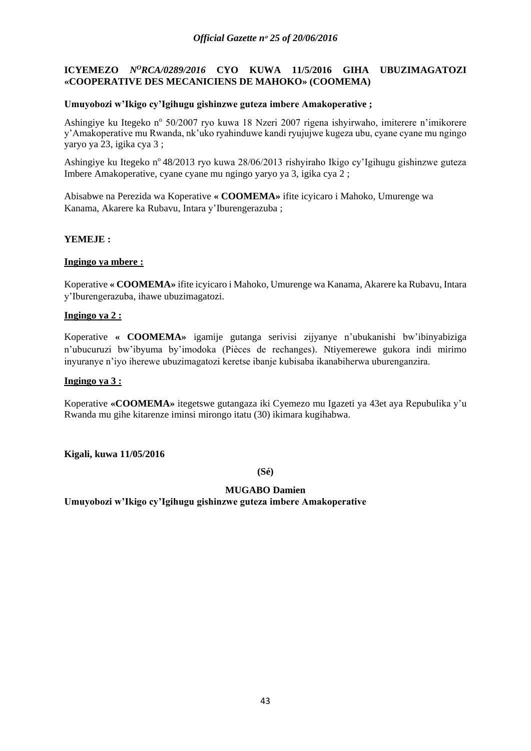# **ICYEMEZO** *NºRCA/0289/2016* CYO KUWA 11/5/2016 GIHA UBUZIMAGATOZI **«COOPERATIVE DES MECANICIENS DE MAHOKO» (COOMEMA)**

## **Umuyobozi w'Ikigo cy'Igihugu gishinzwe guteza imbere Amakoperative ;**

Ashingiye ku Itegeko nº 50/2007 ryo kuwa 18 Nzeri 2007 rigena ishyirwaho, imiterere n'imikorere y'Amakoperative mu Rwanda, nk'uko ryahinduwe kandi ryujujwe kugeza ubu, cyane cyane mu ngingo yaryo ya 23, igika cya 3 ;

Ashingiye ku Itegeko n° 48/2013 ryo kuwa 28/06/2013 rishyiraho Ikigo cy'Igihugu gishinzwe guteza Imbere Amakoperative, cyane cyane mu ngingo yaryo ya 3, igika cya 2 ;

Abisabwe na Perezida wa Koperative **« COOMEMA»** ifite icyicaro i Mahoko, Umurenge wa Kanama, Akarere ka Rubavu, Intara y'Iburengerazuba ;

## **YEMEJE :**

## **Ingingo ya mbere :**

Koperative **« COOMEMA»** ifite icyicaro i Mahoko, Umurenge wa Kanama, Akarere ka Rubavu, Intara y'Iburengerazuba, ihawe ubuzimagatozi.

## **Ingingo ya 2 :**

Koperative **« COOMEMA»** igamije gutanga serivisi zijyanye n'ubukanishi bw'ibinyabiziga n'ubucuruzi bw'ibyuma by'imodoka (Pièces de rechanges). Ntiyemerewe gukora indi mirimo inyuranye n'iyo iherewe ubuzimagatozi keretse ibanje kubisaba ikanabiherwa uburenganzira.

### **Ingingo ya 3 :**

Koperative **«COOMEMA»** itegetswe gutangaza iki Cyemezo mu Igazeti ya 43et aya Repubulika y'u Rwanda mu gihe kitarenze iminsi mirongo itatu (30) ikimara kugihabwa.

**Kigali, kuwa 11/05/2016**

**(Sé)**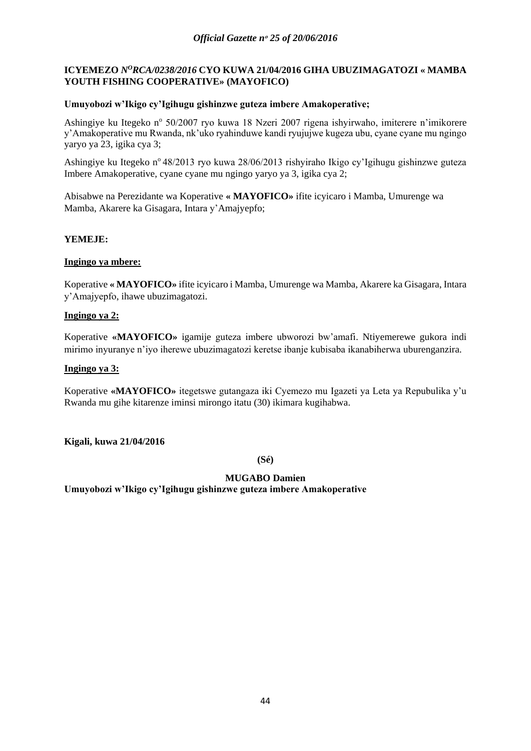# ICYEMEZO *N<sup>O</sup>RCA/0238/2016* CYO KUWA 21/04/2016 GIHA UBUZIMAGATOZI « MAMBA **YOUTH FISHING COOPERATIVE» (MAYOFICO)**

## **Umuyobozi w'Ikigo cy'Igihugu gishinzwe guteza imbere Amakoperative;**

Ashingiye ku Itegeko nº 50/2007 ryo kuwa 18 Nzeri 2007 rigena ishyirwaho, imiterere n'imikorere y'Amakoperative mu Rwanda, nk'uko ryahinduwe kandi ryujujwe kugeza ubu, cyane cyane mu ngingo yaryo ya 23, igika cya 3;

Ashingiye ku Itegeko n° 48/2013 ryo kuwa 28/06/2013 rishyiraho Ikigo cy'Igihugu gishinzwe guteza Imbere Amakoperative, cyane cyane mu ngingo yaryo ya 3, igika cya 2;

Abisabwe na Perezidante wa Koperative **« MAYOFICO»** ifite icyicaro i Mamba, Umurenge wa Mamba, Akarere ka Gisagara, Intara y'Amajyepfo;

## **YEMEJE:**

# **Ingingo ya mbere:**

Koperative **« MAYOFICO»** ifite icyicaro i Mamba, Umurenge wa Mamba, Akarere ka Gisagara, Intara y'Amajyepfo, ihawe ubuzimagatozi.

### **Ingingo ya 2:**

Koperative **«MAYOFICO»** igamije guteza imbere ubworozi bw'amafi. Ntiyemerewe gukora indi mirimo inyuranye n'iyo iherewe ubuzimagatozi keretse ibanje kubisaba ikanabiherwa uburenganzira.

## **Ingingo ya 3:**

Koperative **«MAYOFICO»** itegetswe gutangaza iki Cyemezo mu Igazeti ya Leta ya Repubulika y'u Rwanda mu gihe kitarenze iminsi mirongo itatu (30) ikimara kugihabwa.

**Kigali, kuwa 21/04/2016**

**(Sé)**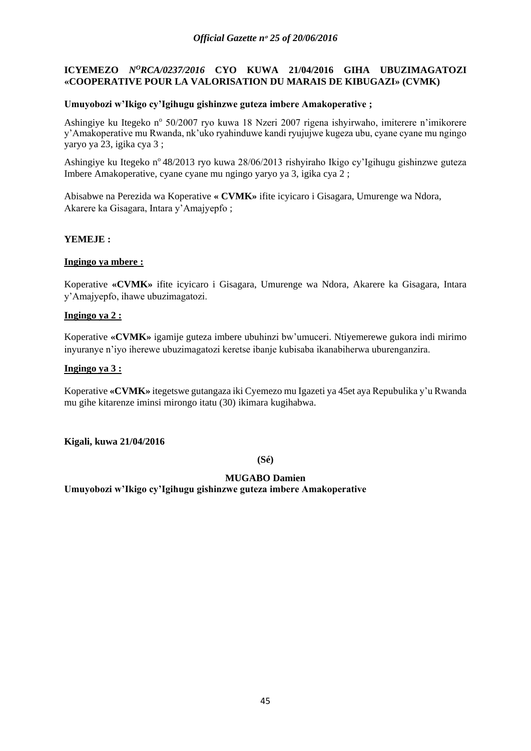# **ICYEMEZO** *N<sup>O</sup>RCA/0237/2016* CYO KUWA 21/04/2016 GIHA UBUZIMAGATOZI **«COOPERATIVE POUR LA VALORISATION DU MARAIS DE KIBUGAZI» (CVMK)**

## **Umuyobozi w'Ikigo cy'Igihugu gishinzwe guteza imbere Amakoperative ;**

Ashingiye ku Itegeko nº 50/2007 ryo kuwa 18 Nzeri 2007 rigena ishyirwaho, imiterere n'imikorere y'Amakoperative mu Rwanda, nk'uko ryahinduwe kandi ryujujwe kugeza ubu, cyane cyane mu ngingo yaryo ya 23, igika cya 3 ;

Ashingiye ku Itegeko n° 48/2013 ryo kuwa 28/06/2013 rishyiraho Ikigo cy'Igihugu gishinzwe guteza Imbere Amakoperative, cyane cyane mu ngingo yaryo ya 3, igika cya 2 ;

Abisabwe na Perezida wa Koperative **« CVMK»** ifite icyicaro i Gisagara, Umurenge wa Ndora, Akarere ka Gisagara, Intara y'Amajyepfo ;

## **YEMEJE :**

## **Ingingo ya mbere :**

Koperative **«CVMK»** ifite icyicaro i Gisagara, Umurenge wa Ndora, Akarere ka Gisagara, Intara y'Amajyepfo, ihawe ubuzimagatozi.

## **Ingingo ya 2 :**

Koperative **«CVMK»** igamije guteza imbere ubuhinzi bw'umuceri. Ntiyemerewe gukora indi mirimo inyuranye n'iyo iherewe ubuzimagatozi keretse ibanje kubisaba ikanabiherwa uburenganzira.

## **Ingingo ya 3 :**

Koperative **«CVMK»** itegetswe gutangaza iki Cyemezo mu Igazeti ya 45et aya Repubulika y'u Rwanda mu gihe kitarenze iminsi mirongo itatu (30) ikimara kugihabwa.

**Kigali, kuwa 21/04/2016**

**(Sé)**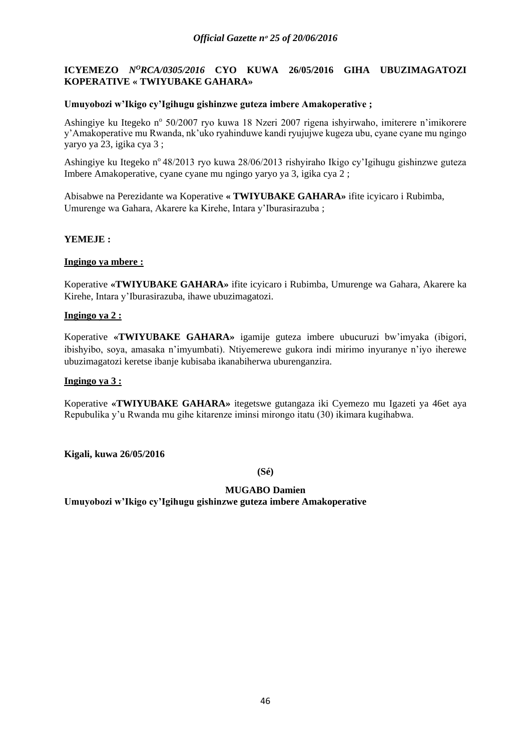# **ICYEMEZO** *N<sup>O</sup>RCA/0305/2016* CYO KUWA 26/05/2016 GIHA UBUZIMAGATOZI **KOPERATIVE « TWIYUBAKE GAHARA»**

## **Umuyobozi w'Ikigo cy'Igihugu gishinzwe guteza imbere Amakoperative ;**

Ashingiye ku Itegeko nº 50/2007 ryo kuwa 18 Nzeri 2007 rigena ishyirwaho, imiterere n'imikorere y'Amakoperative mu Rwanda, nk'uko ryahinduwe kandi ryujujwe kugeza ubu, cyane cyane mu ngingo yaryo ya 23, igika cya 3 ;

Ashingiye ku Itegeko n° 48/2013 ryo kuwa 28/06/2013 rishyiraho Ikigo cy'Igihugu gishinzwe guteza Imbere Amakoperative, cyane cyane mu ngingo yaryo ya 3, igika cya 2 ;

Abisabwe na Perezidante wa Koperative **« TWIYUBAKE GAHARA»** ifite icyicaro i Rubimba, Umurenge wa Gahara, Akarere ka Kirehe, Intara y'Iburasirazuba ;

## **YEMEJE :**

## **Ingingo ya mbere :**

Koperative **«TWIYUBAKE GAHARA»** ifite icyicaro i Rubimba, Umurenge wa Gahara, Akarere ka Kirehe, Intara y'Iburasirazuba, ihawe ubuzimagatozi.

## **Ingingo ya 2 :**

Koperative **«TWIYUBAKE GAHARA»** igamije guteza imbere ubucuruzi bw'imyaka (ibigori, ibishyibo, soya, amasaka n'imyumbati). Ntiyemerewe gukora indi mirimo inyuranye n'iyo iherewe ubuzimagatozi keretse ibanje kubisaba ikanabiherwa uburenganzira.

### **Ingingo ya 3 :**

Koperative **«TWIYUBAKE GAHARA»** itegetswe gutangaza iki Cyemezo mu Igazeti ya 46et aya Repubulika y'u Rwanda mu gihe kitarenze iminsi mirongo itatu (30) ikimara kugihabwa.

**Kigali, kuwa 26/05/2016**

**(Sé)**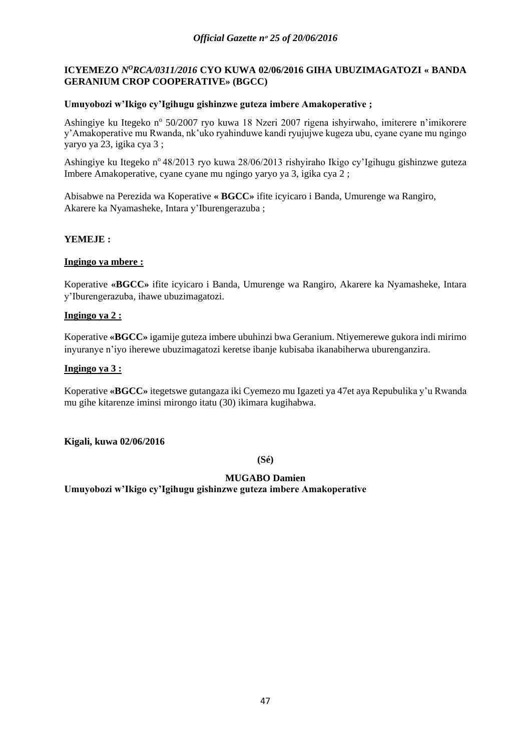# **ICYEMEZO** *NºRCA/0311/2016* CYO KUWA 02/06/2016 GIHA UBUZIMAGATOZI « BANDA **GERANIUM CROP COOPERATIVE» (BGCC)**

## **Umuyobozi w'Ikigo cy'Igihugu gishinzwe guteza imbere Amakoperative ;**

Ashingiye ku Itegeko nº 50/2007 ryo kuwa 18 Nzeri 2007 rigena ishyirwaho, imiterere n'imikorere y'Amakoperative mu Rwanda, nk'uko ryahinduwe kandi ryujujwe kugeza ubu, cyane cyane mu ngingo yaryo ya 23, igika cya 3 ;

Ashingiye ku Itegeko n° 48/2013 ryo kuwa 28/06/2013 rishyiraho Ikigo cy'Igihugu gishinzwe guteza Imbere Amakoperative, cyane cyane mu ngingo yaryo ya 3, igika cya 2 ;

Abisabwe na Perezida wa Koperative **« BGCC»** ifite icyicaro i Banda, Umurenge wa Rangiro, Akarere ka Nyamasheke, Intara y'Iburengerazuba ;

## **YEMEJE :**

## **Ingingo ya mbere :**

Koperative **«BGCC»** ifite icyicaro i Banda, Umurenge wa Rangiro, Akarere ka Nyamasheke, Intara y'Iburengerazuba, ihawe ubuzimagatozi.

## **Ingingo ya 2 :**

Koperative **«BGCC»** igamije guteza imbere ubuhinzi bwa Geranium. Ntiyemerewe gukora indi mirimo inyuranye n'iyo iherewe ubuzimagatozi keretse ibanje kubisaba ikanabiherwa uburenganzira.

## **Ingingo ya 3 :**

Koperative **«BGCC»** itegetswe gutangaza iki Cyemezo mu Igazeti ya 47et aya Repubulika y'u Rwanda mu gihe kitarenze iminsi mirongo itatu (30) ikimara kugihabwa.

### **Kigali, kuwa 02/06/2016**

**(Sé)**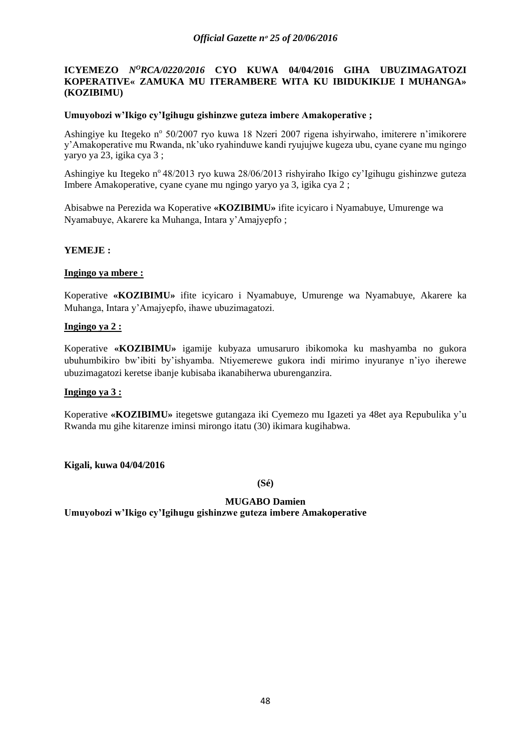## **ICYEMEZO** *N<sup>O</sup>RCA/0220/2016* CYO KUWA 04/04/2016 GIHA UBUZIMAGATOZI **KOPERATIVE« ZAMUKA MU ITERAMBERE WITA KU IBIDUKIKIJE I MUHANGA» (KOZIBIMU)**

### **Umuyobozi w'Ikigo cy'Igihugu gishinzwe guteza imbere Amakoperative ;**

Ashingiye ku Itegeko nº 50/2007 ryo kuwa 18 Nzeri 2007 rigena ishyirwaho, imiterere n'imikorere y'Amakoperative mu Rwanda, nk'uko ryahinduwe kandi ryujujwe kugeza ubu, cyane cyane mu ngingo yaryo ya 23, igika cya 3 ;

Ashingiye ku Itegeko n° 48/2013 ryo kuwa 28/06/2013 rishyiraho Ikigo cy'Igihugu gishinzwe guteza Imbere Amakoperative, cyane cyane mu ngingo yaryo ya 3, igika cya 2 ;

Abisabwe na Perezida wa Koperative **«KOZIBIMU»** ifite icyicaro i Nyamabuye, Umurenge wa Nyamabuye, Akarere ka Muhanga, Intara y'Amajyepfo ;

#### **YEMEJE :**

#### **Ingingo ya mbere :**

Koperative **«KOZIBIMU»** ifite icyicaro i Nyamabuye, Umurenge wa Nyamabuye, Akarere ka Muhanga, Intara y'Amajyepfo, ihawe ubuzimagatozi.

### **Ingingo ya 2 :**

Koperative **«KOZIBIMU»** igamije kubyaza umusaruro ibikomoka ku mashyamba no gukora ubuhumbikiro bw'ibiti by'ishyamba. Ntiyemerewe gukora indi mirimo inyuranye n'iyo iherewe ubuzimagatozi keretse ibanje kubisaba ikanabiherwa uburenganzira.

#### **Ingingo ya 3 :**

Koperative **«KOZIBIMU»** itegetswe gutangaza iki Cyemezo mu Igazeti ya 48et aya Repubulika y'u Rwanda mu gihe kitarenze iminsi mirongo itatu (30) ikimara kugihabwa.

#### **Kigali, kuwa 04/04/2016**

**(Sé)**

### **MUGABO Damien**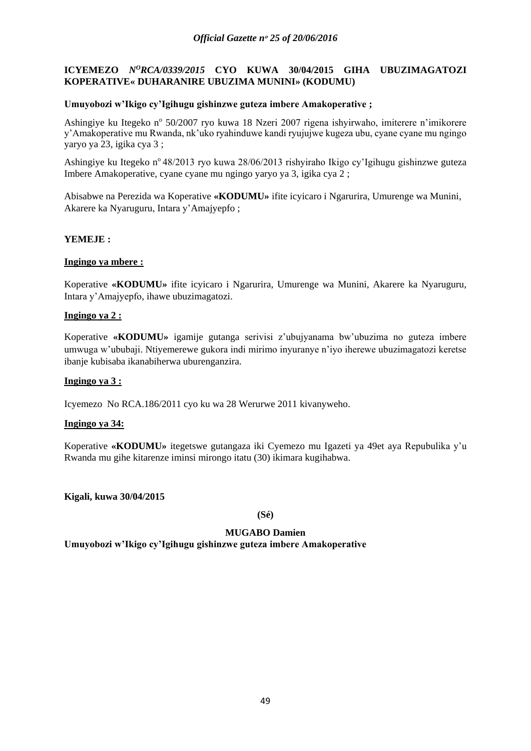# **ICYEMEZO** *N<sup>O</sup>RCA/0339/2015* **CYO KUWA 30/04/2015 GIHA UBUZIMAGATOZI KOPERATIVE« DUHARANIRE UBUZIMA MUNINI» (KODUMU)**

## **Umuyobozi w'Ikigo cy'Igihugu gishinzwe guteza imbere Amakoperative ;**

Ashingiye ku Itegeko nº 50/2007 ryo kuwa 18 Nzeri 2007 rigena ishyirwaho, imiterere n'imikorere y'Amakoperative mu Rwanda, nk'uko ryahinduwe kandi ryujujwe kugeza ubu, cyane cyane mu ngingo yaryo ya 23, igika cya 3 ;

Ashingiye ku Itegeko n° 48/2013 ryo kuwa 28/06/2013 rishyiraho Ikigo cy'Igihugu gishinzwe guteza Imbere Amakoperative, cyane cyane mu ngingo yaryo ya 3, igika cya 2 ;

Abisabwe na Perezida wa Koperative **«KODUMU»** ifite icyicaro i Ngarurira, Umurenge wa Munini, Akarere ka Nyaruguru, Intara y'Amajyepfo ;

## **YEMEJE :**

## **Ingingo ya mbere :**

Koperative **«KODUMU»** ifite icyicaro i Ngarurira, Umurenge wa Munini, Akarere ka Nyaruguru, Intara y'Amajyepfo, ihawe ubuzimagatozi.

## **Ingingo ya 2 :**

Koperative **«KODUMU»** igamije gutanga serivisi z'ubujyanama bw'ubuzima no guteza imbere umwuga w'ububaji. Ntiyemerewe gukora indi mirimo inyuranye n'iyo iherewe ubuzimagatozi keretse ibanje kubisaba ikanabiherwa uburenganzira.

### **Ingingo ya 3 :**

Icyemezo No RCA.186/2011 cyo ku wa 28 Werurwe 2011 kivanyweho.

### **Ingingo ya 34:**

Koperative **«KODUMU»** itegetswe gutangaza iki Cyemezo mu Igazeti ya 49et aya Repubulika y'u Rwanda mu gihe kitarenze iminsi mirongo itatu (30) ikimara kugihabwa.

**Kigali, kuwa 30/04/2015**

**(Sé)**

### **MUGABO Damien**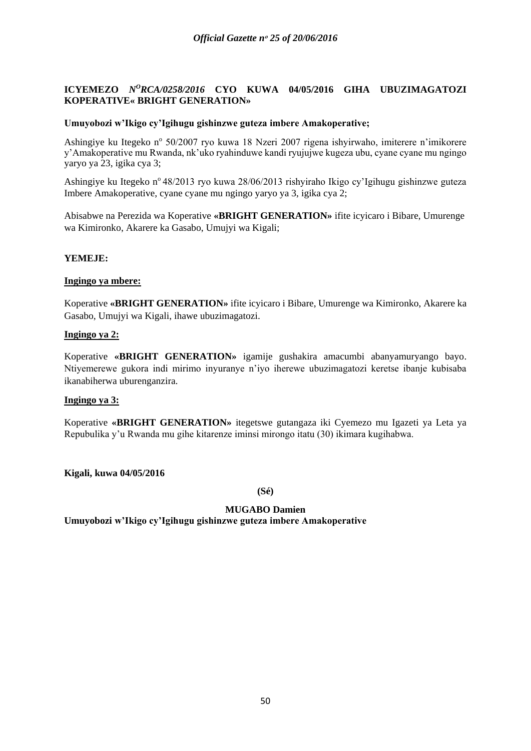## **ICYEMEZO** *N<sup>O</sup>RCA/0258/2016* CYO KUWA 04/05/2016 GIHA UBUZIMAGATOZI **KOPERATIVE« BRIGHT GENERATION»**

### **Umuyobozi w'Ikigo cy'Igihugu gishinzwe guteza imbere Amakoperative;**

Ashingiye ku Itegeko nº 50/2007 ryo kuwa 18 Nzeri 2007 rigena ishyirwaho, imiterere n'imikorere y'Amakoperative mu Rwanda, nk'uko ryahinduwe kandi ryujujwe kugeza ubu, cyane cyane mu ngingo yaryo ya 23, igika cya 3;

Ashingiye ku Itegeko n° 48/2013 ryo kuwa 28/06/2013 rishyiraho Ikigo cy'Igihugu gishinzwe guteza Imbere Amakoperative, cyane cyane mu ngingo yaryo ya 3, igika cya 2;

Abisabwe na Perezida wa Koperative **«BRIGHT GENERATION»** ifite icyicaro i Bibare, Umurenge wa Kimironko, Akarere ka Gasabo, Umujyi wa Kigali;

# **YEMEJE:**

### **Ingingo ya mbere:**

Koperative **«BRIGHT GENERATION»** ifite icyicaro i Bibare, Umurenge wa Kimironko, Akarere ka Gasabo, Umujyi wa Kigali, ihawe ubuzimagatozi.

## **Ingingo ya 2:**

Koperative **«BRIGHT GENERATION»** igamije gushakira amacumbi abanyamuryango bayo. Ntiyemerewe gukora indi mirimo inyuranye n'iyo iherewe ubuzimagatozi keretse ibanje kubisaba ikanabiherwa uburenganzira.

### **Ingingo ya 3:**

Koperative **«BRIGHT GENERATION»** itegetswe gutangaza iki Cyemezo mu Igazeti ya Leta ya Repubulika y'u Rwanda mu gihe kitarenze iminsi mirongo itatu (30) ikimara kugihabwa.

**Kigali, kuwa 04/05/2016**

**(Sé)**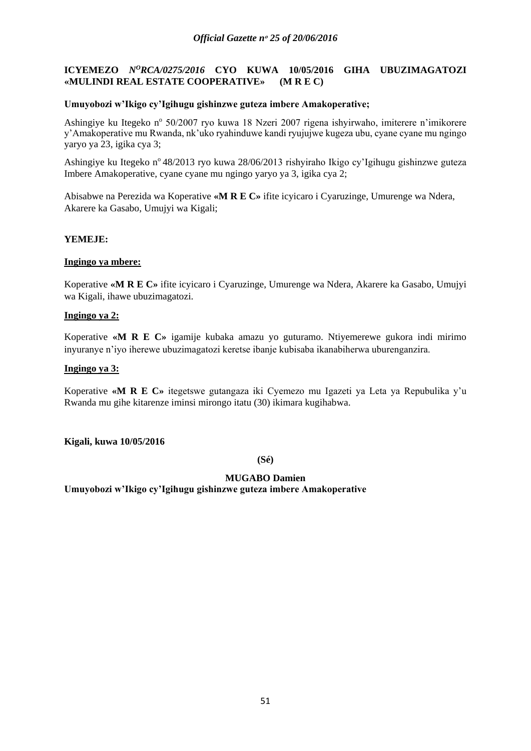# **ICYEMEZO** *N<sup>O</sup>RCA/0275/2016* CYO KUWA 10/05/2016 GIHA UBUZIMAGATOZI **«MULINDI REAL ESTATE COOPERATIVE» (M R E C)**

## **Umuyobozi w'Ikigo cy'Igihugu gishinzwe guteza imbere Amakoperative;**

Ashingiye ku Itegeko nº 50/2007 ryo kuwa 18 Nzeri 2007 rigena ishyirwaho, imiterere n'imikorere y'Amakoperative mu Rwanda, nk'uko ryahinduwe kandi ryujujwe kugeza ubu, cyane cyane mu ngingo yaryo ya 23, igika cya 3;

Ashingiye ku Itegeko n° 48/2013 ryo kuwa 28/06/2013 rishyiraho Ikigo cy'Igihugu gishinzwe guteza Imbere Amakoperative, cyane cyane mu ngingo yaryo ya 3, igika cya 2;

Abisabwe na Perezida wa Koperative **«M R E C»** ifite icyicaro i Cyaruzinge, Umurenge wa Ndera, Akarere ka Gasabo, Umujyi wa Kigali;

## **YEMEJE:**

## **Ingingo ya mbere:**

Koperative **«M R E C»** ifite icyicaro i Cyaruzinge, Umurenge wa Ndera, Akarere ka Gasabo, Umujyi wa Kigali, ihawe ubuzimagatozi.

## **Ingingo ya 2:**

Koperative **«M R E C»** igamije kubaka amazu yo guturamo. Ntiyemerewe gukora indi mirimo inyuranye n'iyo iherewe ubuzimagatozi keretse ibanje kubisaba ikanabiherwa uburenganzira.

## **Ingingo ya 3:**

Koperative **«M R E C»** itegetswe gutangaza iki Cyemezo mu Igazeti ya Leta ya Repubulika y'u Rwanda mu gihe kitarenze iminsi mirongo itatu (30) ikimara kugihabwa.

**Kigali, kuwa 10/05/2016**

**(Sé)**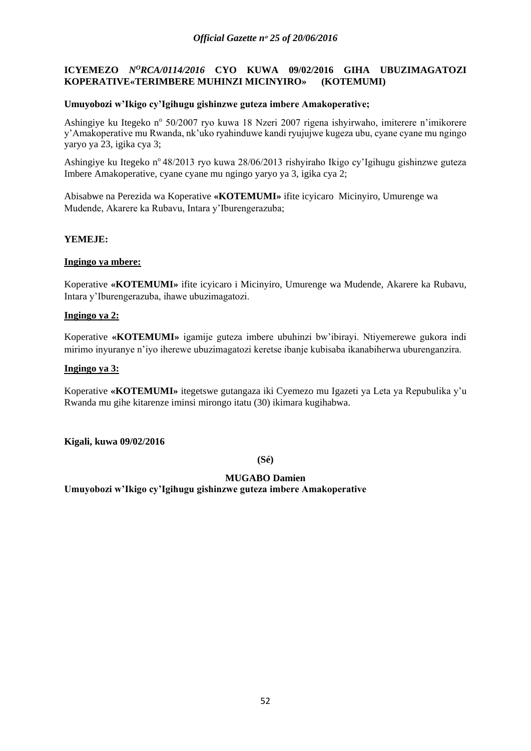# **ICYEMEZO** *N<sup>O</sup>RCA/0114/2016* CYO KUWA 09/02/2016 GIHA UBUZIMAGATOZI **KOPERATIVE«TERIMBERE MUHINZI MICINYIRO» (KOTEMUMI)**

## **Umuyobozi w'Ikigo cy'Igihugu gishinzwe guteza imbere Amakoperative;**

Ashingiye ku Itegeko nº 50/2007 ryo kuwa 18 Nzeri 2007 rigena ishyirwaho, imiterere n'imikorere y'Amakoperative mu Rwanda, nk'uko ryahinduwe kandi ryujujwe kugeza ubu, cyane cyane mu ngingo yaryo ya 23, igika cya 3;

Ashingiye ku Itegeko n° 48/2013 ryo kuwa 28/06/2013 rishyiraho Ikigo cy'Igihugu gishinzwe guteza Imbere Amakoperative, cyane cyane mu ngingo yaryo ya 3, igika cya 2;

Abisabwe na Perezida wa Koperative **«KOTEMUMI»** ifite icyicaro Micinyiro, Umurenge wa Mudende, Akarere ka Rubavu, Intara y'Iburengerazuba;

## **YEMEJE:**

## **Ingingo ya mbere:**

Koperative **«KOTEMUMI»** ifite icyicaro i Micinyiro, Umurenge wa Mudende, Akarere ka Rubavu, Intara y'Iburengerazuba, ihawe ubuzimagatozi.

### **Ingingo ya 2:**

Koperative **«KOTEMUMI»** igamije guteza imbere ubuhinzi bw'ibirayi. Ntiyemerewe gukora indi mirimo inyuranye n'iyo iherewe ubuzimagatozi keretse ibanje kubisaba ikanabiherwa uburenganzira.

## **Ingingo ya 3:**

Koperative **«KOTEMUMI»** itegetswe gutangaza iki Cyemezo mu Igazeti ya Leta ya Repubulika y'u Rwanda mu gihe kitarenze iminsi mirongo itatu (30) ikimara kugihabwa.

**Kigali, kuwa 09/02/2016**

**(Sé)**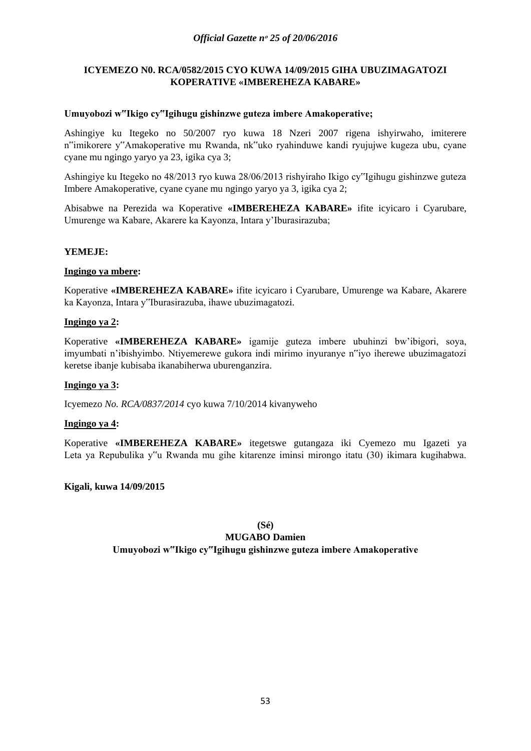# **ICYEMEZO N0. RCA/0582/2015 CYO KUWA 14/09/2015 GIHA UBUZIMAGATOZI KOPERATIVE «IMBEREHEZA KABARE»**

## **Umuyobozi w"Ikigo cy"Igihugu gishinzwe guteza imbere Amakoperative;**

Ashingiye ku Itegeko no 50/2007 ryo kuwa 18 Nzeri 2007 rigena ishyirwaho, imiterere n"imikorere y"Amakoperative mu Rwanda, nk"uko ryahinduwe kandi ryujujwe kugeza ubu, cyane cyane mu ngingo yaryo ya 23, igika cya 3;

Ashingiye ku Itegeko no 48/2013 ryo kuwa 28/06/2013 rishyiraho Ikigo cy"Igihugu gishinzwe guteza Imbere Amakoperative, cyane cyane mu ngingo yaryo ya 3, igika cya 2;

Abisabwe na Perezida wa Koperative **«IMBEREHEZA KABARE»** ifite icyicaro i Cyarubare, Umurenge wa Kabare, Akarere ka Kayonza, Intara y'Iburasirazuba;

## **YEMEJE:**

## **Ingingo ya mbere:**

Koperative **«IMBEREHEZA KABARE»** ifite icyicaro i Cyarubare, Umurenge wa Kabare, Akarere ka Kayonza, Intara y"Iburasirazuba, ihawe ubuzimagatozi.

## **Ingingo ya 2:**

Koperative **«IMBEREHEZA KABARE»** igamije guteza imbere ubuhinzi bw'ibigori, soya, imyumbati n'ibishyimbo. Ntiyemerewe gukora indi mirimo inyuranye n"iyo iherewe ubuzimagatozi keretse ibanje kubisaba ikanabiherwa uburenganzira.

### **Ingingo ya 3:**

Icyemezo *No. RCA/0837/2014* cyo kuwa 7/10/2014 kivanyweho

### **Ingingo ya 4:**

Koperative **«IMBEREHEZA KABARE»** itegetswe gutangaza iki Cyemezo mu Igazeti ya Leta ya Repubulika y"u Rwanda mu gihe kitarenze iminsi mirongo itatu (30) ikimara kugihabwa.

### **Kigali, kuwa 14/09/2015**

**(Sé)**

# **MUGABO Damien**

### **Umuyobozi w"Ikigo cy"Igihugu gishinzwe guteza imbere Amakoperative**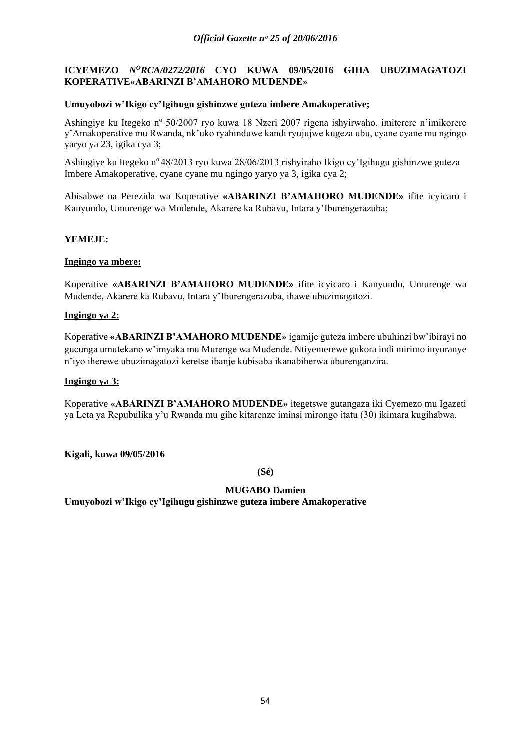# **ICYEMEZO** *N<sup>O</sup>RCA/0272/2016* CYO KUWA 09/05/2016 GIHA UBUZIMAGATOZI **KOPERATIVE«ABARINZI B'AMAHORO MUDENDE»**

## **Umuyobozi w'Ikigo cy'Igihugu gishinzwe guteza imbere Amakoperative;**

Ashingiye ku Itegeko nº 50/2007 ryo kuwa 18 Nzeri 2007 rigena ishyirwaho, imiterere n'imikorere y'Amakoperative mu Rwanda, nk'uko ryahinduwe kandi ryujujwe kugeza ubu, cyane cyane mu ngingo yaryo ya 23, igika cya 3;

Ashingiye ku Itegeko n<sup>o</sup> 48/2013 ryo kuwa 28/06/2013 rishyiraho Ikigo cy'Igihugu gishinzwe guteza Imbere Amakoperative, cyane cyane mu ngingo yaryo ya 3, igika cya 2;

Abisabwe na Perezida wa Koperative **«ABARINZI B'AMAHORO MUDENDE»** ifite icyicaro i Kanyundo, Umurenge wa Mudende, Akarere ka Rubavu, Intara y'Iburengerazuba;

## **YEMEJE:**

## **Ingingo ya mbere:**

Koperative **«ABARINZI B'AMAHORO MUDENDE»** ifite icyicaro i Kanyundo, Umurenge wa Mudende, Akarere ka Rubavu, Intara y'Iburengerazuba, ihawe ubuzimagatozi.

## **Ingingo ya 2:**

Koperative **«ABARINZI B'AMAHORO MUDENDE»** igamije guteza imbere ubuhinzi bw'ibirayi no gucunga umutekano w'imyaka mu Murenge wa Mudende. Ntiyemerewe gukora indi mirimo inyuranye n'iyo iherewe ubuzimagatozi keretse ibanje kubisaba ikanabiherwa uburenganzira.

### **Ingingo ya 3:**

Koperative **«ABARINZI B'AMAHORO MUDENDE»** itegetswe gutangaza iki Cyemezo mu Igazeti ya Leta ya Repubulika y'u Rwanda mu gihe kitarenze iminsi mirongo itatu (30) ikimara kugihabwa.

**Kigali, kuwa 09/05/2016**

**(Sé)**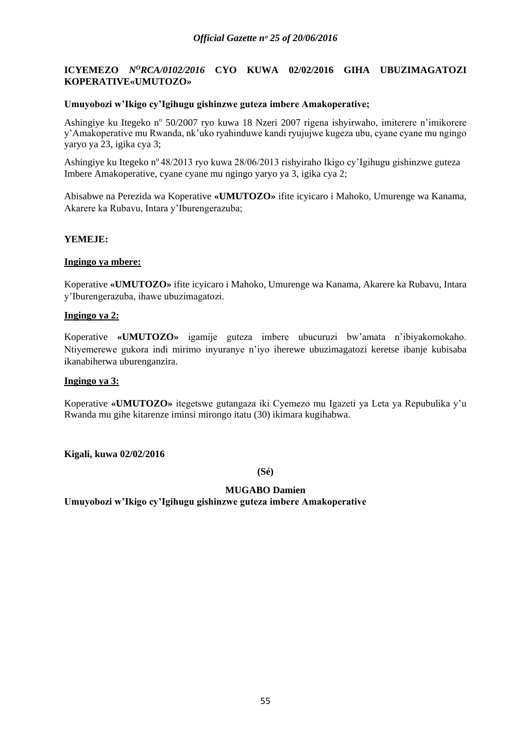# **ICYEMEZO** *N<sup>O</sup>RCA/0102/2016* CYO KUWA 02/02/2016 GIHA UBUZIMAGATOZI **KOPERATIVE«UMUTOZO»**

### **Umuyobozi w'Ikigo cy'Igihugu gishinzwe guteza imbere Amakoperative;**

Ashingiye ku Itegeko nº 50/2007 ryo kuwa 18 Nzeri 2007 rigena ishyirwaho, imiterere n'imikorere y'Amakoperative mu Rwanda, nk'uko ryahinduwe kandi ryujujwe kugeza ubu, cyane cyane mu ngingo yaryo ya 23, igika cya 3;

Ashingiye ku Itegeko n<sup>o</sup> 48/2013 ryo kuwa 28/06/2013 rishyiraho Ikigo cy'Igihugu gishinzwe guteza Imbere Amakoperative, cyane cyane mu ngingo yaryo ya 3, igika cya 2;

Abisabwe na Perezida wa Koperative **«UMUTOZO»** ifite icyicaro i Mahoko, Umurenge wa Kanama, Akarere ka Rubavu, Intara y'Iburengerazuba;

## **YEMEJE:**

## **Ingingo ya mbere:**

Koperative **«UMUTOZO»** ifite icyicaro i Mahoko, Umurenge wa Kanama, Akarere ka Rubavu, Intara y'Iburengerazuba, ihawe ubuzimagatozi.

### **Ingingo ya 2:**

Koperative **«UMUTOZO»** igamije guteza imbere ubucuruzi bw'amata n'ibiyakomokaho. Ntiyemerewe gukora indi mirimo inyuranye n'iyo iherewe ubuzimagatozi keretse ibanje kubisaba ikanabiherwa uburenganzira.

### **Ingingo ya 3:**

Koperative **«UMUTOZO»** itegetswe gutangaza iki Cyemezo mu Igazeti ya Leta ya Repubulika y'u Rwanda mu gihe kitarenze iminsi mirongo itatu (30) ikimara kugihabwa.

### **Kigali, kuwa 02/02/2016**

**(Sé)**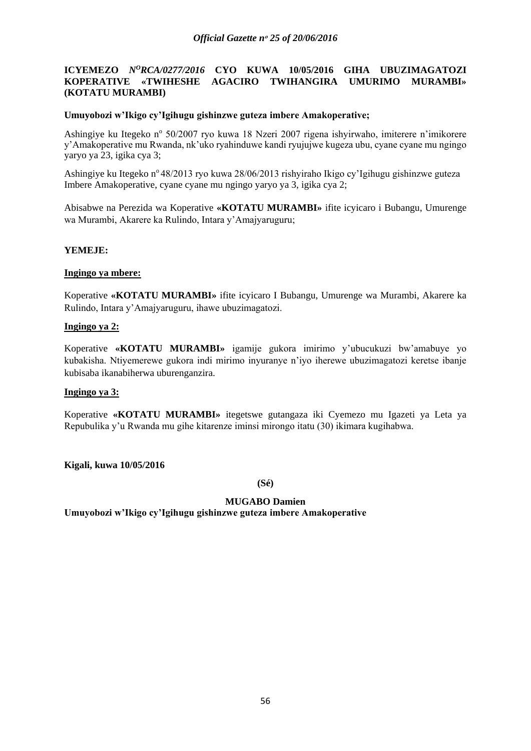### *Official Gazette nᵒ 25 of 20/06/2016*

## **ICYEMEZO** *N<sup>O</sup>RCA/0277/2016* CYO KUWA 10/05/2016 GIHA UBUZIMAGATOZI **KOPERATIVE «TWIHESHE AGACIRO TWIHANGIRA UMURIMO MURAMBI» (KOTATU MURAMBI)**

### **Umuyobozi w'Ikigo cy'Igihugu gishinzwe guteza imbere Amakoperative;**

Ashingiye ku Itegeko nº 50/2007 ryo kuwa 18 Nzeri 2007 rigena ishyirwaho, imiterere n'imikorere y'Amakoperative mu Rwanda, nk'uko ryahinduwe kandi ryujujwe kugeza ubu, cyane cyane mu ngingo yaryo ya 23, igika cya 3;

Ashingiye ku Itegeko n°48/2013 ryo kuwa 28/06/2013 rishyiraho Ikigo cy'Igihugu gishinzwe guteza Imbere Amakoperative, cyane cyane mu ngingo yaryo ya 3, igika cya 2;

Abisabwe na Perezida wa Koperative **«KOTATU MURAMBI»** ifite icyicaro i Bubangu, Umurenge wa Murambi, Akarere ka Rulindo, Intara y'Amajyaruguru;

### **YEMEJE:**

#### **Ingingo ya mbere:**

Koperative **«KOTATU MURAMBI»** ifite icyicaro I Bubangu, Umurenge wa Murambi, Akarere ka Rulindo, Intara y'Amajyaruguru, ihawe ubuzimagatozi.

### **Ingingo ya 2:**

Koperative **«KOTATU MURAMBI»** igamije gukora imirimo y'ubucukuzi bw'amabuye yo kubakisha. Ntiyemerewe gukora indi mirimo inyuranye n'iyo iherewe ubuzimagatozi keretse ibanje kubisaba ikanabiherwa uburenganzira.

### **Ingingo ya 3:**

Koperative **«KOTATU MURAMBI»** itegetswe gutangaza iki Cyemezo mu Igazeti ya Leta ya Repubulika y'u Rwanda mu gihe kitarenze iminsi mirongo itatu (30) ikimara kugihabwa.

**Kigali, kuwa 10/05/2016**

**(Sé)**

### **MUGABO Damien**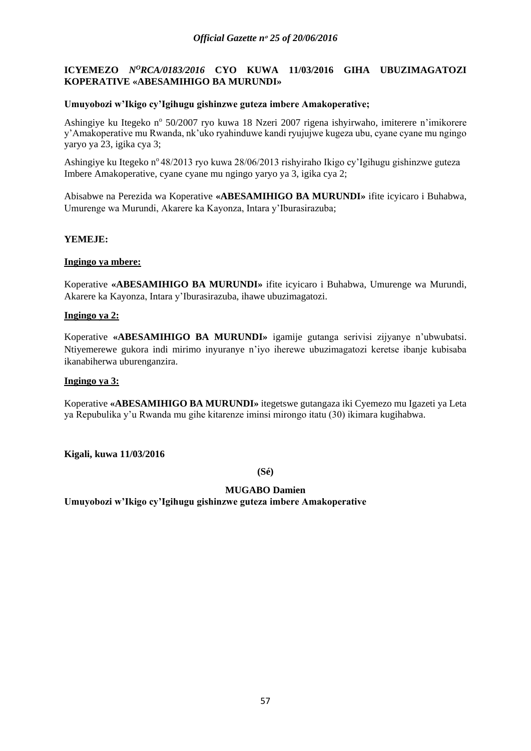# **ICYEMEZO** *N<sup>O</sup>RCA/0183/2016* CYO KUWA 11/03/2016 GIHA UBUZIMAGATOZI **KOPERATIVE «ABESAMIHIGO BA MURUNDI»**

## **Umuyobozi w'Ikigo cy'Igihugu gishinzwe guteza imbere Amakoperative;**

Ashingiye ku Itegeko nº 50/2007 ryo kuwa 18 Nzeri 2007 rigena ishyirwaho, imiterere n'imikorere y'Amakoperative mu Rwanda, nk'uko ryahinduwe kandi ryujujwe kugeza ubu, cyane cyane mu ngingo yaryo ya 23, igika cya 3;

Ashingiye ku Itegeko n<sup>o</sup> 48/2013 ryo kuwa 28/06/2013 rishyiraho Ikigo cy'Igihugu gishinzwe guteza Imbere Amakoperative, cyane cyane mu ngingo yaryo ya 3, igika cya 2;

Abisabwe na Perezida wa Koperative **«ABESAMIHIGO BA MURUNDI»** ifite icyicaro i Buhabwa, Umurenge wa Murundi, Akarere ka Kayonza, Intara y'Iburasirazuba;

## **YEMEJE:**

## **Ingingo ya mbere:**

Koperative **«ABESAMIHIGO BA MURUNDI»** ifite icyicaro i Buhabwa, Umurenge wa Murundi, Akarere ka Kayonza, Intara y'Iburasirazuba, ihawe ubuzimagatozi.

## **Ingingo ya 2:**

Koperative **«ABESAMIHIGO BA MURUNDI»** igamije gutanga serivisi zijyanye n'ubwubatsi. Ntiyemerewe gukora indi mirimo inyuranye n'iyo iherewe ubuzimagatozi keretse ibanje kubisaba ikanabiherwa uburenganzira.

### **Ingingo ya 3:**

Koperative **«ABESAMIHIGO BA MURUNDI»** itegetswe gutangaza iki Cyemezo mu Igazeti ya Leta ya Repubulika y'u Rwanda mu gihe kitarenze iminsi mirongo itatu (30) ikimara kugihabwa.

**Kigali, kuwa 11/03/2016**

**(Sé)**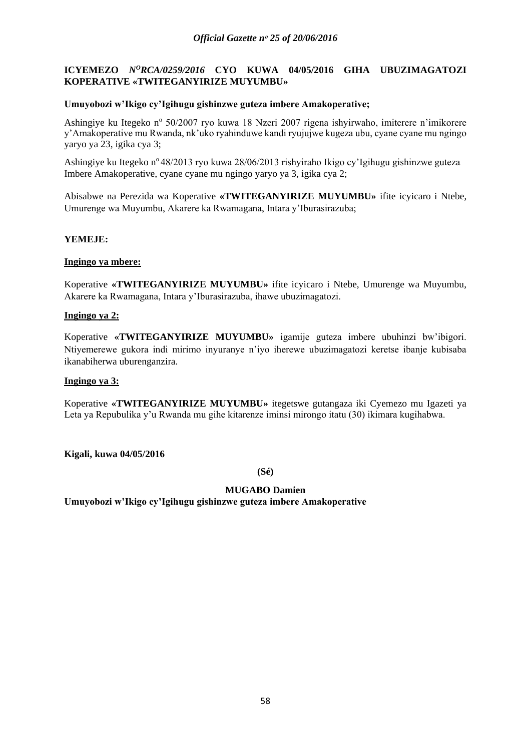# **ICYEMEZO** *N<sup>O</sup>RCA/0259/2016* CYO KUWA 04/05/2016 GIHA UBUZIMAGATOZI **KOPERATIVE «TWITEGANYIRIZE MUYUMBU»**

## **Umuyobozi w'Ikigo cy'Igihugu gishinzwe guteza imbere Amakoperative;**

Ashingiye ku Itegeko nº 50/2007 ryo kuwa 18 Nzeri 2007 rigena ishyirwaho, imiterere n'imikorere y'Amakoperative mu Rwanda, nk'uko ryahinduwe kandi ryujujwe kugeza ubu, cyane cyane mu ngingo yaryo ya 23, igika cya 3;

Ashingiye ku Itegeko n<sup>o</sup> 48/2013 ryo kuwa 28/06/2013 rishyiraho Ikigo cy'Igihugu gishinzwe guteza Imbere Amakoperative, cyane cyane mu ngingo yaryo ya 3, igika cya 2;

Abisabwe na Perezida wa Koperative **«TWITEGANYIRIZE MUYUMBU»** ifite icyicaro i Ntebe, Umurenge wa Muyumbu, Akarere ka Rwamagana, Intara y'Iburasirazuba;

## **YEMEJE:**

## **Ingingo ya mbere:**

Koperative **«TWITEGANYIRIZE MUYUMBU»** ifite icyicaro i Ntebe, Umurenge wa Muyumbu, Akarere ka Rwamagana, Intara y'Iburasirazuba, ihawe ubuzimagatozi.

## **Ingingo ya 2:**

Koperative **«TWITEGANYIRIZE MUYUMBU»** igamije guteza imbere ubuhinzi bw'ibigori. Ntiyemerewe gukora indi mirimo inyuranye n'iyo iherewe ubuzimagatozi keretse ibanje kubisaba ikanabiherwa uburenganzira.

### **Ingingo ya 3:**

Koperative **«TWITEGANYIRIZE MUYUMBU»** itegetswe gutangaza iki Cyemezo mu Igazeti ya Leta ya Repubulika y'u Rwanda mu gihe kitarenze iminsi mirongo itatu (30) ikimara kugihabwa.

**Kigali, kuwa 04/05/2016**

**(Sé)**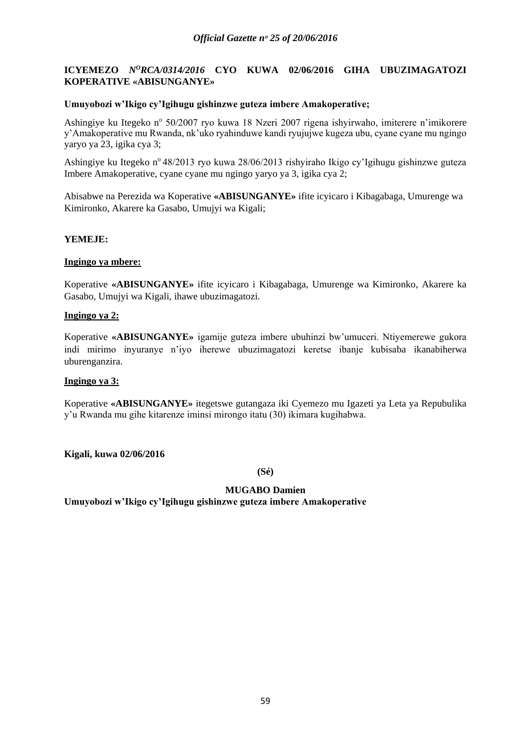# **ICYEMEZO** *N<sup>O</sup>RCA/0314/2016* CYO KUWA 02/06/2016 GIHA UBUZIMAGATOZI **KOPERATIVE «ABISUNGANYE»**

## **Umuyobozi w'Ikigo cy'Igihugu gishinzwe guteza imbere Amakoperative;**

Ashingiye ku Itegeko nº 50/2007 ryo kuwa 18 Nzeri 2007 rigena ishyirwaho, imiterere n'imikorere y'Amakoperative mu Rwanda, nk'uko ryahinduwe kandi ryujujwe kugeza ubu, cyane cyane mu ngingo yaryo ya 23, igika cya 3;

Ashingiye ku Itegeko n° 48/2013 ryo kuwa 28/06/2013 rishyiraho Ikigo cy'Igihugu gishinzwe guteza Imbere Amakoperative, cyane cyane mu ngingo yaryo ya 3, igika cya 2;

Abisabwe na Perezida wa Koperative **«ABISUNGANYE»** ifite icyicaro i Kibagabaga, Umurenge wa Kimironko, Akarere ka Gasabo, Umujyi wa Kigali;

## **YEMEJE:**

## **Ingingo ya mbere:**

Koperative **«ABISUNGANYE»** ifite icyicaro i Kibagabaga, Umurenge wa Kimironko, Akarere ka Gasabo, Umujyi wa Kigali, ihawe ubuzimagatozi.

## **Ingingo ya 2:**

Koperative **«ABISUNGANYE»** igamije guteza imbere ubuhinzi bw'umuceri. Ntiyemerewe gukora indi mirimo inyuranye n'iyo iherewe ubuzimagatozi keretse ibanje kubisaba ikanabiherwa uburenganzira.

### **Ingingo ya 3:**

Koperative **«ABISUNGANYE»** itegetswe gutangaza iki Cyemezo mu Igazeti ya Leta ya Repubulika y'u Rwanda mu gihe kitarenze iminsi mirongo itatu (30) ikimara kugihabwa.

**Kigali, kuwa 02/06/2016**

**(Sé)**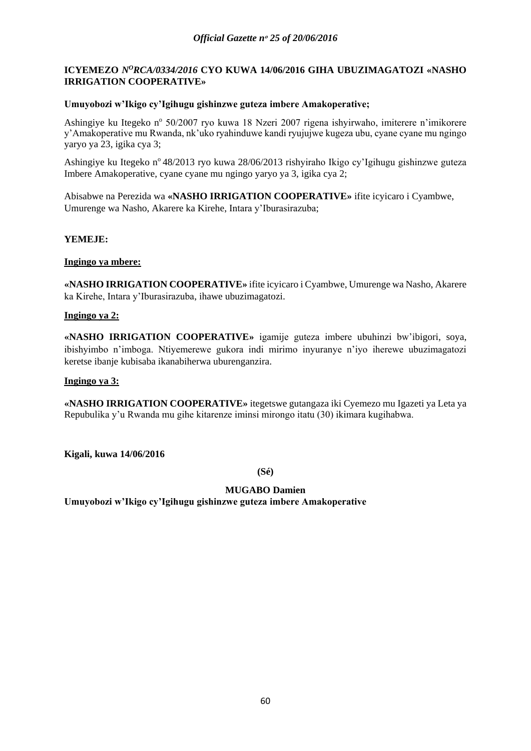# **ICYEMEZO** *NºRCA/0334/2016* CYO KUWA 14/06/2016 GIHA UBUZIMAGATOZI «NASHO **IRRIGATION COOPERATIVE»**

## **Umuyobozi w'Ikigo cy'Igihugu gishinzwe guteza imbere Amakoperative;**

Ashingiye ku Itegeko nº 50/2007 ryo kuwa 18 Nzeri 2007 rigena ishyirwaho, imiterere n'imikorere y'Amakoperative mu Rwanda, nk'uko ryahinduwe kandi ryujujwe kugeza ubu, cyane cyane mu ngingo yaryo ya 23, igika cya 3;

Ashingiye ku Itegeko n° 48/2013 ryo kuwa 28/06/2013 rishyiraho Ikigo cy'Igihugu gishinzwe guteza Imbere Amakoperative, cyane cyane mu ngingo yaryo ya 3, igika cya 2;

Abisabwe na Perezida wa **«NASHO IRRIGATION COOPERATIVE»** ifite icyicaro i Cyambwe, Umurenge wa Nasho, Akarere ka Kirehe, Intara y'Iburasirazuba;

## **YEMEJE:**

## **Ingingo ya mbere:**

**«NASHO IRRIGATION COOPERATIVE»** ifite icyicaro i Cyambwe, Umurenge wa Nasho, Akarere ka Kirehe, Intara y'Iburasirazuba, ihawe ubuzimagatozi.

### **Ingingo ya 2:**

**«NASHO IRRIGATION COOPERATIVE»** igamije guteza imbere ubuhinzi bw'ibigori, soya, ibishyimbo n'imboga. Ntiyemerewe gukora indi mirimo inyuranye n'iyo iherewe ubuzimagatozi keretse ibanje kubisaba ikanabiherwa uburenganzira.

### **Ingingo ya 3:**

**«NASHO IRRIGATION COOPERATIVE»** itegetswe gutangaza iki Cyemezo mu Igazeti ya Leta ya Repubulika y'u Rwanda mu gihe kitarenze iminsi mirongo itatu (30) ikimara kugihabwa.

**Kigali, kuwa 14/06/2016**

**(Sé)**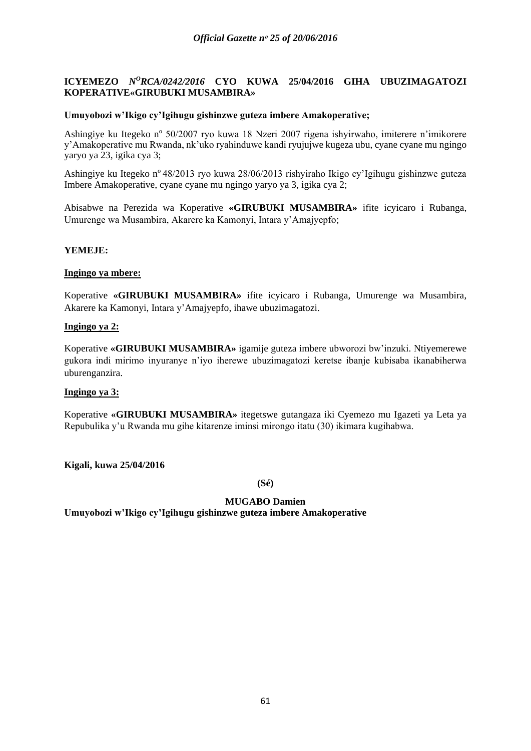## **ICYEMEZO** *N<sup>O</sup>RCA/0242/2016* CYO KUWA 25/04/2016 GIHA UBUZIMAGATOZI **KOPERATIVE«GIRUBUKI MUSAMBIRA»**

### **Umuyobozi w'Ikigo cy'Igihugu gishinzwe guteza imbere Amakoperative;**

Ashingiye ku Itegeko nº 50/2007 ryo kuwa 18 Nzeri 2007 rigena ishyirwaho, imiterere n'imikorere y'Amakoperative mu Rwanda, nk'uko ryahinduwe kandi ryujujwe kugeza ubu, cyane cyane mu ngingo yaryo ya 23, igika cya 3;

Ashingiye ku Itegeko n° 48/2013 ryo kuwa 28/06/2013 rishyiraho Ikigo cy'Igihugu gishinzwe guteza Imbere Amakoperative, cyane cyane mu ngingo yaryo ya 3, igika cya 2;

Abisabwe na Perezida wa Koperative **«GIRUBUKI MUSAMBIRA»** ifite icyicaro i Rubanga, Umurenge wa Musambira, Akarere ka Kamonyi, Intara y'Amajyepfo;

### **YEMEJE:**

#### **Ingingo ya mbere:**

Koperative **«GIRUBUKI MUSAMBIRA»** ifite icyicaro i Rubanga, Umurenge wa Musambira, Akarere ka Kamonyi, Intara y'Amajyepfo, ihawe ubuzimagatozi.

### **Ingingo ya 2:**

Koperative **«GIRUBUKI MUSAMBIRA»** igamije guteza imbere ubworozi bw'inzuki. Ntiyemerewe gukora indi mirimo inyuranye n'iyo iherewe ubuzimagatozi keretse ibanje kubisaba ikanabiherwa uburenganzira.

#### **Ingingo ya 3:**

Koperative **«GIRUBUKI MUSAMBIRA»** itegetswe gutangaza iki Cyemezo mu Igazeti ya Leta ya Repubulika y'u Rwanda mu gihe kitarenze iminsi mirongo itatu (30) ikimara kugihabwa.

**Kigali, kuwa 25/04/2016**

**(Sé)**

### **MUGABO Damien**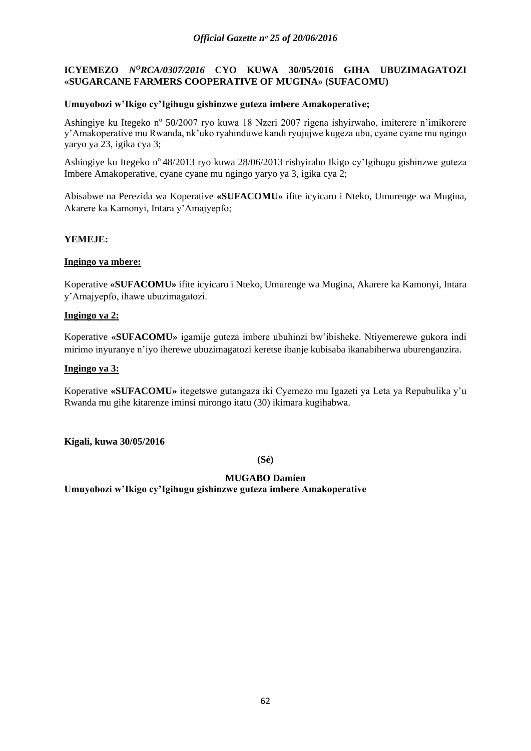# **ICYEMEZO** *N<sup>O</sup>RCA/0307/2016* CYO KUWA 30/05/2016 GIHA UBUZIMAGATOZI **«SUGARCANE FARMERS COOPERATIVE OF MUGINA» (SUFACOMU)**

## **Umuyobozi w'Ikigo cy'Igihugu gishinzwe guteza imbere Amakoperative;**

Ashingiye ku Itegeko nº 50/2007 ryo kuwa 18 Nzeri 2007 rigena ishyirwaho, imiterere n'imikorere y'Amakoperative mu Rwanda, nk'uko ryahinduwe kandi ryujujwe kugeza ubu, cyane cyane mu ngingo yaryo ya 23, igika cya 3;

Ashingiye ku Itegeko n° 48/2013 ryo kuwa 28/06/2013 rishyiraho Ikigo cy'Igihugu gishinzwe guteza Imbere Amakoperative, cyane cyane mu ngingo yaryo ya 3, igika cya 2;

Abisabwe na Perezida wa Koperative **«SUFACOMU»** ifite icyicaro i Nteko, Umurenge wa Mugina, Akarere ka Kamonyi, Intara y'Amajyepfo;

## **YEMEJE:**

## **Ingingo ya mbere:**

Koperative **«SUFACOMU»** ifite icyicaro i Nteko, Umurenge wa Mugina, Akarere ka Kamonyi, Intara y'Amajyepfo, ihawe ubuzimagatozi.

## **Ingingo ya 2:**

Koperative **«SUFACOMU»** igamije guteza imbere ubuhinzi bw'ibisheke. Ntiyemerewe gukora indi mirimo inyuranye n'iyo iherewe ubuzimagatozi keretse ibanje kubisaba ikanabiherwa uburenganzira.

## **Ingingo ya 3:**

Koperative **«SUFACOMU»** itegetswe gutangaza iki Cyemezo mu Igazeti ya Leta ya Repubulika y'u Rwanda mu gihe kitarenze iminsi mirongo itatu (30) ikimara kugihabwa.

**Kigali, kuwa 30/05/2016**

**(Sé)**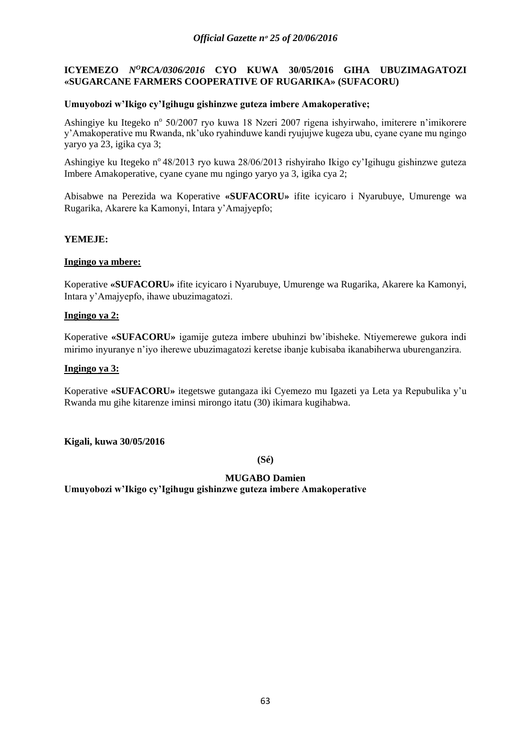# **ICYEMEZO** *N<sup>O</sup>RCA/0306/2016* CYO KUWA 30/05/2016 GIHA UBUZIMAGATOZI **«SUGARCANE FARMERS COOPERATIVE OF RUGARIKA» (SUFACORU)**

## **Umuyobozi w'Ikigo cy'Igihugu gishinzwe guteza imbere Amakoperative;**

Ashingiye ku Itegeko nº 50/2007 ryo kuwa 18 Nzeri 2007 rigena ishyirwaho, imiterere n'imikorere y'Amakoperative mu Rwanda, nk'uko ryahinduwe kandi ryujujwe kugeza ubu, cyane cyane mu ngingo yaryo ya 23, igika cya 3;

Ashingiye ku Itegeko n° 48/2013 ryo kuwa 28/06/2013 rishyiraho Ikigo cy'Igihugu gishinzwe guteza Imbere Amakoperative, cyane cyane mu ngingo yaryo ya 3, igika cya 2;

Abisabwe na Perezida wa Koperative **«SUFACORU»** ifite icyicaro i Nyarubuye, Umurenge wa Rugarika, Akarere ka Kamonyi, Intara y'Amajyepfo;

## **YEMEJE:**

## **Ingingo ya mbere:**

Koperative **«SUFACORU»** ifite icyicaro i Nyarubuye, Umurenge wa Rugarika, Akarere ka Kamonyi, Intara y'Amajyepfo, ihawe ubuzimagatozi.

## **Ingingo ya 2:**

Koperative **«SUFACORU»** igamije guteza imbere ubuhinzi bw'ibisheke. Ntiyemerewe gukora indi mirimo inyuranye n'iyo iherewe ubuzimagatozi keretse ibanje kubisaba ikanabiherwa uburenganzira.

## **Ingingo ya 3:**

Koperative **«SUFACORU»** itegetswe gutangaza iki Cyemezo mu Igazeti ya Leta ya Repubulika y'u Rwanda mu gihe kitarenze iminsi mirongo itatu (30) ikimara kugihabwa.

**Kigali, kuwa 30/05/2016**

**(Sé)**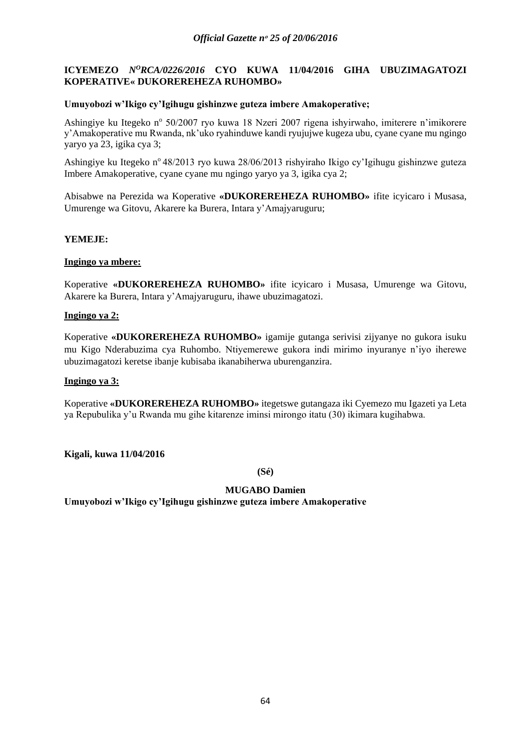# **ICYEMEZO** *N<sup>O</sup>RCA/0226/2016* CYO KUWA 11/04/2016 GIHA UBUZIMAGATOZI **KOPERATIVE« DUKOREREHEZA RUHOMBO»**

## **Umuyobozi w'Ikigo cy'Igihugu gishinzwe guteza imbere Amakoperative;**

Ashingiye ku Itegeko nº 50/2007 ryo kuwa 18 Nzeri 2007 rigena ishyirwaho, imiterere n'imikorere y'Amakoperative mu Rwanda, nk'uko ryahinduwe kandi ryujujwe kugeza ubu, cyane cyane mu ngingo yaryo ya 23, igika cya 3;

Ashingiye ku Itegeko n° 48/2013 ryo kuwa 28/06/2013 rishyiraho Ikigo cy'Igihugu gishinzwe guteza Imbere Amakoperative, cyane cyane mu ngingo yaryo ya 3, igika cya 2;

Abisabwe na Perezida wa Koperative **«DUKOREREHEZA RUHOMBO»** ifite icyicaro i Musasa, Umurenge wa Gitovu, Akarere ka Burera, Intara y'Amajyaruguru;

## **YEMEJE:**

## **Ingingo ya mbere:**

Koperative **«DUKOREREHEZA RUHOMBO»** ifite icyicaro i Musasa, Umurenge wa Gitovu, Akarere ka Burera, Intara y'Amajyaruguru, ihawe ubuzimagatozi.

## **Ingingo ya 2:**

Koperative **«DUKOREREHEZA RUHOMBO»** igamije gutanga serivisi zijyanye no gukora isuku mu Kigo Nderabuzima cya Ruhombo. Ntiyemerewe gukora indi mirimo inyuranye n'iyo iherewe ubuzimagatozi keretse ibanje kubisaba ikanabiherwa uburenganzira.

### **Ingingo ya 3:**

Koperative **«DUKOREREHEZA RUHOMBO»** itegetswe gutangaza iki Cyemezo mu Igazeti ya Leta ya Repubulika y'u Rwanda mu gihe kitarenze iminsi mirongo itatu (30) ikimara kugihabwa.

**Kigali, kuwa 11/04/2016**

**(Sé)**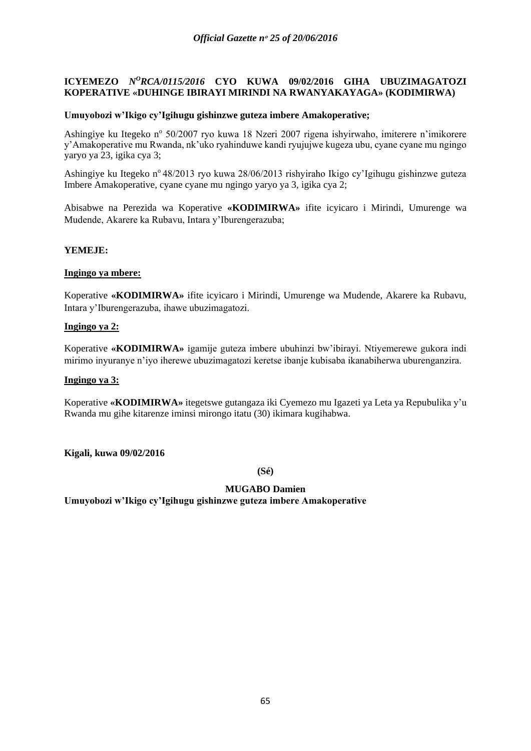### **ICYEMEZO** *N<sup>O</sup>RCA/0115/2016* CYO KUWA 09/02/2016 GIHA UBUZIMAGATOZI **KOPERATIVE «DUHINGE IBIRAYI MIRINDI NA RWANYAKAYAGA» (KODIMIRWA)**

### **Umuyobozi w'Ikigo cy'Igihugu gishinzwe guteza imbere Amakoperative;**

Ashingiye ku Itegeko nº 50/2007 ryo kuwa 18 Nzeri 2007 rigena ishyirwaho, imiterere n'imikorere y'Amakoperative mu Rwanda, nk'uko ryahinduwe kandi ryujujwe kugeza ubu, cyane cyane mu ngingo yaryo ya 23, igika cya 3;

Ashingiye ku Itegeko n° 48/2013 ryo kuwa 28/06/2013 rishyiraho Ikigo cy'Igihugu gishinzwe guteza Imbere Amakoperative, cyane cyane mu ngingo yaryo ya 3, igika cya 2;

Abisabwe na Perezida wa Koperative **«KODIMIRWA»** ifite icyicaro i Mirindi, Umurenge wa Mudende, Akarere ka Rubavu, Intara y'Iburengerazuba;

### **YEMEJE:**

#### **Ingingo ya mbere:**

Koperative **«KODIMIRWA»** ifite icyicaro i Mirindi, Umurenge wa Mudende, Akarere ka Rubavu, Intara y'Iburengerazuba, ihawe ubuzimagatozi.

### **Ingingo ya 2:**

Koperative **«KODIMIRWA»** igamije guteza imbere ubuhinzi bw'ibirayi. Ntiyemerewe gukora indi mirimo inyuranye n'iyo iherewe ubuzimagatozi keretse ibanje kubisaba ikanabiherwa uburenganzira.

#### **Ingingo ya 3:**

Koperative **«KODIMIRWA»** itegetswe gutangaza iki Cyemezo mu Igazeti ya Leta ya Repubulika y'u Rwanda mu gihe kitarenze iminsi mirongo itatu (30) ikimara kugihabwa.

**Kigali, kuwa 09/02/2016**

**(Sé)**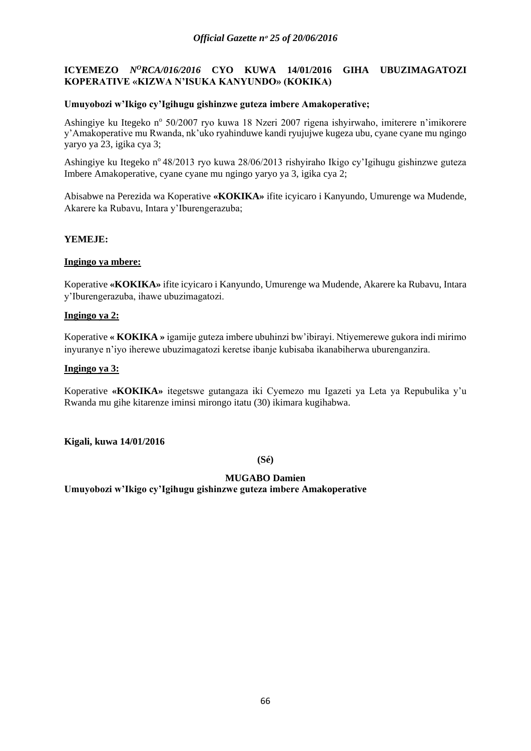# **ICYEMEZO** *N<sup>O</sup>RCA/016/2016* CYO KUWA 14/01/2016 GIHA UBUZIMAGATOZI **KOPERATIVE «KIZWA N'ISUKA KANYUNDO» (KOKIKA)**

## **Umuyobozi w'Ikigo cy'Igihugu gishinzwe guteza imbere Amakoperative;**

Ashingiye ku Itegeko nº 50/2007 ryo kuwa 18 Nzeri 2007 rigena ishyirwaho, imiterere n'imikorere y'Amakoperative mu Rwanda, nk'uko ryahinduwe kandi ryujujwe kugeza ubu, cyane cyane mu ngingo yaryo ya 23, igika cya 3;

Ashingiye ku Itegeko n° 48/2013 ryo kuwa 28/06/2013 rishyiraho Ikigo cy'Igihugu gishinzwe guteza Imbere Amakoperative, cyane cyane mu ngingo yaryo ya 3, igika cya 2;

Abisabwe na Perezida wa Koperative **«KOKIKA»** ifite icyicaro i Kanyundo, Umurenge wa Mudende, Akarere ka Rubavu, Intara y'Iburengerazuba;

## **YEMEJE:**

## **Ingingo ya mbere:**

Koperative **«KOKIKA»** ifite icyicaro i Kanyundo, Umurenge wa Mudende, Akarere ka Rubavu, Intara y'Iburengerazuba, ihawe ubuzimagatozi.

## **Ingingo ya 2:**

Koperative **« KOKIKA »** igamije guteza imbere ubuhinzi bw'ibirayi. Ntiyemerewe gukora indi mirimo inyuranye n'iyo iherewe ubuzimagatozi keretse ibanje kubisaba ikanabiherwa uburenganzira.

## **Ingingo ya 3:**

Koperative **«KOKIKA»** itegetswe gutangaza iki Cyemezo mu Igazeti ya Leta ya Repubulika y'u Rwanda mu gihe kitarenze iminsi mirongo itatu (30) ikimara kugihabwa.

**Kigali, kuwa 14/01/2016**

**(Sé)**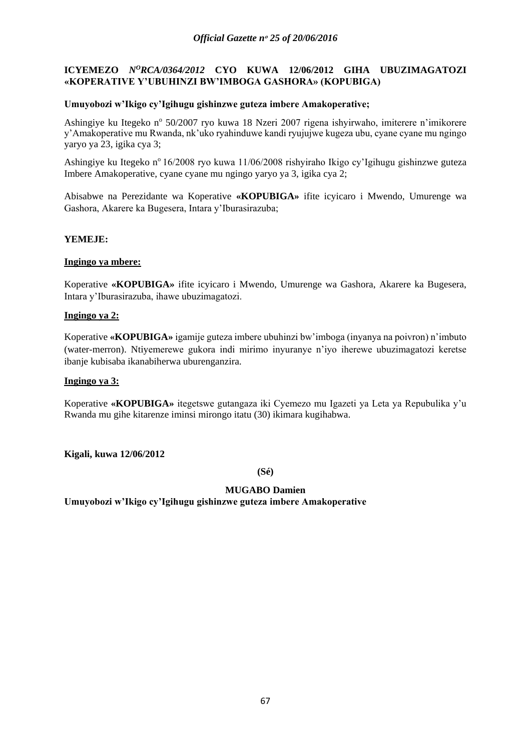# **ICYEMEZO** *NºRCA/0364/2012* CYO KUWA 12/06/2012 GIHA UBUZIMAGATOZI **«KOPERATIVE Y'UBUHINZI BW'IMBOGA GASHORA» (KOPUBIGA)**

## **Umuyobozi w'Ikigo cy'Igihugu gishinzwe guteza imbere Amakoperative;**

Ashingiye ku Itegeko nº 50/2007 ryo kuwa 18 Nzeri 2007 rigena ishyirwaho, imiterere n'imikorere y'Amakoperative mu Rwanda, nk'uko ryahinduwe kandi ryujujwe kugeza ubu, cyane cyane mu ngingo yaryo ya 23, igika cya 3;

Ashingiye ku Itegeko n<sup>o</sup> 16/2008 ryo kuwa 11/06/2008 rishyiraho Ikigo cy'Igihugu gishinzwe guteza Imbere Amakoperative, cyane cyane mu ngingo yaryo ya 3, igika cya 2;

Abisabwe na Perezidante wa Koperative **«KOPUBIGA»** ifite icyicaro i Mwendo, Umurenge wa Gashora, Akarere ka Bugesera, Intara y'Iburasirazuba;

## **YEMEJE:**

## **Ingingo ya mbere:**

Koperative **«KOPUBIGA»** ifite icyicaro i Mwendo, Umurenge wa Gashora, Akarere ka Bugesera, Intara y'Iburasirazuba, ihawe ubuzimagatozi.

## **Ingingo ya 2:**

Koperative **«KOPUBIGA»** igamije guteza imbere ubuhinzi bw'imboga (inyanya na poivron) n'imbuto (water-merron). Ntiyemerewe gukora indi mirimo inyuranye n'iyo iherewe ubuzimagatozi keretse ibanje kubisaba ikanabiherwa uburenganzira.

### **Ingingo ya 3:**

Koperative **«KOPUBIGA»** itegetswe gutangaza iki Cyemezo mu Igazeti ya Leta ya Repubulika y'u Rwanda mu gihe kitarenze iminsi mirongo itatu (30) ikimara kugihabwa.

**Kigali, kuwa 12/06/2012**

**(Sé)**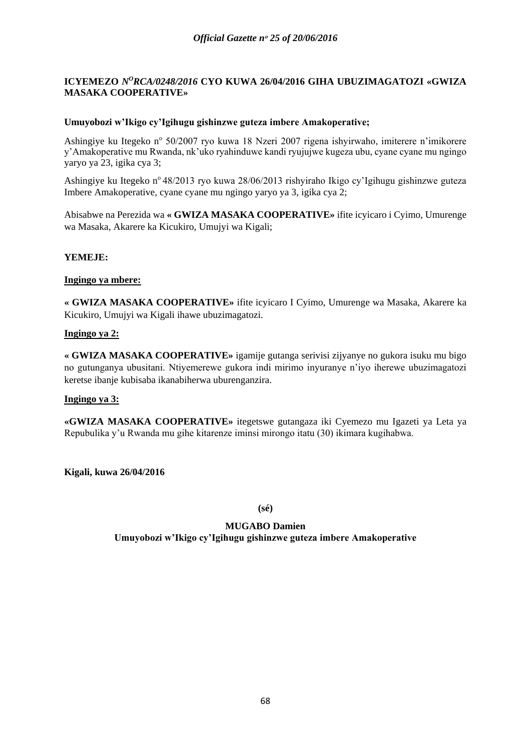# **ICYEMEZO** *N<sup>O</sup>RCA/0248/2016* CYO KUWA 26/04/2016 GIHA UBUZIMAGATOZI «GWIZA **MASAKA COOPERATIVE»**

## **Umuyobozi w'Ikigo cy'Igihugu gishinzwe guteza imbere Amakoperative;**

Ashingiye ku Itegeko nº 50/2007 ryo kuwa 18 Nzeri 2007 rigena ishyirwaho, imiterere n'imikorere y'Amakoperative mu Rwanda, nk'uko ryahinduwe kandi ryujujwe kugeza ubu, cyane cyane mu ngingo yaryo ya 23, igika cya 3;

Ashingiye ku Itegeko n<sup>o</sup> 48/2013 ryo kuwa 28/06/2013 rishyiraho Ikigo cy'Igihugu gishinzwe guteza Imbere Amakoperative, cyane cyane mu ngingo yaryo ya 3, igika cya 2;

Abisabwe na Perezida wa **« GWIZA MASAKA COOPERATIVE»** ifite icyicaro i Cyimo, Umurenge wa Masaka, Akarere ka Kicukiro, Umujyi wa Kigali;

## **YEMEJE:**

### **Ingingo ya mbere:**

**« GWIZA MASAKA COOPERATIVE»** ifite icyicaro I Cyimo, Umurenge wa Masaka, Akarere ka Kicukiro, Umujyi wa Kigali ihawe ubuzimagatozi.

### **Ingingo ya 2:**

**« GWIZA MASAKA COOPERATIVE»** igamije gutanga serivisi zijyanye no gukora isuku mu bigo no gutunganya ubusitani. Ntiyemerewe gukora indi mirimo inyuranye n'iyo iherewe ubuzimagatozi keretse ibanje kubisaba ikanabiherwa uburenganzira.

### **Ingingo ya 3:**

**«GWIZA MASAKA COOPERATIVE»** itegetswe gutangaza iki Cyemezo mu Igazeti ya Leta ya Repubulika y'u Rwanda mu gihe kitarenze iminsi mirongo itatu (30) ikimara kugihabwa.

**Kigali, kuwa 26/04/2016**

**(sé)**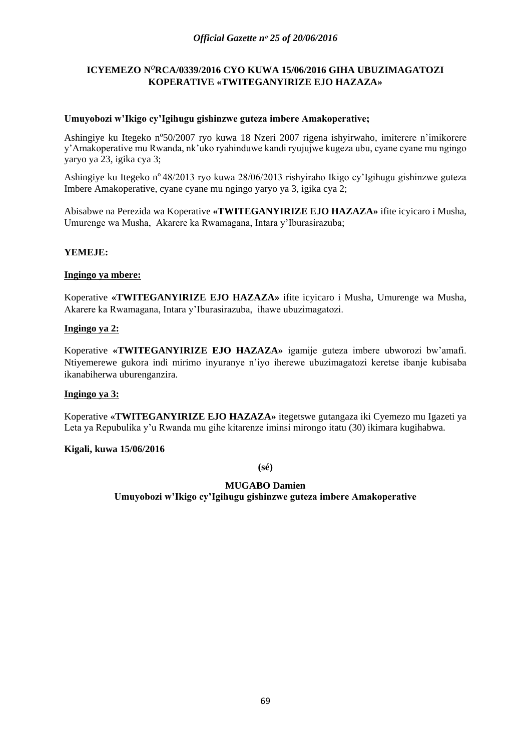# **ICYEMEZO N***<sup>O</sup>***RCA/0339/2016 CYO KUWA 15/06/2016 GIHA UBUZIMAGATOZI KOPERATIVE «TWITEGANYIRIZE EJO HAZAZA»**

## **Umuyobozi w'Ikigo cy'Igihugu gishinzwe guteza imbere Amakoperative;**

Ashingiye ku Itegeko n°50/2007 ryo kuwa 18 Nzeri 2007 rigena ishyirwaho, imiterere n'imikorere y'Amakoperative mu Rwanda, nk'uko ryahinduwe kandi ryujujwe kugeza ubu, cyane cyane mu ngingo yaryo ya 23, igika cya 3;

Ashingiye ku Itegeko n° 48/2013 ryo kuwa 28/06/2013 rishyiraho Ikigo cy'Igihugu gishinzwe guteza Imbere Amakoperative, cyane cyane mu ngingo yaryo ya 3, igika cya 2;

Abisabwe na Perezida wa Koperative **«TWITEGANYIRIZE EJO HAZAZA»** ifite icyicaro i Musha, Umurenge wa Musha, Akarere ka Rwamagana, Intara y'Iburasirazuba;

## **YEMEJE:**

### **Ingingo ya mbere:**

Koperative **«TWITEGANYIRIZE EJO HAZAZA»** ifite icyicaro i Musha, Umurenge wa Musha, Akarere ka Rwamagana, Intara y'Iburasirazuba, ihawe ubuzimagatozi.

## **Ingingo ya 2:**

Koperative **«TWITEGANYIRIZE EJO HAZAZA»** igamije guteza imbere ubworozi bw'amafi. Ntiyemerewe gukora indi mirimo inyuranye n'iyo iherewe ubuzimagatozi keretse ibanje kubisaba ikanabiherwa uburenganzira.

### **Ingingo ya 3:**

Koperative **«TWITEGANYIRIZE EJO HAZAZA»** itegetswe gutangaza iki Cyemezo mu Igazeti ya Leta ya Repubulika y'u Rwanda mu gihe kitarenze iminsi mirongo itatu (30) ikimara kugihabwa.

### **Kigali, kuwa 15/06/2016**

**(sé)**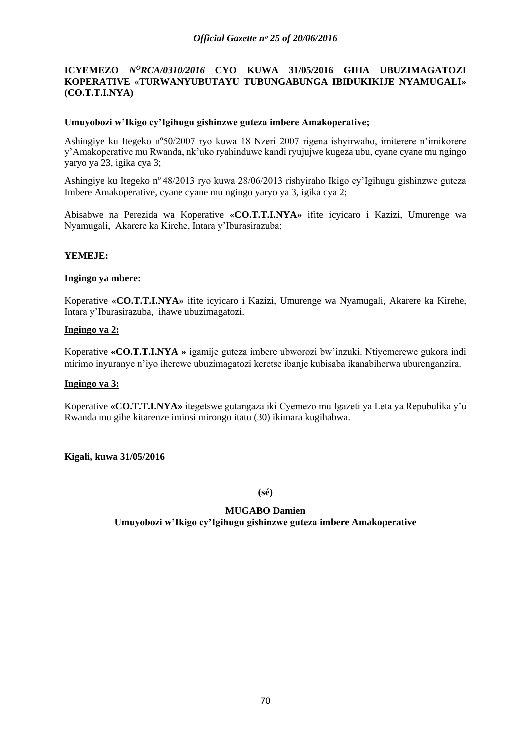### *Official Gazette nᵒ 25 of 20/06/2016*

## **ICYEMEZO** *N<sup>O</sup>RCA/0310/2016* CYO KUWA 31/05/2016 GIHA UBUZIMAGATOZI **KOPERATIVE «TURWANYUBUTAYU TUBUNGABUNGA IBIDUKIKIJE NYAMUGALI» (CO.T.T.I.NYA)**

### **Umuyobozi w'Ikigo cy'Igihugu gishinzwe guteza imbere Amakoperative;**

Ashingiye ku Itegeko n°50/2007 ryo kuwa 18 Nzeri 2007 rigena ishyirwaho, imiterere n'imikorere y'Amakoperative mu Rwanda, nk'uko ryahinduwe kandi ryujujwe kugeza ubu, cyane cyane mu ngingo yaryo ya 23, igika cya 3;

Ashingiye ku Itegeko n<sup>o</sup> 48/2013 ryo kuwa 28/06/2013 rishyiraho Ikigo cy'Igihugu gishinzwe guteza Imbere Amakoperative, cyane cyane mu ngingo yaryo ya 3, igika cya 2;

Abisabwe na Perezida wa Koperative **«CO.T.T.I.NYA»** ifite icyicaro i Kazizi, Umurenge wa Nyamugali, Akarere ka Kirehe, Intara y'Iburasirazuba;

### **YEMEJE:**

### **Ingingo ya mbere:**

Koperative **«CO.T.T.I.NYA»** ifite icyicaro i Kazizi, Umurenge wa Nyamugali, Akarere ka Kirehe, Intara y'Iburasirazuba, ihawe ubuzimagatozi.

## **Ingingo ya 2:**

Koperative **«CO.T.T.I.NYA »** igamije guteza imbere ubworozi bw'inzuki. Ntiyemerewe gukora indi mirimo inyuranye n'iyo iherewe ubuzimagatozi keretse ibanje kubisaba ikanabiherwa uburenganzira.

### **Ingingo ya 3:**

Koperative **«CO.T.T.I.NYA»** itegetswe gutangaza iki Cyemezo mu Igazeti ya Leta ya Repubulika y'u Rwanda mu gihe kitarenze iminsi mirongo itatu (30) ikimara kugihabwa.

**Kigali, kuwa 31/05/2016**

**(sé)**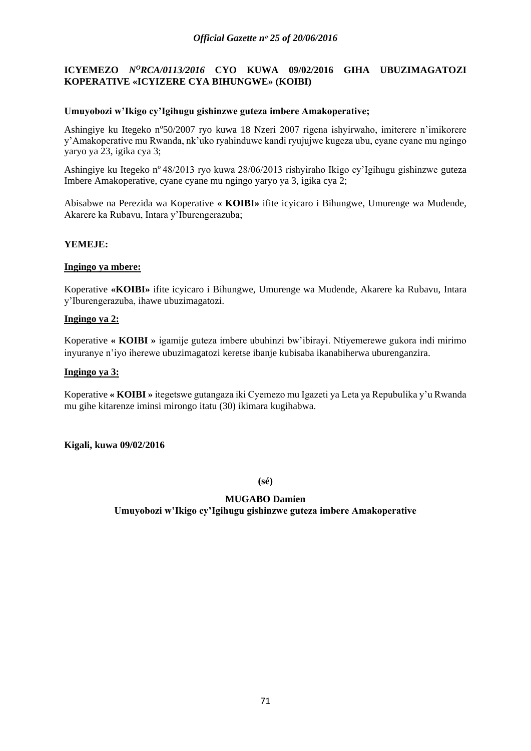# **ICYEMEZO** *N<sup>O</sup>RCA/0113/2016* CYO KUWA 09/02/2016 GIHA UBUZIMAGATOZI **KOPERATIVE «ICYIZERE CYA BIHUNGWE» (KOIBI)**

### **Umuyobozi w'Ikigo cy'Igihugu gishinzwe guteza imbere Amakoperative;**

Ashingiye ku Itegeko n°50/2007 ryo kuwa 18 Nzeri 2007 rigena ishyirwaho, imiterere n'imikorere y'Amakoperative mu Rwanda, nk'uko ryahinduwe kandi ryujujwe kugeza ubu, cyane cyane mu ngingo yaryo ya 23, igika cya 3;

Ashingiye ku Itegeko n° 48/2013 ryo kuwa 28/06/2013 rishyiraho Ikigo cy'Igihugu gishinzwe guteza Imbere Amakoperative, cyane cyane mu ngingo yaryo ya 3, igika cya 2;

Abisabwe na Perezida wa Koperative **« KOIBI»** ifite icyicaro i Bihungwe, Umurenge wa Mudende, Akarere ka Rubavu, Intara y'Iburengerazuba;

## **YEMEJE:**

### **Ingingo ya mbere:**

Koperative **«KOIBI»** ifite icyicaro i Bihungwe, Umurenge wa Mudende, Akarere ka Rubavu, Intara y'Iburengerazuba, ihawe ubuzimagatozi.

# **Ingingo ya 2:**

Koperative **« KOIBI »** igamije guteza imbere ubuhinzi bw'ibirayi. Ntiyemerewe gukora indi mirimo inyuranye n'iyo iherewe ubuzimagatozi keretse ibanje kubisaba ikanabiherwa uburenganzira.

### **Ingingo ya 3:**

Koperative **« KOIBI »** itegetswe gutangaza iki Cyemezo mu Igazeti ya Leta ya Repubulika y'u Rwanda mu gihe kitarenze iminsi mirongo itatu (30) ikimara kugihabwa.

### **Kigali, kuwa 09/02/2016**

**(sé)**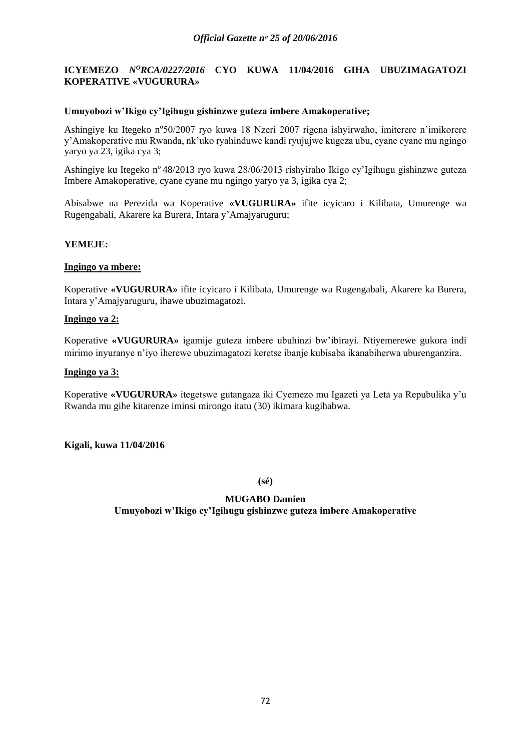### *Official Gazette nᵒ 25 of 20/06/2016*

## **ICYEMEZO** *N<sup>O</sup>RCA/0227/2016* CYO KUWA 11/04/2016 GIHA UBUZIMAGATOZI **KOPERATIVE «VUGURURA»**

### **Umuyobozi w'Ikigo cy'Igihugu gishinzwe guteza imbere Amakoperative;**

Ashingiye ku Itegeko n°50/2007 ryo kuwa 18 Nzeri 2007 rigena ishyirwaho, imiterere n'imikorere y'Amakoperative mu Rwanda, nk'uko ryahinduwe kandi ryujujwe kugeza ubu, cyane cyane mu ngingo yaryo ya 23, igika cya 3;

Ashingiye ku Itegeko n° 48/2013 ryo kuwa 28/06/2013 rishyiraho Ikigo cy'Igihugu gishinzwe guteza Imbere Amakoperative, cyane cyane mu ngingo yaryo ya 3, igika cya 2;

Abisabwe na Perezida wa Koperative **«VUGURURA»** ifite icyicaro i Kilibata, Umurenge wa Rugengabali, Akarere ka Burera, Intara y'Amajyaruguru;

#### **YEMEJE:**

#### **Ingingo ya mbere:**

Koperative **«VUGURURA»** ifite icyicaro i Kilibata, Umurenge wa Rugengabali, Akarere ka Burera, Intara y'Amajyaruguru, ihawe ubuzimagatozi.

## **Ingingo ya 2:**

Koperative **«VUGURURA»** igamije guteza imbere ubuhinzi bw'ibirayi. Ntiyemerewe gukora indi mirimo inyuranye n'iyo iherewe ubuzimagatozi keretse ibanje kubisaba ikanabiherwa uburenganzira.

#### **Ingingo ya 3:**

Koperative **«VUGURURA»** itegetswe gutangaza iki Cyemezo mu Igazeti ya Leta ya Repubulika y'u Rwanda mu gihe kitarenze iminsi mirongo itatu (30) ikimara kugihabwa.

#### **Kigali, kuwa 11/04/2016**

**(sé)**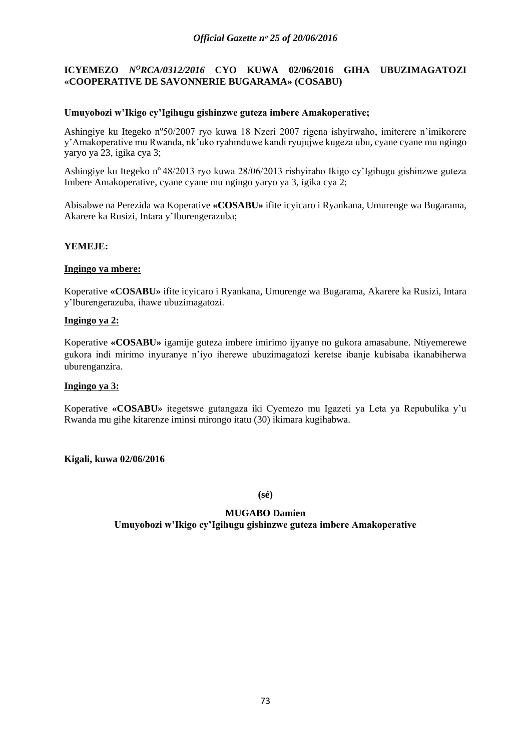# **ICYEMEZO** *N<sup>O</sup>RCA/0312/2016* CYO KUWA 02/06/2016 GIHA UBUZIMAGATOZI **«COOPERATIVE DE SAVONNERIE BUGARAMA» (COSABU)**

### **Umuyobozi w'Ikigo cy'Igihugu gishinzwe guteza imbere Amakoperative;**

Ashingiye ku Itegeko n°50/2007 ryo kuwa 18 Nzeri 2007 rigena ishyirwaho, imiterere n'imikorere y'Amakoperative mu Rwanda, nk'uko ryahinduwe kandi ryujujwe kugeza ubu, cyane cyane mu ngingo yaryo ya 23, igika cya 3;

Ashingiye ku Itegeko n<sup>o</sup> 48/2013 ryo kuwa 28/06/2013 rishyiraho Ikigo cy'Igihugu gishinzwe guteza Imbere Amakoperative, cyane cyane mu ngingo yaryo ya 3, igika cya 2;

Abisabwe na Perezida wa Koperative **«COSABU»** ifite icyicaro i Ryankana, Umurenge wa Bugarama, Akarere ka Rusizi, Intara y'Iburengerazuba;

### **YEMEJE:**

### **Ingingo ya mbere:**

Koperative **«COSABU»** ifite icyicaro i Ryankana, Umurenge wa Bugarama, Akarere ka Rusizi, Intara y'Iburengerazuba, ihawe ubuzimagatozi.

### **Ingingo ya 2:**

Koperative **«COSABU»** igamije guteza imbere imirimo ijyanye no gukora amasabune. Ntiyemerewe gukora indi mirimo inyuranye n'iyo iherewe ubuzimagatozi keretse ibanje kubisaba ikanabiherwa uburenganzira.

#### **Ingingo ya 3:**

Koperative **«COSABU»** itegetswe gutangaza iki Cyemezo mu Igazeti ya Leta ya Repubulika y'u Rwanda mu gihe kitarenze iminsi mirongo itatu (30) ikimara kugihabwa.

#### **Kigali, kuwa 02/06/2016**

**(sé)**

# **MUGABO Damien Umuyobozi w'Ikigo cy'Igihugu gishinzwe guteza imbere Amakoperative**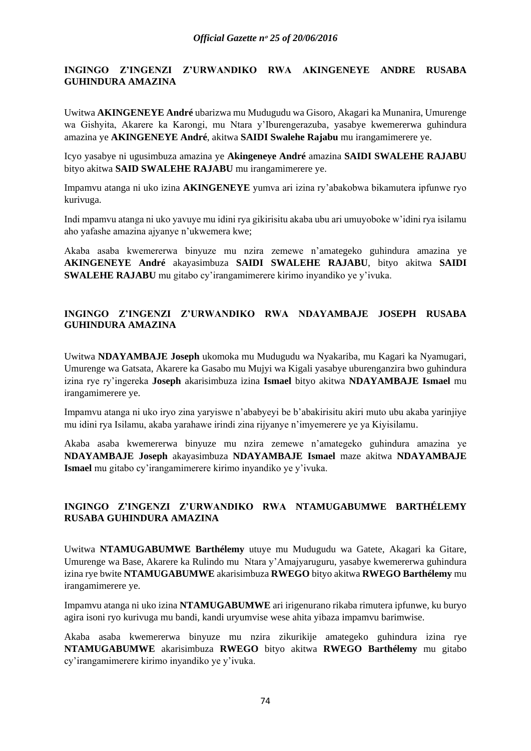### **INGINGO Z'INGENZI Z'URWANDIKO RWA AKINGENEYE ANDRE RUSABA GUHINDURA AMAZINA**

Uwitwa **AKINGENEYE André** ubarizwa mu Mudugudu wa Gisoro, Akagari ka Munanira, Umurenge wa Gishyita, Akarere ka Karongi, mu Ntara y'Iburengerazuba, yasabye kwemererwa guhindura amazina ye **AKINGENEYE André**, akitwa **SAIDI Swalehe Rajabu** mu irangamimerere ye.

Icyo yasabye ni ugusimbuza amazina ye **Akingeneye André** amazina **SAIDI SWALEHE RAJABU** bityo akitwa **SAID SWALEHE RAJABU** mu irangamimerere ye.

Impamvu atanga ni uko izina **AKINGENEYE** yumva ari izina ry'abakobwa bikamutera ipfunwe ryo kurivuga.

Indi mpamvu atanga ni uko yavuye mu idini rya gikirisitu akaba ubu ari umuyoboke w'idini rya isilamu aho yafashe amazina ajyanye n'ukwemera kwe;

Akaba asaba kwemererwa binyuze mu nzira zemewe n'amategeko guhindura amazina ye **AKINGENEYE André** akayasimbuza **SAIDI SWALEHE RAJABU**, bityo akitwa **SAIDI SWALEHE RAJABU** mu gitabo cy'irangamimerere kirimo inyandiko ye y'ivuka.

# **INGINGO Z'INGENZI Z'URWANDIKO RWA NDAYAMBAJE JOSEPH RUSABA GUHINDURA AMAZINA**

Uwitwa **NDAYAMBAJE Joseph** ukomoka mu Mudugudu wa Nyakariba, mu Kagari ka Nyamugari, Umurenge wa Gatsata, Akarere ka Gasabo mu Mujyi wa Kigali yasabye uburenganzira bwo guhindura izina rye ry'ingereka **Joseph** akarisimbuza izina **Ismael** bityo akitwa **NDAYAMBAJE Ismael** mu irangamimerere ye.

Impamvu atanga ni uko iryo zina yaryiswe n'ababyeyi be b'abakirisitu akiri muto ubu akaba yarinjiye mu idini rya Isilamu, akaba yarahawe irindi zina rijyanye n'imyemerere ye ya Kiyisilamu.

Akaba asaba kwemererwa binyuze mu nzira zemewe n'amategeko guhindura amazina ye **NDAYAMBAJE Joseph** akayasimbuza **NDAYAMBAJE Ismael** maze akitwa **NDAYAMBAJE Ismael** mu gitabo cy'irangamimerere kirimo inyandiko ye y'ivuka.

## **INGINGO Z'INGENZI Z'URWANDIKO RWA NTAMUGABUMWE BARTHÉLEMY RUSABA GUHINDURA AMAZINA**

Uwitwa **NTAMUGABUMWE Barthélemy** utuye mu Mudugudu wa Gatete, Akagari ka Gitare, Umurenge wa Base, Akarere ka Rulindo mu Ntara y'Amajyaruguru, yasabye kwemererwa guhindura izina rye bwite **NTAMUGABUMWE** akarisimbuza **RWEGO** bityo akitwa **RWEGO Barthélemy** mu irangamimerere ye.

Impamvu atanga ni uko izina **NTAMUGABUMWE** ari irigenurano rikaba rimutera ipfunwe, ku buryo agira isoni ryo kurivuga mu bandi, kandi uryumvise wese ahita yibaza impamvu barimwise.

Akaba asaba kwemererwa binyuze mu nzira zikurikije amategeko guhindura izina rye **NTAMUGABUMWE** akarisimbuza **RWEGO** bityo akitwa **RWEGO Barthélemy** mu gitabo cy'irangamimerere kirimo inyandiko ye y'ivuka.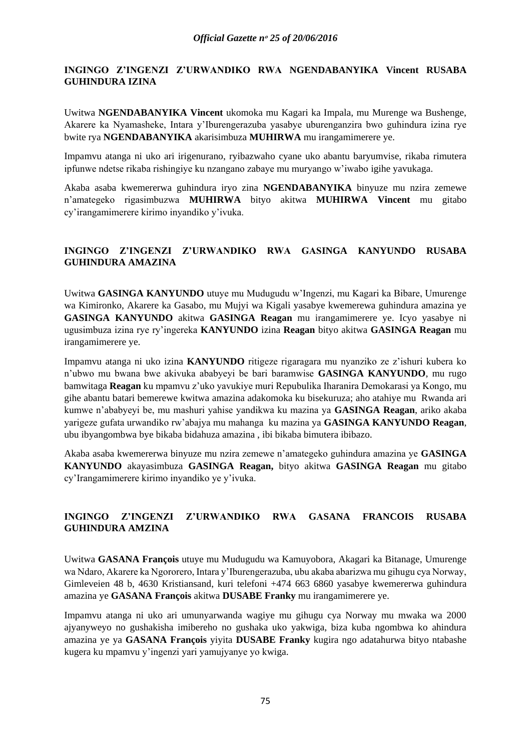## **INGINGO Z'INGENZI Z'URWANDIKO RWA NGENDABANYIKA Vincent RUSABA GUHINDURA IZINA**

Uwitwa **NGENDABANYIKA Vincent** ukomoka mu Kagari ka Impala, mu Murenge wa Bushenge, Akarere ka Nyamasheke, Intara y'Iburengerazuba yasabye uburenganzira bwo guhindura izina rye bwite rya **NGENDABANYIKA** akarisimbuza **MUHIRWA** mu irangamimerere ye.

Impamvu atanga ni uko ari irigenurano, ryibazwaho cyane uko abantu baryumvise, rikaba rimutera ipfunwe ndetse rikaba rishingiye ku nzangano zabaye mu muryango w'iwabo igihe yavukaga.

Akaba asaba kwemererwa guhindura iryo zina **NGENDABANYIKA** binyuze mu nzira zemewe n'amategeko rigasimbuzwa **MUHIRWA** bityo akitwa **MUHIRWA Vincent** mu gitabo cy'irangamimerere kirimo inyandiko y'ivuka.

# **INGINGO Z'INGENZI Z'URWANDIKO RWA GASINGA KANYUNDO RUSABA GUHINDURA AMAZINA**

Uwitwa **GASINGA KANYUNDO** utuye mu Mudugudu w'Ingenzi, mu Kagari ka Bibare, Umurenge wa Kimironko, Akarere ka Gasabo, mu Mujyi wa Kigali yasabye kwemerewa guhindura amazina ye **GASINGA KANYUNDO** akitwa **GASINGA Reagan** mu irangamimerere ye. Icyo yasabye ni ugusimbuza izina rye ry'ingereka **KANYUNDO** izina **Reagan** bityo akitwa **GASINGA Reagan** mu irangamimerere ye.

Impamvu atanga ni uko izina **KANYUNDO** ritigeze rigaragara mu nyanziko ze z'ishuri kubera ko n'ubwo mu bwana bwe akivuka ababyeyi be bari baramwise **GASINGA KANYUNDO**, mu rugo bamwitaga **Reagan** ku mpamvu z'uko yavukiye muri Repubulika Iharanira Demokarasi ya Kongo, mu gihe abantu batari bemerewe kwitwa amazina adakomoka ku bisekuruza; aho atahiye mu Rwanda ari kumwe n'ababyeyi be, mu mashuri yahise yandikwa ku mazina ya **GASINGA Reagan**, ariko akaba yarigeze gufata urwandiko rw'abajya mu mahanga ku mazina ya **GASINGA KANYUNDO Reagan**, ubu ibyangombwa bye bikaba bidahuza amazina , ibi bikaba bimutera ibibazo.

Akaba asaba kwemererwa binyuze mu nzira zemewe n'amategeko guhindura amazina ye **GASINGA KANYUNDO** akayasimbuza **GASINGA Reagan,** bityo akitwa **GASINGA Reagan** mu gitabo cy'Irangamimerere kirimo inyandiko ye y'ivuka.

# **INGINGO Z'INGENZI Z'URWANDIKO RWA GASANA FRANCOIS RUSABA GUHINDURA AMZINA**

Uwitwa **GASANA François** utuye mu Mudugudu wa Kamuyobora, Akagari ka Bitanage, Umurenge wa Ndaro, Akarere ka Ngororero, Intara y'Iburengerazuba, ubu akaba abarizwa mu gihugu cya Norway, Gimleveien 48 b, 4630 Kristiansand, kuri telefoni +474 663 6860 yasabye kwemererwa guhindura amazina ye **GASANA François** akitwa **DUSABE Franky** mu irangamimerere ye.

Impamvu atanga ni uko ari umunyarwanda wagiye mu gihugu cya Norway mu mwaka wa 2000 ajyanyweyo no gushakisha imibereho no gushaka uko yakwiga, biza kuba ngombwa ko ahindura amazina ye ya **GASANA François** yiyita **DUSABE Franky** kugira ngo adatahurwa bityo ntabashe kugera ku mpamvu y'ingenzi yari yamujyanye yo kwiga.